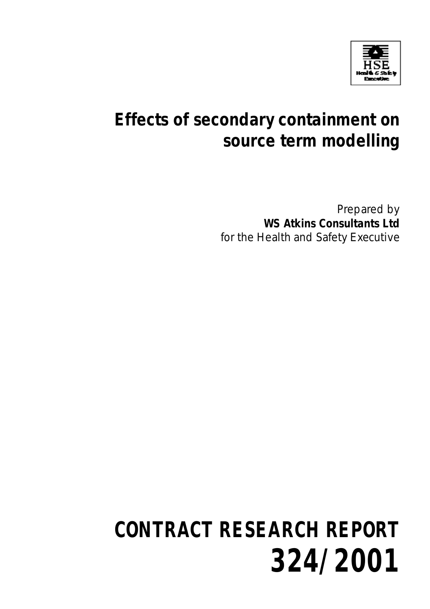

# **Effects of secondary containment on source term modelling**

Prepared by **WS Atkins Consultants Ltd** for the Health and Safety Executive

# **CONTRACT RESEARCH REPORT 324/2001**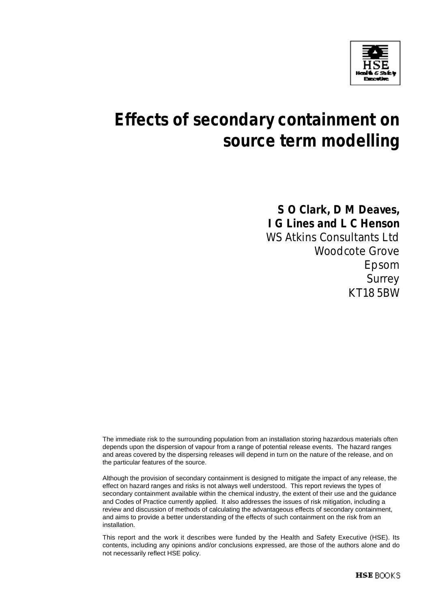

# **Effects of secondary containment on source term modelling**

**S O Clark, D M Deaves, I G Lines and L C Henson** WS Atkins Consultants Ltd Woodcote Grove Epsom Surrey KT18 5BW

The immediate risk to the surrounding population from an installation storing hazardous materials often depends upon the dispersion of vapour from a range of potential release events. The hazard ranges and areas covered by the dispersing releases will depend in turn on the nature of the release, and on the particular features of the source.

Although the provision of secondary containment is designed to mitigate the impact of any release, the effect on hazard ranges and risks is not always well understood. This report reviews the types of secondary containment available within the chemical industry, the extent of their use and the guidance and Codes of Practice currently applied. It also addresses the issues of risk mitigation, including a review and discussion of methods of calculating the advantageous effects of secondary containment, and aims to provide a better understanding of the effects of such containment on the risk from an installation.

This report and the work it describes were funded by the Health and Safety Executive (HSE). Its contents, including any opinions and/or conclusions expressed, are those of the authors alone and do not necessarily reflect HSE policy.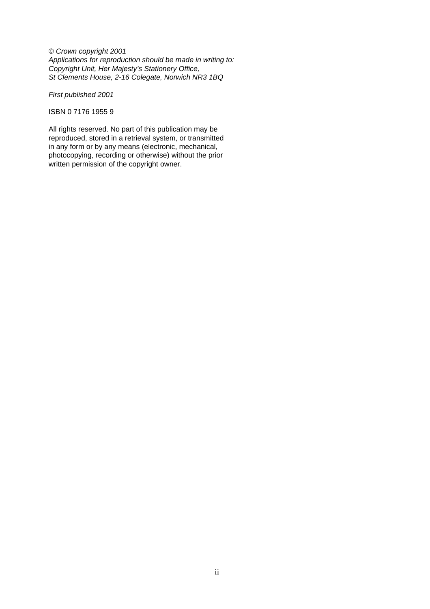© Crown copyright 2001 Applications for reproduction should be made in writing to: Copyright Unit, Her Majesty's Stationery Office, St Clements House, 2-16 Colegate, Norwich NR3 1BQ

First published 2001

ISBN 0 7176 1955 9

All rights reserved. No part of this publication may be reproduced, stored in a retrieval system, or transmitted in any form or by any means (electronic, mechanical, photocopying, recording or otherwise) without the prior written permission of the copyright owner.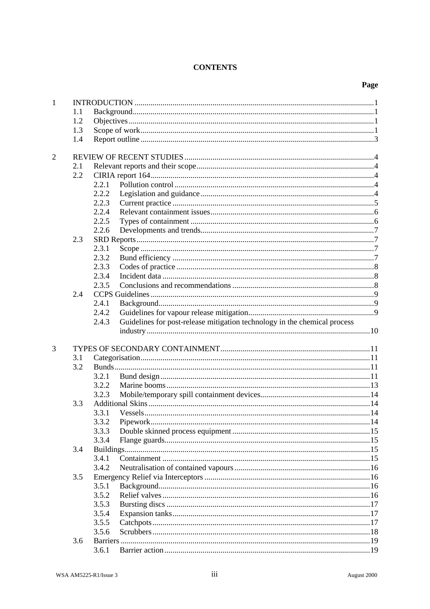#### **CONTENTS**

### Page

| $\mathbf{1}$   |     |       |                                                                           |  |
|----------------|-----|-------|---------------------------------------------------------------------------|--|
|                | 1.1 |       |                                                                           |  |
|                | 1.2 |       |                                                                           |  |
|                | 1.3 |       |                                                                           |  |
|                | 1.4 |       |                                                                           |  |
|                |     |       |                                                                           |  |
| $\overline{2}$ |     |       |                                                                           |  |
|                | 2.1 |       |                                                                           |  |
|                | 2.2 |       |                                                                           |  |
|                |     | 2.2.1 |                                                                           |  |
|                |     | 2.2.2 |                                                                           |  |
|                |     | 2.2.3 |                                                                           |  |
|                |     | 2.2.4 |                                                                           |  |
|                |     | 2.2.5 |                                                                           |  |
|                |     | 2.2.6 |                                                                           |  |
|                | 2.3 |       |                                                                           |  |
|                |     | 2.3.1 |                                                                           |  |
|                |     | 2.3.2 |                                                                           |  |
|                |     | 2.3.3 |                                                                           |  |
|                |     | 2.3.4 |                                                                           |  |
|                |     | 2.3.5 |                                                                           |  |
|                | 2.4 |       |                                                                           |  |
|                |     | 2.4.1 |                                                                           |  |
|                |     | 2.4.2 |                                                                           |  |
|                |     | 2.4.3 | Guidelines for post-release mitigation technology in the chemical process |  |
|                |     |       |                                                                           |  |
| 3              |     |       |                                                                           |  |
|                | 3.1 |       |                                                                           |  |
|                | 3.2 |       |                                                                           |  |
|                |     | 3.2.1 |                                                                           |  |
|                |     | 3.2.2 |                                                                           |  |
|                |     | 3.2.3 |                                                                           |  |
|                | 3.3 |       |                                                                           |  |
|                |     | 3.3.1 |                                                                           |  |
|                |     | 3.3.2 |                                                                           |  |
|                |     | 3.3.3 |                                                                           |  |
|                |     | 3.3.4 |                                                                           |  |
|                | 3.4 |       |                                                                           |  |
|                |     | 3.4.1 |                                                                           |  |
|                |     | 3.4.2 |                                                                           |  |
|                |     |       |                                                                           |  |
|                | 3.5 |       |                                                                           |  |
|                |     | 3.5.1 |                                                                           |  |
|                |     | 3.5.2 |                                                                           |  |
|                |     | 3.5.3 |                                                                           |  |
|                |     | 3.5.4 |                                                                           |  |
|                |     | 3.5.5 |                                                                           |  |
|                |     | 3.5.6 |                                                                           |  |
|                | 3.6 |       |                                                                           |  |
|                |     | 3.6.1 |                                                                           |  |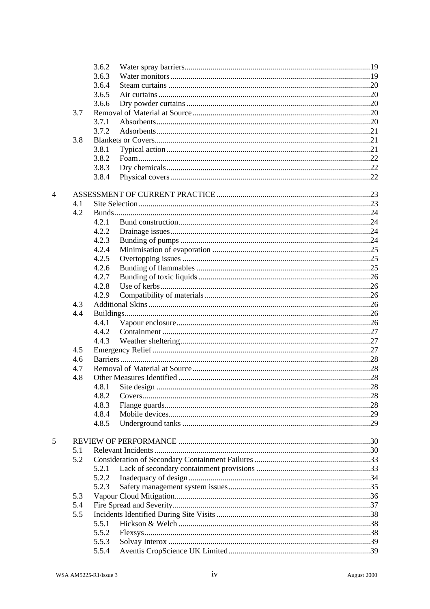|   |     | 3.6.2 |  |
|---|-----|-------|--|
|   |     | 3.6.3 |  |
|   |     | 3.6.4 |  |
|   |     | 3.6.5 |  |
|   |     | 3.6.6 |  |
|   | 3.7 |       |  |
|   |     | 3.7.1 |  |
|   |     | 3.7.2 |  |
|   | 3.8 |       |  |
|   |     | 3.8.1 |  |
|   |     | 3.8.2 |  |
|   |     | 3.8.3 |  |
|   |     | 3.8.4 |  |
|   |     |       |  |
| 4 |     |       |  |
|   | 4.1 |       |  |
|   | 4.2 |       |  |
|   |     | 4.2.1 |  |
|   |     | 4.2.2 |  |
|   |     | 4.2.3 |  |
|   |     | 4.2.4 |  |
|   |     | 4.2.5 |  |
|   |     | 4.2.6 |  |
|   |     | 4.2.7 |  |
|   |     | 4.2.8 |  |
|   |     | 4.2.9 |  |
|   | 4.3 |       |  |
|   | 4.4 |       |  |
|   |     | 4.4.1 |  |
|   |     | 4.4.2 |  |
|   |     | 4.4.3 |  |
|   | 4.5 |       |  |
|   | 4.6 |       |  |
|   | 4.7 |       |  |
|   | 4.8 |       |  |
|   |     |       |  |
|   |     | 4.8.2 |  |
|   |     | 4.8.3 |  |
|   |     | 4.8.4 |  |
|   |     | 4.8.5 |  |
|   |     |       |  |
| 5 |     |       |  |
|   | 5.1 |       |  |
|   | 5.2 |       |  |
|   |     | 5.2.1 |  |
|   |     | 5.2.2 |  |
|   |     | 5.2.3 |  |
|   | 5.3 |       |  |
|   | 5.4 |       |  |
|   | 5.5 |       |  |
|   |     | 5.5.1 |  |
|   |     | 5.5.2 |  |
|   |     | 5.5.3 |  |
|   |     | 5.5.4 |  |
|   |     |       |  |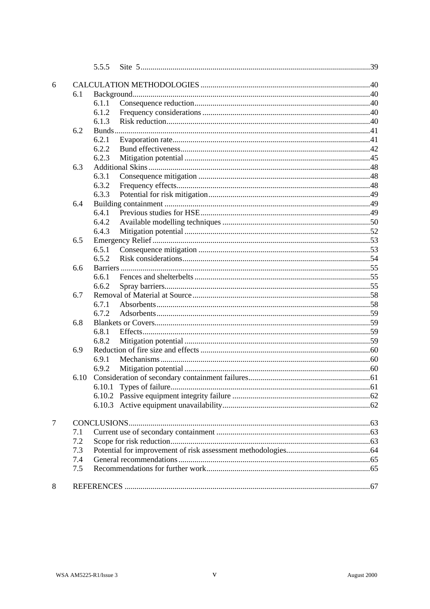|   |      | 5.5.5 |                          |  |
|---|------|-------|--------------------------|--|
| 6 |      |       |                          |  |
|   | 6.1  |       |                          |  |
|   |      | 6.1.1 |                          |  |
|   |      | 6.1.2 |                          |  |
|   |      | 6.1.3 |                          |  |
|   | 6.2  |       |                          |  |
|   |      | 6.2.1 |                          |  |
|   |      | 6.2.2 |                          |  |
|   |      | 6.2.3 |                          |  |
|   | 6.3  |       |                          |  |
|   |      | 6.3.1 |                          |  |
|   |      | 6.3.2 |                          |  |
|   |      | 6.3.3 |                          |  |
|   | 6.4  |       |                          |  |
|   |      | 6.4.1 |                          |  |
|   |      | 6.4.2 |                          |  |
|   |      | 6.4.3 |                          |  |
|   | 6.5  |       |                          |  |
|   |      | 6.5.1 |                          |  |
|   |      | 6.5.2 |                          |  |
|   | 6.6  |       |                          |  |
|   |      | 6.6.1 |                          |  |
|   |      | 6.6.2 |                          |  |
|   | 6.7  |       |                          |  |
|   |      | 6.7.1 |                          |  |
|   |      | 6.7.2 |                          |  |
|   | 6.8  |       |                          |  |
|   |      | 6.8.1 |                          |  |
|   |      | 6.8.2 |                          |  |
|   | 6.9  |       |                          |  |
|   |      | 6.9.1 |                          |  |
|   |      | 6.9.2 |                          |  |
|   | 6.10 |       |                          |  |
|   |      |       | 6.10.1 Types of failure. |  |
|   |      |       |                          |  |
|   |      |       |                          |  |
| 7 |      |       |                          |  |
|   | 7.1  |       |                          |  |
|   | 7.2  |       |                          |  |
|   | 7.3  |       |                          |  |
|   | 7.4  |       |                          |  |
|   | 7.5  |       |                          |  |
|   |      |       |                          |  |
| 8 |      |       |                          |  |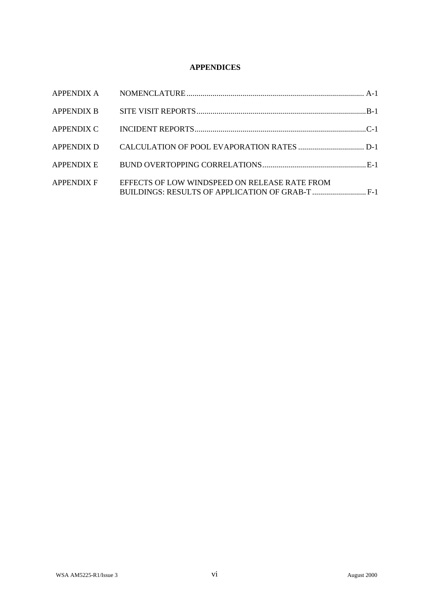#### **APPENDICES**

| <b>APPENDIX B</b> |                                               |  |
|-------------------|-----------------------------------------------|--|
| APPENDIX C        |                                               |  |
| <b>APPENDIX D</b> |                                               |  |
| APPENDIX E        |                                               |  |
| <b>APPENDIX F</b> | EFFECTS OF LOW WINDSPEED ON RELEASE RATE FROM |  |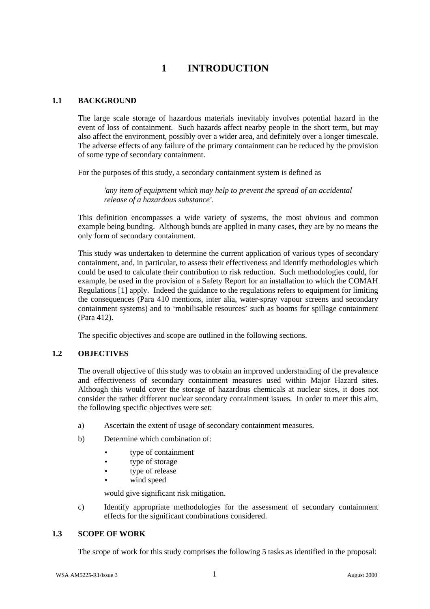# **1 INTRODUCTION**

#### **1.1 BACKGROUND**

The large scale storage of hazardous materials inevitably involves potential hazard in the event of loss of containment. Such hazards affect nearby people in the short term, but may also affect the environment, possibly over a wider area, and definitely over a longer timescale. The adverse effects of any failure of the primary containment can be reduced by the provision of some type of secondary containment.

For the purposes of this study, a secondary containment system is defined as

*'any item of equipment which may help to prevent the spread of an accidental release of a hazardous substance'.*

This definition encompasses a wide variety of systems, the most obvious and common example being bunding. Although bunds are applied in many cases, they are by no means the only form of secondary containment.

This study was undertaken to determine the current application of various types of secondary containment, and, in particular, to assess their effectiveness and identify methodologies which could be used to calculate their contribution to risk reduction. Such methodologies could, for example, be used in the provision of a Safety Report for an installation to which the COMAH Regulations [1] apply. Indeed the guidance to the regulations refers to equipment for limiting the consequences (Para 410 mentions, inter alia, water-spray vapour screens and secondary containment systems) and to 'mobilisable resources' such as booms for spillage containment (Para 412).

The specific objectives and scope are outlined in the following sections.

#### **1.2 OBJECTIVES**

The overall objective of this study was to obtain an improved understanding of the prevalence and effectiveness of secondary containment measures used within Major Hazard sites. Although this would cover the storage of hazardous chemicals at nuclear sites, it does not consider the rather different nuclear secondary containment issues. In order to meet this aim, the following specific objectives were set:

- a) Ascertain the extent of usage of secondary containment measures.
- b) Determine which combination of:
	- type of containment
	- type of storage
	- type of release
	- wind speed

would give significant risk mitigation.

c) Identify appropriate methodologies for the assessment of secondary containment effects for the significant combinations considered.

#### **1.3 SCOPE OF WORK**

The scope of work for this study comprises the following 5 tasks as identified in the proposal: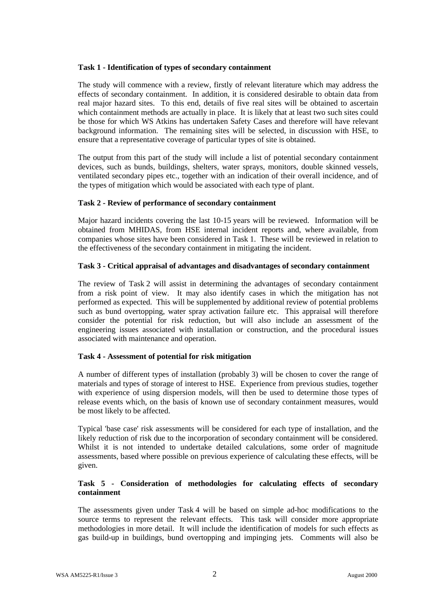#### **Task 1 - Identification of types of secondary containment**

The study will commence with a review, firstly of relevant literature which may address the effects of secondary containment. In addition, it is considered desirable to obtain data from real major hazard sites. To this end, details of five real sites will be obtained to ascertain which containment methods are actually in place. It is likely that at least two such sites could be those for which WS Atkins has undertaken Safety Cases and therefore will have relevant background information. The remaining sites will be selected, in discussion with HSE, to ensure that a representative coverage of particular types of site is obtained.

The output from this part of the study will include a list of potential secondary containment devices, such as bunds, buildings, shelters, water sprays, monitors, double skinned vessels, ventilated secondary pipes etc., together with an indication of their overall incidence, and of the types of mitigation which would be associated with each type of plant.

#### **Task 2 - Review of performance of secondary containment**

Major hazard incidents covering the last 10-15 years will be reviewed. Information will be obtained from MHIDAS, from HSE internal incident reports and, where available, from companies whose sites have been considered in Task 1. These will be reviewed in relation to the effectiveness of the secondary containment in mitigating the incident.

#### **Task 3 - Critical appraisal of advantages and disadvantages of secondary containment**

The review of Task 2 will assist in determining the advantages of secondary containment from a risk point of view. It may also identify cases in which the mitigation has not performed as expected. This will be supplemented by additional review of potential problems such as bund overtopping, water spray activation failure etc. This appraisal will therefore consider the potential for risk reduction, but will also include an assessment of the engineering issues associated with installation or construction, and the procedural issues associated with maintenance and operation.

#### **Task 4 - Assessment of potential for risk mitigation**

A number of different types of installation (probably 3) will be chosen to cover the range of materials and types of storage of interest to HSE. Experience from previous studies, together with experience of using dispersion models, will then be used to determine those types of release events which, on the basis of known use of secondary containment measures, would be most likely to be affected.

Typical 'base case' risk assessments will be considered for each type of installation, and the likely reduction of risk due to the incorporation of secondary containment will be considered. Whilst it is not intended to undertake detailed calculations, some order of magnitude assessments, based where possible on previous experience of calculating these effects, will be given.

#### **Task 5 - Consideration of methodologies for calculating effects of secondary containment**

The assessments given under Task 4 will be based on simple ad-hoc modifications to the source terms to represent the relevant effects. This task will consider more appropriate methodologies in more detail. It will include the identification of models for such effects as gas build-up in buildings, bund overtopping and impinging jets. Comments will also be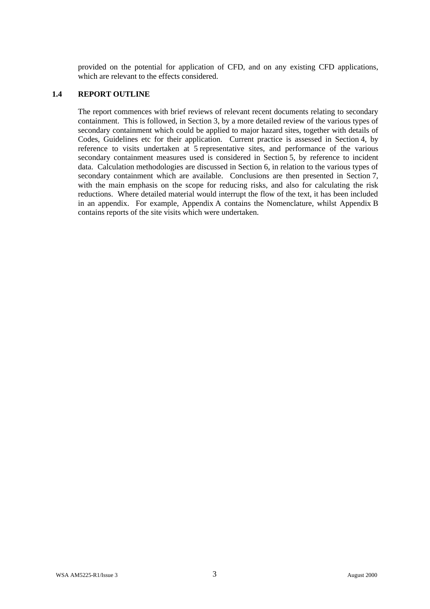provided on the potential for application of CFD, and on any existing CFD applications, which are relevant to the effects considered.

#### **1.4 REPORT OUTLINE**

The report commences with brief reviews of relevant recent documents relating to secondary containment. This is followed, in Section 3, by a more detailed review of the various types of secondary containment which could be applied to major hazard sites, together with details of Codes, Guidelines etc for their application. Current practice is assessed in Section 4, by reference to visits undertaken at 5 representative sites, and performance of the various secondary containment measures used is considered in Section 5, by reference to incident data. Calculation methodologies are discussed in Section 6, in relation to the various types of secondary containment which are available. Conclusions are then presented in Section 7, with the main emphasis on the scope for reducing risks, and also for calculating the risk reductions. Where detailed material would interrupt the flow of the text, it has been included in an appendix. For example, Appendix A contains the Nomenclature, whilst Appendix B contains reports of the site visits which were undertaken.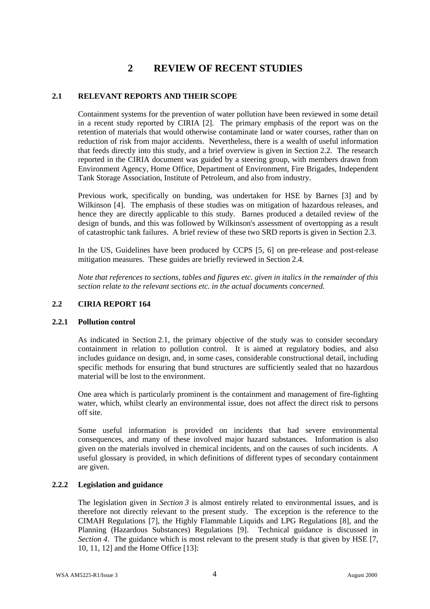# **2 REVIEW OF RECENT STUDIES**

#### **2.1 RELEVANT REPORTS AND THEIR SCOPE**

Containment systems for the prevention of water pollution have been reviewed in some detail in a recent study reported by CIRIA [2]. The primary emphasis of the report was on the retention of materials that would otherwise contaminate land or water courses, rather than on reduction of risk from major accidents. Nevertheless, there is a wealth of useful information that feeds directly into this study, and a brief overview is given in Section 2.2. The research reported in the CIRIA document was guided by a steering group, with members drawn from Environment Agency, Home Office, Department of Environment, Fire Brigades, Independent Tank Storage Association, Institute of Petroleum, and also from industry.

Previous work, specifically on bunding, was undertaken for HSE by Barnes [3] and by Wilkinson [4]. The emphasis of these studies was on mitigation of hazardous releases, and hence they are directly applicable to this study. Barnes produced a detailed review of the design of bunds, and this was followed by Wilkinson's assessment of overtopping as a result of catastrophic tank failures. A brief review of these two SRD reports is given in Section 2.3.

In the US, Guidelines have been produced by CCPS [5, 6] on pre-release and post-release mitigation measures. These guides are briefly reviewed in Section 2.4.

*Note that references to sections, tables and figures etc. given in italics in the remainder of this section relate to the relevant sections etc. in the actual documents concerned.*

#### **2.2 CIRIA REPORT 164**

#### **2.2.1 Pollution control**

As indicated in Section 2.1, the primary objective of the study was to consider secondary containment in relation to pollution control. It is aimed at regulatory bodies, and also includes guidance on design, and, in some cases, considerable constructional detail, including specific methods for ensuring that bund structures are sufficiently sealed that no hazardous material will be lost to the environment.

One area which is particularly prominent is the containment and management of fire-fighting water, which, whilst clearly an environmental issue, does not affect the direct risk to persons off site.

Some useful information is provided on incidents that had severe environmental consequences, and many of these involved major hazard substances. Information is also given on the materials involved in chemical incidents, and on the causes of such incidents. A useful glossary is provided, in which definitions of different types of secondary containment are given.

#### **2.2.2 Legislation and guidance**

The legislation given in *Section 3* is almost entirely related to environmental issues, and is therefore not directly relevant to the present study. The exception is the reference to the CIMAH Regulations [7], the Highly Flammable Liquids and LPG Regulations [8], and the Planning (Hazardous Substances) Regulations [9]. Technical guidance is discussed in *Section 4*. The guidance which is most relevant to the present study is that given by HSE [7, 10, 11, 12] and the Home Office [13]: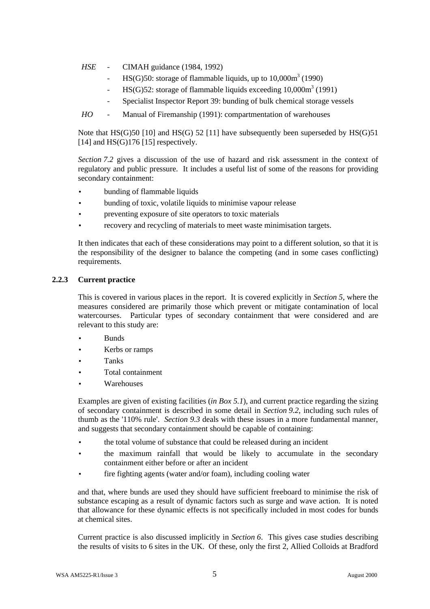- *HSE* CIMAH guidance (1984, 1992)
	- HS(G)50: storage of flammable liquids, up to  $10,000\text{m}^3$  (1990)
	- HS(G)52: storage of flammable liquids exceeding  $10,000\text{m}^3$  (1991)
	- Specialist Inspector Report 39: bunding of bulk chemical storage vessels
- *HO* Manual of Firemanship (1991): compartmentation of warehouses

Note that  $HS(G)$ 50 [10] and  $HS(G)$  52 [11] have subsequently been superseded by  $HS(G)$ 51 [14] and  $HS(G)$ 176 [15] respectively.

*Section 7.2* gives a discussion of the use of hazard and risk assessment in the context of regulatory and public pressure. It includes a useful list of some of the reasons for providing secondary containment:

- bunding of flammable liquids
- bunding of toxic, volatile liquids to minimise vapour release
- preventing exposure of site operators to toxic materials
- recovery and recycling of materials to meet waste minimisation targets.

It then indicates that each of these considerations may point to a different solution, so that it is the responsibility of the designer to balance the competing (and in some cases conflicting) requirements.

#### **2.2.3 Current practice**

This is covered in various places in the report. It is covered explicitly in *Section 5*, where the measures considered are primarily those which prevent or mitigate contamination of local watercourses. Particular types of secondary containment that were considered and are relevant to this study are:

- Bunds
- Kerbs or ramps
- Tanks
- Total containment
- **Warehouses**

Examples are given of existing facilities (*in Box 5.1*), and current practice regarding the sizing of secondary containment is described in some detail in *Section 9.2*, including such rules of thumb as the '110% rule'. *Section 9.3* deals with these issues in a more fundamental manner, and suggests that secondary containment should be capable of containing:

- the total volume of substance that could be released during an incident
- the maximum rainfall that would be likely to accumulate in the secondary containment either before or after an incident
- fire fighting agents (water and/or foam), including cooling water

and that, where bunds are used they should have sufficient freeboard to minimise the risk of substance escaping as a result of dynamic factors such as surge and wave action. It is noted that allowance for these dynamic effects is not specifically included in most codes for bunds at chemical sites.

Current practice is also discussed implicitly in *Section 6*. This gives case studies describing the results of visits to 6 sites in the UK. Of these, only the first 2, Allied Colloids at Bradford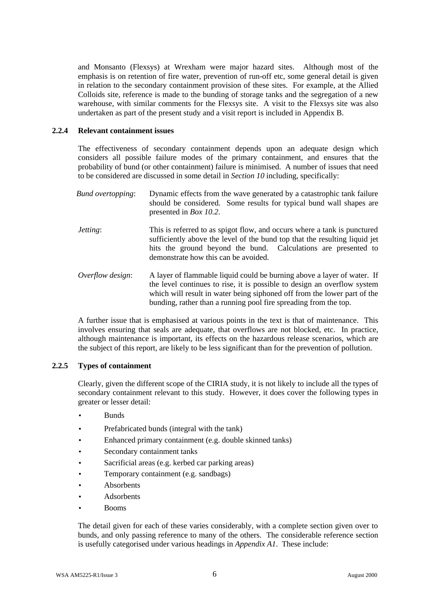and Monsanto (Flexsys) at Wrexham were major hazard sites. Although most of the emphasis is on retention of fire water, prevention of run-off etc, some general detail is given in relation to the secondary containment provision of these sites. For example, at the Allied Colloids site, reference is made to the bunding of storage tanks and the segregation of a new warehouse, with similar comments for the Flexsys site. A visit to the Flexsys site was also undertaken as part of the present study and a visit report is included in Appendix B.

#### **2.2.4 Relevant containment issues**

The effectiveness of secondary containment depends upon an adequate design which considers all possible failure modes of the primary containment, and ensures that the probability of bund (or other containment) failure is minimised. A number of issues that need to be considered are discussed in some detail in *Section 10* including, specifically:

| <b>Bund overtopping:</b> | Dynamic effects from the wave generated by a catastrophic tank failure<br>should be considered. Some results for typical bund wall shapes are<br>presented in <i>Box 10.2.</i>                                                                                                                      |
|--------------------------|-----------------------------------------------------------------------------------------------------------------------------------------------------------------------------------------------------------------------------------------------------------------------------------------------------|
| <i>Jetting:</i>          | This is referred to as spigot flow, and occurs where a tank is punctured<br>sufficiently above the level of the bund top that the resulting liquid jet<br>hits the ground beyond the bund. Calculations are presented to<br>demonstrate how this can be avoided.                                    |
| Overflow design:         | A layer of flammable liquid could be burning above a layer of water. If<br>the level continues to rise, it is possible to design an overflow system<br>which will result in water being siphoned off from the lower part of the<br>bunding, rather than a running pool fire spreading from the top. |

A further issue that is emphasised at various points in the text is that of maintenance. This involves ensuring that seals are adequate, that overflows are not blocked, etc. In practice, although maintenance is important, its effects on the hazardous release scenarios, which are the subject of this report, are likely to be less significant than for the prevention of pollution.

#### **2.2.5 Types of containment**

Clearly, given the different scope of the CIRIA study, it is not likely to include all the types of secondary containment relevant to this study. However, it does cover the following types in greater or lesser detail:

- Bunds
- Prefabricated bunds (integral with the tank)
- Enhanced primary containment (e.g. double skinned tanks)
- Secondary containment tanks
- Sacrificial areas (e.g. kerbed car parking areas)
- Temporary containment (e.g. sandbags)
- Absorbents
- **Adsorbents**
- Booms

The detail given for each of these varies considerably, with a complete section given over to bunds, and only passing reference to many of the others. The considerable reference section is usefully categorised under various headings in *Appendix A1*. These include: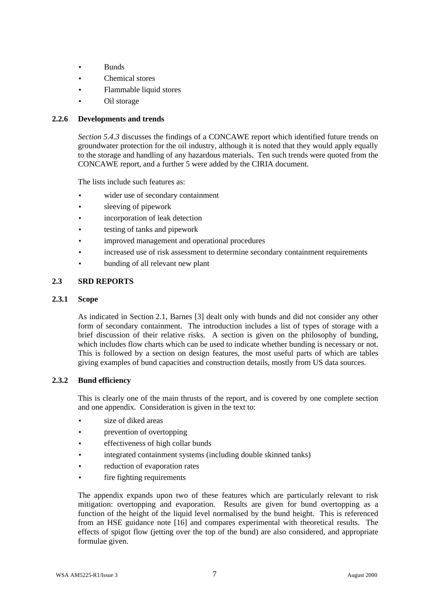- Bunds
- Chemical stores
- Flammable liquid stores
- Oil storage

#### **2.2.6 Developments and trends**

*Section 5.4.3* discusses the findings of a CONCAWE report which identified future trends on groundwater protection for the oil industry, although it is noted that they would apply equally to the storage and handling of any hazardous materials. Ten such trends were quoted from the CONCAWE report, and a further 5 were added by the CIRIA document.

The lists include such features as:

- wider use of secondary containment
- sleeving of pipework
- incorporation of leak detection
- testing of tanks and pipework
- improved management and operational procedures
- increased use of risk assessment to determine secondary containment requirements
- bunding of all relevant new plant

#### **2.3 SRD REPORTS**

#### **2.3.1 Scope**

As indicated in Section 2.1, Barnes [3] dealt only with bunds and did not consider any other form of secondary containment. The introduction includes a list of types of storage with a brief discussion of their relative risks. A section is given on the philosophy of bunding, which includes flow charts which can be used to indicate whether bunding is necessary or not. This is followed by a section on design features, the most useful parts of which are tables giving examples of bund capacities and construction details, mostly from US data sources.

#### **2.3.2 Bund efficiency**

This is clearly one of the main thrusts of the report, and is covered by one complete section and one appendix. Consideration is given in the text to:

- size of diked areas
- prevention of overtopping
- effectiveness of high collar bunds
- integrated containment systems (including double skinned tanks)
- reduction of evaporation rates
- fire fighting requirements

The appendix expands upon two of these features which are particularly relevant to risk mitigation: overtopping and evaporation. Results are given for bund overtopping as a function of the height of the liquid level normalised by the bund height. This is referenced from an HSE guidance note [16] and compares experimental with theoretical results. The effects of spigot flow (jetting over the top of the bund) are also considered, and appropriate formulae given.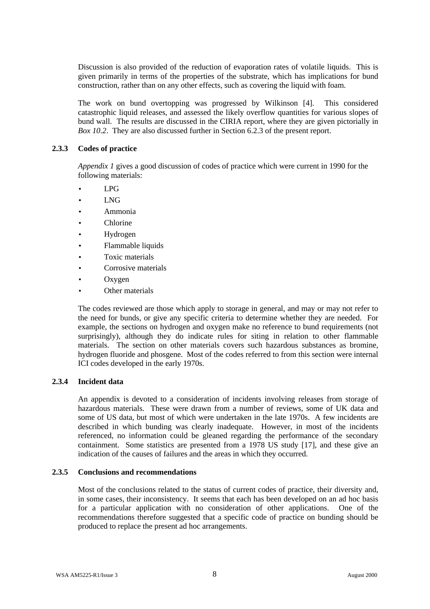Discussion is also provided of the reduction of evaporation rates of volatile liquids. This is given primarily in terms of the properties of the substrate, which has implications for bund construction, rather than on any other effects, such as covering the liquid with foam.

The work on bund overtopping was progressed by Wilkinson [4]. This considered catastrophic liquid releases, and assessed the likely overflow quantities for various slopes of bund wall. The results are discussed in the CIRIA report, where they are given pictorially in *Box 10.2*. They are also discussed further in Section 6.2.3 of the present report.

#### **2.3.3 Codes of practice**

*Appendix 1* gives a good discussion of codes of practice which were current in 1990 for the following materials:

- LPG
- LNG
- Ammonia
- **Chlorine**
- Hydrogen
- Flammable liquids
- Toxic materials
- Corrosive materials
- Oxygen
- Other materials

The codes reviewed are those which apply to storage in general, and may or may not refer to the need for bunds, or give any specific criteria to determine whether they are needed. For example, the sections on hydrogen and oxygen make no reference to bund requirements (not surprisingly), although they do indicate rules for siting in relation to other flammable materials. The section on other materials covers such hazardous substances as bromine, hydrogen fluoride and phosgene. Most of the codes referred to from this section were internal ICI codes developed in the early 1970s.

#### **2.3.4 Incident data**

An appendix is devoted to a consideration of incidents involving releases from storage of hazardous materials. These were drawn from a number of reviews, some of UK data and some of US data, but most of which were undertaken in the late 1970s. A few incidents are described in which bunding was clearly inadequate. However, in most of the incidents referenced, no information could be gleaned regarding the performance of the secondary containment. Some statistics are presented from a 1978 US study [17], and these give an indication of the causes of failures and the areas in which they occurred.

#### **2.3.5 Conclusions and recommendations**

Most of the conclusions related to the status of current codes of practice, their diversity and, in some cases, their inconsistency. It seems that each has been developed on an ad hoc basis for a particular application with no consideration of other applications. One of the recommendations therefore suggested that a specific code of practice on bunding should be produced to replace the present ad hoc arrangements.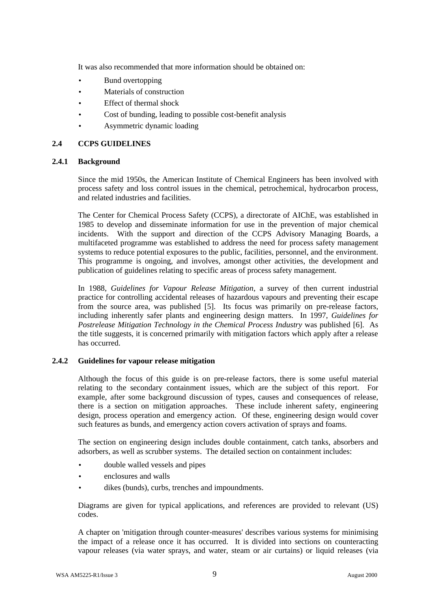It was also recommended that more information should be obtained on:

- Bund overtopping
- Materials of construction
- Effect of thermal shock
- Cost of bunding, leading to possible cost-benefit analysis
- Asymmetric dynamic loading

#### **2.4 CCPS GUIDELINES**

#### **2.4.1 Background**

Since the mid 1950s, the American Institute of Chemical Engineers has been involved with process safety and loss control issues in the chemical, petrochemical, hydrocarbon process, and related industries and facilities.

The Center for Chemical Process Safety (CCPS), a directorate of AIChE, was established in 1985 to develop and disseminate information for use in the prevention of major chemical incidents. With the support and direction of the CCPS Advisory Managing Boards, a multifaceted programme was established to address the need for process safety management systems to reduce potential exposures to the public, facilities, personnel, and the environment. This programme is ongoing, and involves, amongst other activities, the development and publication of guidelines relating to specific areas of process safety management.

In 1988, *Guidelines for Vapour Release Mitigation*, a survey of then current industrial practice for controlling accidental releases of hazardous vapours and preventing their escape from the source area, was published [5]. Its focus was primarily on pre-release factors, including inherently safer plants and engineering design matters. In 1997, *Guidelines for Postrelease Mitigation Technology in the Chemical Process Industry* was published [6]. As the title suggests, it is concerned primarily with mitigation factors which apply after a release has occurred.

#### **2.4.2 Guidelines for vapour release mitigation**

Although the focus of this guide is on pre-release factors, there is some useful material relating to the secondary containment issues, which are the subject of this report. For example, after some background discussion of types, causes and consequences of release, there is a section on mitigation approaches. These include inherent safety, engineering design, process operation and emergency action. Of these, engineering design would cover such features as bunds, and emergency action covers activation of sprays and foams.

The section on engineering design includes double containment, catch tanks, absorbers and adsorbers, as well as scrubber systems. The detailed section on containment includes:

- double walled vessels and pipes
- enclosures and walls
- dikes (bunds), curbs, trenches and impoundments.

Diagrams are given for typical applications, and references are provided to relevant (US) codes.

A chapter on 'mitigation through counter-measures' describes various systems for minimising the impact of a release once it has occurred. It is divided into sections on counteracting vapour releases (via water sprays, and water, steam or air curtains) or liquid releases (via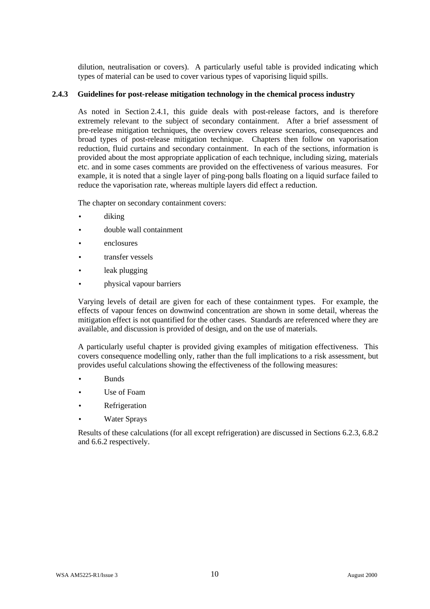dilution, neutralisation or covers). A particularly useful table is provided indicating which types of material can be used to cover various types of vaporising liquid spills.

#### **2.4.3 Guidelines for post-release mitigation technology in the chemical process industry**

As noted in Section 2.4.1, this guide deals with post-release factors, and is therefore extremely relevant to the subject of secondary containment. After a brief assessment of pre-release mitigation techniques, the overview covers release scenarios, consequences and broad types of post-release mitigation technique. Chapters then follow on vaporisation reduction, fluid curtains and secondary containment. In each of the sections, information is provided about the most appropriate application of each technique, including sizing, materials etc. and in some cases comments are provided on the effectiveness of various measures. For example, it is noted that a single layer of ping-pong balls floating on a liquid surface failed to reduce the vaporisation rate, whereas multiple layers did effect a reduction.

The chapter on secondary containment covers:

- diking
- double wall containment
- enclosures
- transfer vessels
- leak plugging
- physical vapour barriers

Varying levels of detail are given for each of these containment types. For example, the effects of vapour fences on downwind concentration are shown in some detail, whereas the mitigation effect is not quantified for the other cases. Standards are referenced where they are available, and discussion is provided of design, and on the use of materials.

A particularly useful chapter is provided giving examples of mitigation effectiveness. This covers consequence modelling only, rather than the full implications to a risk assessment, but provides useful calculations showing the effectiveness of the following measures:

- Bunds
- Use of Foam
- **Refrigeration**
- **Water Sprays**

Results of these calculations (for all except refrigeration) are discussed in Sections 6.2.3, 6.8.2 and 6.6.2 respectively.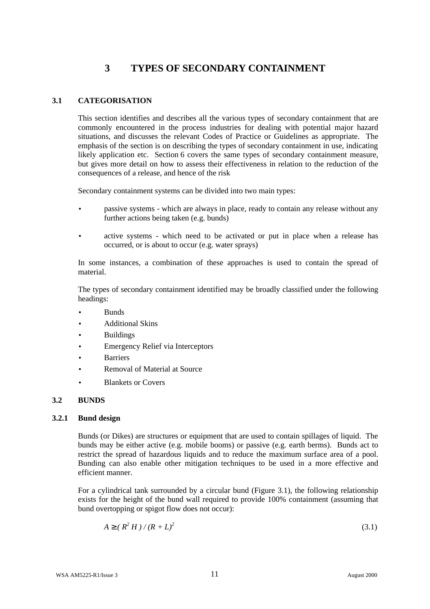## **3 TYPES OF SECONDARY CONTAINMENT**

#### **3.1 CATEGORISATION**

This section identifies and describes all the various types of secondary containment that are commonly encountered in the process industries for dealing with potential major hazard situations, and discusses the relevant Codes of Practice or Guidelines as appropriate. The emphasis of the section is on describing the types of secondary containment in use, indicating likely application etc. Section 6 covers the same types of secondary containment measure, but gives more detail on how to assess their effectiveness in relation to the reduction of the consequences of a release, and hence of the risk

Secondary containment systems can be divided into two main types:

- passive systems which are always in place, ready to contain any release without any further actions being taken (e.g. bunds)
- active systems which need to be activated or put in place when a release has occurred, or is about to occur (e.g. water sprays)

In some instances, a combination of these approaches is used to contain the spread of material.

The types of secondary containment identified may be broadly classified under the following headings:

- Bunds
- Additional Skins
- **Buildings**
- Emergency Relief via Interceptors
- **Barriers**
- Removal of Material at Source
- Blankets or Covers

#### **3.2 BUNDS**

#### **3.2.1 Bund design**

Bunds (or Dikes) are structures or equipment that are used to contain spillages of liquid. The bunds may be either active (e.g. mobile booms) or passive (e.g. earth berms). Bunds act to restrict the spread of hazardous liquids and to reduce the maximum surface area of a pool. Bunding can also enable other mitigation techniques to be used in a more effective and efficient manner.

For a cylindrical tank surrounded by a circular bund (Figure 3.1), the following relationship exists for the height of the bund wall required to provide 100% containment (assuming that bund overtopping or spigot flow does not occur):

$$
A^3(R^2H)/(R+L)^2
$$
 (3.1)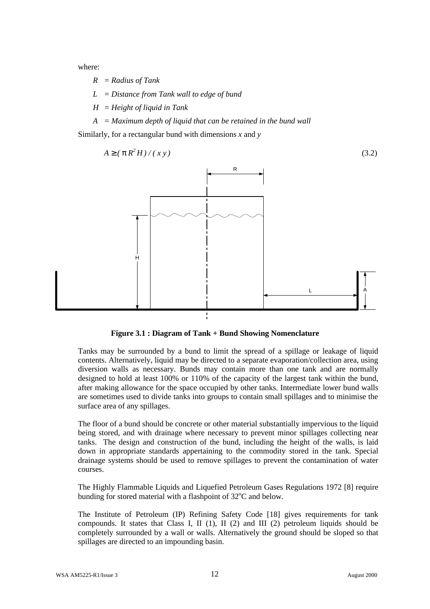where:

- *R = Radius of Tank*
- *L = Distance from Tank wall to edge of bund*
- *H = Height of liquid in Tank*
- *A = Maximum depth of liquid that can be retained in the bund wall*

Similarly, for a rectangular bund with dimensions *x* and *y*



**Figure 3.1 : Diagram of Tank + Bund Showing Nomenclature**

Tanks may be surrounded by a bund to limit the spread of a spillage or leakage of liquid contents. Alternatively, liquid may be directed to a separate evaporation/collection area, using diversion walls as necessary. Bunds may contain more than one tank and are normally designed to hold at least 100% or 110% of the capacity of the largest tank within the bund, after making allowance for the space occupied by other tanks. Intermediate lower bund walls are sometimes used to divide tanks into groups to contain small spillages and to minimise the surface area of any spillages.

The floor of a bund should be concrete or other material substantially impervious to the liquid being stored, and with drainage where necessary to prevent minor spillages collecting near tanks. The design and construction of the bund, including the height of the walls, is laid down in appropriate standards appertaining to the commodity stored in the tank. Special drainage systems should be used to remove spillages to prevent the contamination of water courses.

The Highly Flammable Liquids and Liquefied Petroleum Gases Regulations 1972 [8] require bunding for stored material with a flashpoint of  $32^{\circ}$ C and below.

The Institute of Petroleum (IP) Refining Safety Code [18] gives requirements for tank compounds. It states that Class I, II (1), II (2) and III (2) petroleum liquids should be completely surrounded by a wall or walls. Alternatively the ground should be sloped so that spillages are directed to an impounding basin.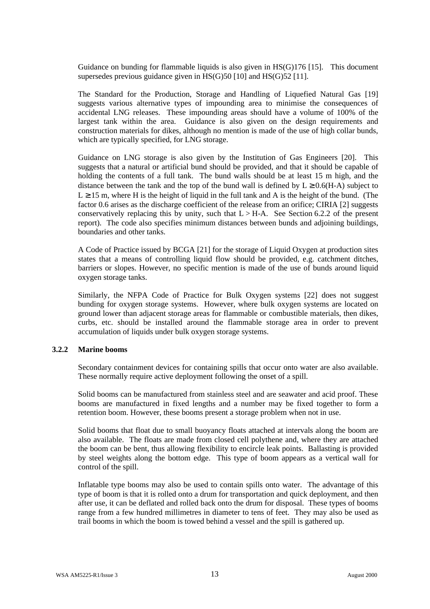Guidance on bunding for flammable liquids is also given in HS(G)176 [15]. This document supersedes previous guidance given in HS(G)50 [10] and HS(G)52 [11].

The Standard for the Production, Storage and Handling of Liquefied Natural Gas [19] suggests various alternative types of impounding area to minimise the consequences of accidental LNG releases. These impounding areas should have a volume of 100% of the largest tank within the area. Guidance is also given on the design requirements and construction materials for dikes, although no mention is made of the use of high collar bunds, which are typically specified, for LNG storage.

Guidance on LNG storage is also given by the Institution of Gas Engineers [20]. This suggests that a natural or artificial bund should be provided, and that it should be capable of holding the contents of a full tank. The bund walls should be at least 15 m high, and the distance between the tank and the top of the bund wall is defined by  $L \ge 0.6(H-A)$  subject to  $L \ge 15$  m, where H is the height of liquid in the full tank and A is the height of the bund. (The factor 0.6 arises as the discharge coefficient of the release from an orifice; CIRIA [2] suggests conservatively replacing this by unity, such that  $L > H-A$ . See Section 6.2.2 of the present report). The code also specifies minimum distances between bunds and adjoining buildings, boundaries and other tanks.

A Code of Practice issued by BCGA [21] for the storage of Liquid Oxygen at production sites states that a means of controlling liquid flow should be provided, e.g. catchment ditches, barriers or slopes. However, no specific mention is made of the use of bunds around liquid oxygen storage tanks.

Similarly, the NFPA Code of Practice for Bulk Oxygen systems [22] does not suggest bunding for oxygen storage systems. However, where bulk oxygen systems are located on ground lower than adjacent storage areas for flammable or combustible materials, then dikes, curbs, etc. should be installed around the flammable storage area in order to prevent accumulation of liquids under bulk oxygen storage systems.

#### **3.2.2 Marine booms**

Secondary containment devices for containing spills that occur onto water are also available. These normally require active deployment following the onset of a spill.

Solid booms can be manufactured from stainless steel and are seawater and acid proof. These booms are manufactured in fixed lengths and a number may be fixed together to form a retention boom. However, these booms present a storage problem when not in use.

Solid booms that float due to small buoyancy floats attached at intervals along the boom are also available. The floats are made from closed cell polythene and, where they are attached the boom can be bent, thus allowing flexibility to encircle leak points. Ballasting is provided by steel weights along the bottom edge. This type of boom appears as a vertical wall for control of the spill.

Inflatable type booms may also be used to contain spills onto water. The advantage of this type of boom is that it is rolled onto a drum for transportation and quick deployment, and then after use, it can be deflated and rolled back onto the drum for disposal. These types of booms range from a few hundred millimetres in diameter to tens of feet. They may also be used as trail booms in which the boom is towed behind a vessel and the spill is gathered up.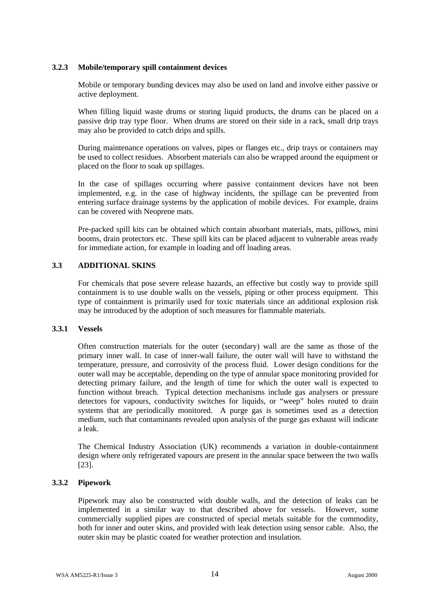#### **3.2.3 Mobile/temporary spill containment devices**

Mobile or temporary bunding devices may also be used on land and involve either passive or active deployment.

When filling liquid waste drums or storing liquid products, the drums can be placed on a passive drip tray type floor. When drums are stored on their side in a rack, small drip trays may also be provided to catch drips and spills.

During maintenance operations on valves, pipes or flanges etc., drip trays or containers may be used to collect residues. Absorbent materials can also be wrapped around the equipment or placed on the floor to soak up spillages.

In the case of spillages occurring where passive containment devices have not been implemented, e.g. in the case of highway incidents, the spillage can be prevented from entering surface drainage systems by the application of mobile devices. For example, drains can be covered with Neoprene mats.

Pre-packed spill kits can be obtained which contain absorbant materials, mats, pillows, mini booms, drain protectors etc. These spill kits can be placed adjacent to vulnerable areas ready for immediate action, for example in loading and off loading areas.

#### **3.3 ADDITIONAL SKINS**

For chemicals that pose severe release hazards, an effective but costly way to provide spill containment is to use double walls on the vessels, piping or other process equipment. This type of containment is primarily used for toxic materials since an additional explosion risk may be introduced by the adoption of such measures for flammable materials.

#### **3.3.1 Vessels**

Often construction materials for the outer (secondary) wall are the same as those of the primary inner wall. In case of inner-wall failure, the outer wall will have to withstand the temperature, pressure, and corrosivity of the process fluid. Lower design conditions for the outer wall may be acceptable, depending on the type of annular space monitoring provided for detecting primary failure, and the length of time for which the outer wall is expected to function without breach. Typical detection mechanisms include gas analysers or pressure detectors for vapours, conductivity switches for liquids, or "weep" holes routed to drain systems that are periodically monitored. A purge gas is sometimes used as a detection medium, such that contaminants revealed upon analysis of the purge gas exhaust will indicate a leak.

The Chemical Industry Association (UK) recommends a variation in double-containment design where only refrigerated vapours are present in the annular space between the two walls [23].

#### **3.3.2 Pipework**

Pipework may also be constructed with double walls, and the detection of leaks can be implemented in a similar way to that described above for vessels. However, some commercially supplied pipes are constructed of special metals suitable for the commodity, both for inner and outer skins, and provided with leak detection using sensor cable. Also, the outer skin may be plastic coated for weather protection and insulation.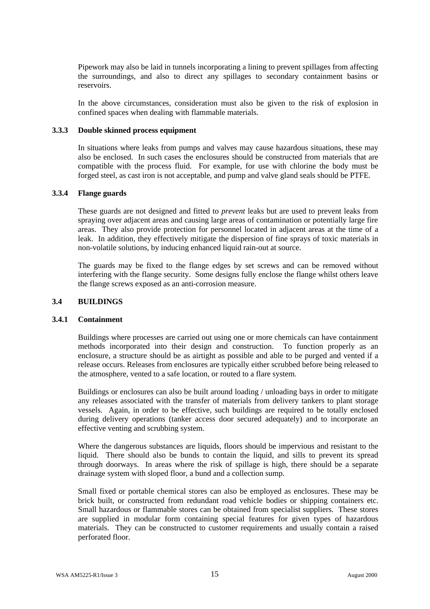Pipework may also be laid in tunnels incorporating a lining to prevent spillages from affecting the surroundings, and also to direct any spillages to secondary containment basins or reservoirs.

In the above circumstances, consideration must also be given to the risk of explosion in confined spaces when dealing with flammable materials.

#### **3.3.3 Double skinned process equipment**

In situations where leaks from pumps and valves may cause hazardous situations, these may also be enclosed. In such cases the enclosures should be constructed from materials that are compatible with the process fluid. For example, for use with chlorine the body must be forged steel, as cast iron is not acceptable, and pump and valve gland seals should be PTFE.

#### **3.3.4 Flange guards**

These guards are not designed and fitted to *prevent* leaks but are used to prevent leaks from spraying over adjacent areas and causing large areas of contamination or potentially large fire areas. They also provide protection for personnel located in adjacent areas at the time of a leak. In addition, they effectively mitigate the dispersion of fine sprays of toxic materials in non-volatile solutions, by inducing enhanced liquid rain-out at source.

The guards may be fixed to the flange edges by set screws and can be removed without interfering with the flange security. Some designs fully enclose the flange whilst others leave the flange screws exposed as an anti-corrosion measure.

#### **3.4 BUILDINGS**

#### **3.4.1 Containment**

Buildings where processes are carried out using one or more chemicals can have containment methods incorporated into their design and construction. To function properly as an enclosure, a structure should be as airtight as possible and able to be purged and vented if a release occurs. Releases from enclosures are typically either scrubbed before being released to the atmosphere, vented to a safe location, or routed to a flare system.

Buildings or enclosures can also be built around loading / unloading bays in order to mitigate any releases associated with the transfer of materials from delivery tankers to plant storage vessels. Again, in order to be effective, such buildings are required to be totally enclosed during delivery operations (tanker access door secured adequately) and to incorporate an effective venting and scrubbing system.

Where the dangerous substances are liquids, floors should be impervious and resistant to the liquid. There should also be bunds to contain the liquid, and sills to prevent its spread through doorways. In areas where the risk of spillage is high, there should be a separate drainage system with sloped floor, a bund and a collection sump.

Small fixed or portable chemical stores can also be employed as enclosures. These may be brick built, or constructed from redundant road vehicle bodies or shipping containers etc. Small hazardous or flammable stores can be obtained from specialist suppliers. These stores are supplied in modular form containing special features for given types of hazardous materials. They can be constructed to customer requirements and usually contain a raised perforated floor.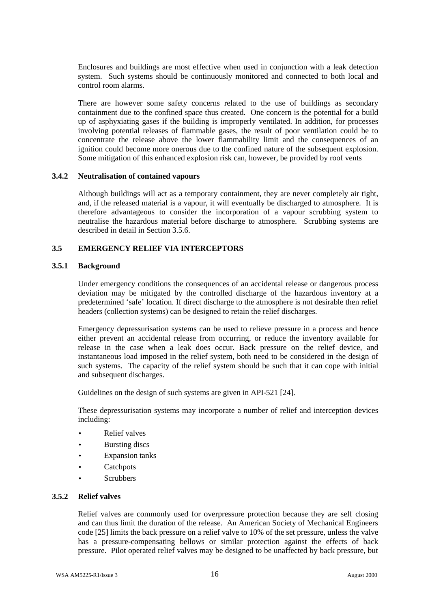Enclosures and buildings are most effective when used in conjunction with a leak detection system. Such systems should be continuously monitored and connected to both local and control room alarms.

There are however some safety concerns related to the use of buildings as secondary containment due to the confined space thus created. One concern is the potential for a build up of asphyxiating gases if the building is improperly ventilated. In addition, for processes involving potential releases of flammable gases, the result of poor ventilation could be to concentrate the release above the lower flammability limit and the consequences of an ignition could become more onerous due to the confined nature of the subsequent explosion. Some mitigation of this enhanced explosion risk can, however, be provided by roof vents

#### **3.4.2 Neutralisation of contained vapours**

Although buildings will act as a temporary containment, they are never completely air tight, and, if the released material is a vapour, it will eventually be discharged to atmosphere. It is therefore advantageous to consider the incorporation of a vapour scrubbing system to neutralise the hazardous material before discharge to atmosphere. Scrubbing systems are described in detail in Section 3.5.6.

#### **3.5 EMERGENCY RELIEF VIA INTERCEPTORS**

#### **3.5.1 Background**

Under emergency conditions the consequences of an accidental release or dangerous process deviation may be mitigated by the controlled discharge of the hazardous inventory at a predetermined 'safe' location. If direct discharge to the atmosphere is not desirable then relief headers (collection systems) can be designed to retain the relief discharges.

Emergency depressurisation systems can be used to relieve pressure in a process and hence either prevent an accidental release from occurring, or reduce the inventory available for release in the case when a leak does occur. Back pressure on the relief device, and instantaneous load imposed in the relief system, both need to be considered in the design of such systems. The capacity of the relief system should be such that it can cope with initial and subsequent discharges.

Guidelines on the design of such systems are given in API-521 [24].

These depressurisation systems may incorporate a number of relief and interception devices including:

- Relief valves
- **Bursting discs**
- **Expansion tanks**
- **Catchpots**
- **Scrubbers**

#### **3.5.2 Relief valves**

Relief valves are commonly used for overpressure protection because they are self closing and can thus limit the duration of the release. An American Society of Mechanical Engineers code [25] limits the back pressure on a relief valve to 10% of the set pressure, unless the valve has a pressure-compensating bellows or similar protection against the effects of back pressure. Pilot operated relief valves may be designed to be unaffected by back pressure, but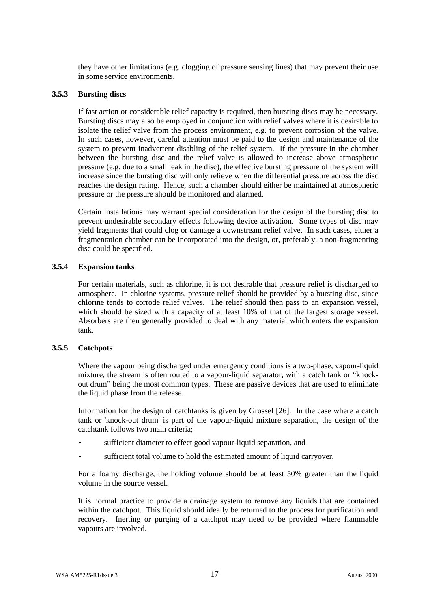they have other limitations (e.g. clogging of pressure sensing lines) that may prevent their use in some service environments.

#### **3.5.3 Bursting discs**

If fast action or considerable relief capacity is required, then bursting discs may be necessary. Bursting discs may also be employed in conjunction with relief valves where it is desirable to isolate the relief valve from the process environment, e.g. to prevent corrosion of the valve. In such cases, however, careful attention must be paid to the design and maintenance of the system to prevent inadvertent disabling of the relief system. If the pressure in the chamber between the bursting disc and the relief valve is allowed to increase above atmospheric pressure (e.g. due to a small leak in the disc), the effective bursting pressure of the system will increase since the bursting disc will only relieve when the differential pressure across the disc reaches the design rating. Hence, such a chamber should either be maintained at atmospheric pressure or the pressure should be monitored and alarmed.

Certain installations may warrant special consideration for the design of the bursting disc to prevent undesirable secondary effects following device activation. Some types of disc may yield fragments that could clog or damage a downstream relief valve. In such cases, either a fragmentation chamber can be incorporated into the design, or, preferably, a non-fragmenting disc could be specified.

#### **3.5.4 Expansion tanks**

For certain materials, such as chlorine, it is not desirable that pressure relief is discharged to atmosphere. In chlorine systems, pressure relief should be provided by a bursting disc, since chlorine tends to corrode relief valves. The relief should then pass to an expansion vessel, which should be sized with a capacity of at least 10% of that of the largest storage vessel. Absorbers are then generally provided to deal with any material which enters the expansion tank.

#### **3.5.5 Catchpots**

Where the vapour being discharged under emergency conditions is a two-phase, vapour-liquid mixture, the stream is often routed to a vapour-liquid separator, with a catch tank or "knockout drum" being the most common types. These are passive devices that are used to eliminate the liquid phase from the release.

Information for the design of catchtanks is given by Grossel [26]. In the case where a catch tank or 'knock-out drum' is part of the vapour-liquid mixture separation, the design of the catchtank follows two main criteria;

- sufficient diameter to effect good vapour-liquid separation, and
- sufficient total volume to hold the estimated amount of liquid carryover.

For a foamy discharge, the holding volume should be at least 50% greater than the liquid volume in the source vessel.

It is normal practice to provide a drainage system to remove any liquids that are contained within the catchpot. This liquid should ideally be returned to the process for purification and recovery. Inerting or purging of a catchpot may need to be provided where flammable vapours are involved.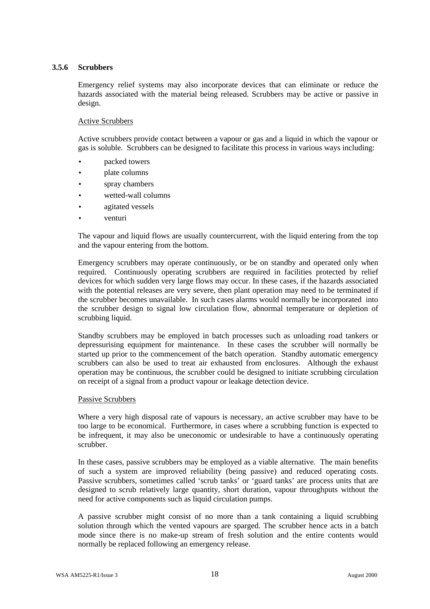#### **3.5.6 Scrubbers**

Emergency relief systems may also incorporate devices that can eliminate or reduce the hazards associated with the material being released. Scrubbers may be active or passive in design.

#### Active Scrubbers

Active scrubbers provide contact between a vapour or gas and a liquid in which the vapour or gas is soluble. Scrubbers can be designed to facilitate this process in various ways including:

- packed towers
- plate columns
- spray chambers
- wetted-wall columns
- agitated vessels
- venturi

The vapour and liquid flows are usually countercurrent, with the liquid entering from the top and the vapour entering from the bottom.

Emergency scrubbers may operate continuously, or be on standby and operated only when required. Continuously operating scrubbers are required in facilities protected by relief devices for which sudden very large flows may occur. In these cases, if the hazards associated with the potential releases are very severe, then plant operation may need to be terminated if the scrubber becomes unavailable. In such cases alarms would normally be incorporated into the scrubber design to signal low circulation flow, abnormal temperature or depletion of scrubbing liquid.

Standby scrubbers may be employed in batch processes such as unloading road tankers or depressurising equipment for maintenance. In these cases the scrubber will normally be started up prior to the commencement of the batch operation. Standby automatic emergency scrubbers can also be used to treat air exhausted from enclosures. Although the exhaust operation may be continuous, the scrubber could be designed to initiate scrubbing circulation on receipt of a signal from a product vapour or leakage detection device.

#### Passive Scrubbers

Where a very high disposal rate of vapours is necessary, an active scrubber may have to be too large to be economical. Furthermore, in cases where a scrubbing function is expected to be infrequent, it may also be uneconomic or undesirable to have a continuously operating scrubber.

In these cases, passive scrubbers may be employed as a viable alternative. The main benefits of such a system are improved reliability (being passive) and reduced operating costs. Passive scrubbers, sometimes called 'scrub tanks' or 'guard tanks' are process units that are designed to scrub relatively large quantity, short duration, vapour throughputs without the need for active components such as liquid circulation pumps.

A passive scrubber might consist of no more than a tank containing a liquid scrubbing solution through which the vented vapours are sparged. The scrubber hence acts in a batch mode since there is no make-up stream of fresh solution and the entire contents would normally be replaced following an emergency release.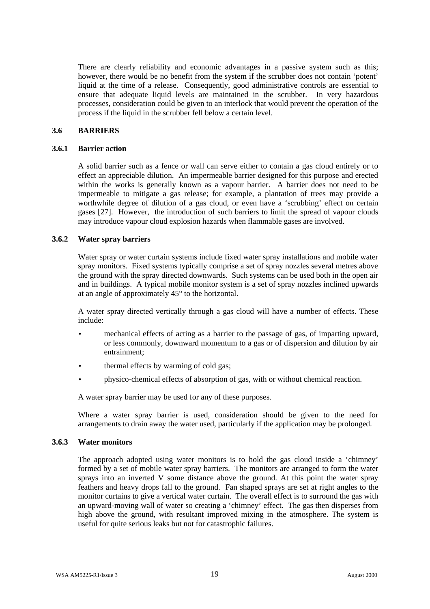There are clearly reliability and economic advantages in a passive system such as this; however, there would be no benefit from the system if the scrubber does not contain 'potent' liquid at the time of a release. Consequently, good administrative controls are essential to ensure that adequate liquid levels are maintained in the scrubber. In very hazardous processes, consideration could be given to an interlock that would prevent the operation of the process if the liquid in the scrubber fell below a certain level.

#### **3.6 BARRIERS**

#### **3.6.1 Barrier action**

A solid barrier such as a fence or wall can serve either to contain a gas cloud entirely or to effect an appreciable dilution. An impermeable barrier designed for this purpose and erected within the works is generally known as a vapour barrier. A barrier does not need to be impermeable to mitigate a gas release; for example, a plantation of trees may provide a worthwhile degree of dilution of a gas cloud, or even have a 'scrubbing' effect on certain gases [27]. However, the introduction of such barriers to limit the spread of vapour clouds may introduce vapour cloud explosion hazards when flammable gases are involved.

#### **3.6.2 Water spray barriers**

Water spray or water curtain systems include fixed water spray installations and mobile water spray monitors. Fixed systems typically comprise a set of spray nozzles several metres above the ground with the spray directed downwards. Such systems can be used both in the open air and in buildings. A typical mobile monitor system is a set of spray nozzles inclined upwards at an angle of approximately 45° to the horizontal.

A water spray directed vertically through a gas cloud will have a number of effects. These include:

- mechanical effects of acting as a barrier to the passage of gas, of imparting upward, or less commonly, downward momentum to a gas or of dispersion and dilution by air entrainment;
- thermal effects by warming of cold gas;
- physico-chemical effects of absorption of gas, with or without chemical reaction.

A water spray barrier may be used for any of these purposes.

Where a water spray barrier is used, consideration should be given to the need for arrangements to drain away the water used, particularly if the application may be prolonged.

#### **3.6.3 Water monitors**

The approach adopted using water monitors is to hold the gas cloud inside a 'chimney' formed by a set of mobile water spray barriers. The monitors are arranged to form the water sprays into an inverted V some distance above the ground. At this point the water spray feathers and heavy drops fall to the ground. Fan shaped sprays are set at right angles to the monitor curtains to give a vertical water curtain. The overall effect is to surround the gas with an upward-moving wall of water so creating a 'chimney' effect. The gas then disperses from high above the ground, with resultant improved mixing in the atmosphere. The system is useful for quite serious leaks but not for catastrophic failures.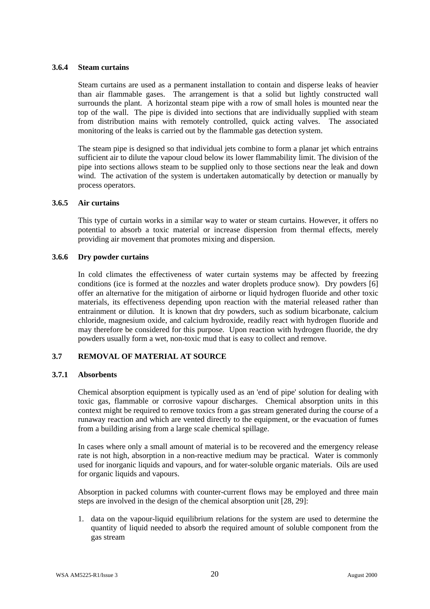#### **3.6.4 Steam curtains**

Steam curtains are used as a permanent installation to contain and disperse leaks of heavier than air flammable gases. The arrangement is that a solid but lightly constructed wall surrounds the plant. A horizontal steam pipe with a row of small holes is mounted near the top of the wall. The pipe is divided into sections that are individually supplied with steam from distribution mains with remotely controlled, quick acting valves. The associated monitoring of the leaks is carried out by the flammable gas detection system.

The steam pipe is designed so that individual jets combine to form a planar jet which entrains sufficient air to dilute the vapour cloud below its lower flammability limit. The division of the pipe into sections allows steam to be supplied only to those sections near the leak and down wind. The activation of the system is undertaken automatically by detection or manually by process operators.

#### **3.6.5 Air curtains**

This type of curtain works in a similar way to water or steam curtains. However, it offers no potential to absorb a toxic material or increase dispersion from thermal effects, merely providing air movement that promotes mixing and dispersion.

#### **3.6.6 Dry powder curtains**

In cold climates the effectiveness of water curtain systems may be affected by freezing conditions (ice is formed at the nozzles and water droplets produce snow). Dry powders [6] offer an alternative for the mitigation of airborne or liquid hydrogen fluoride and other toxic materials, its effectiveness depending upon reaction with the material released rather than entrainment or dilution. It is known that dry powders, such as sodium bicarbonate, calcium chloride, magnesium oxide, and calcium hydroxide, readily react with hydrogen fluoride and may therefore be considered for this purpose. Upon reaction with hydrogen fluoride, the dry powders usually form a wet, non-toxic mud that is easy to collect and remove.

#### **3.7 REMOVAL OF MATERIAL AT SOURCE**

#### **3.7.1 Absorbents**

Chemical absorption equipment is typically used as an 'end of pipe' solution for dealing with toxic gas, flammable or corrosive vapour discharges. Chemical absorption units in this context might be required to remove toxics from a gas stream generated during the course of a runaway reaction and which are vented directly to the equipment, or the evacuation of fumes from a building arising from a large scale chemical spillage.

In cases where only a small amount of material is to be recovered and the emergency release rate is not high, absorption in a non-reactive medium may be practical. Water is commonly used for inorganic liquids and vapours, and for water-soluble organic materials. Oils are used for organic liquids and vapours.

Absorption in packed columns with counter-current flows may be employed and three main steps are involved in the design of the chemical absorption unit [28, 29]:

1. data on the vapour-liquid equilibrium relations for the system are used to determine the quantity of liquid needed to absorb the required amount of soluble component from the gas stream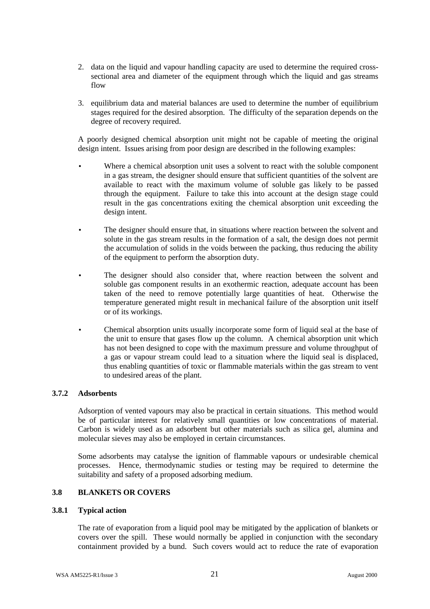- 2. data on the liquid and vapour handling capacity are used to determine the required crosssectional area and diameter of the equipment through which the liquid and gas streams flow
- 3. equilibrium data and material balances are used to determine the number of equilibrium stages required for the desired absorption. The difficulty of the separation depends on the degree of recovery required.

A poorly designed chemical absorption unit might not be capable of meeting the original design intent. Issues arising from poor design are described in the following examples:

- Where a chemical absorption unit uses a solvent to react with the soluble component in a gas stream, the designer should ensure that sufficient quantities of the solvent are available to react with the maximum volume of soluble gas likely to be passed through the equipment. Failure to take this into account at the design stage could result in the gas concentrations exiting the chemical absorption unit exceeding the design intent.
- The designer should ensure that, in situations where reaction between the solvent and solute in the gas stream results in the formation of a salt, the design does not permit the accumulation of solids in the voids between the packing, thus reducing the ability of the equipment to perform the absorption duty.
- The designer should also consider that, where reaction between the solvent and soluble gas component results in an exothermic reaction, adequate account has been taken of the need to remove potentially large quantities of heat. Otherwise the temperature generated might result in mechanical failure of the absorption unit itself or of its workings.
- Chemical absorption units usually incorporate some form of liquid seal at the base of the unit to ensure that gases flow up the column. A chemical absorption unit which has not been designed to cope with the maximum pressure and volume throughput of a gas or vapour stream could lead to a situation where the liquid seal is displaced, thus enabling quantities of toxic or flammable materials within the gas stream to vent to undesired areas of the plant.

#### **3.7.2 Adsorbents**

Adsorption of vented vapours may also be practical in certain situations. This method would be of particular interest for relatively small quantities or low concentrations of material. Carbon is widely used as an adsorbent but other materials such as silica gel, alumina and molecular sieves may also be employed in certain circumstances.

Some adsorbents may catalyse the ignition of flammable vapours or undesirable chemical processes. Hence, thermodynamic studies or testing may be required to determine the suitability and safety of a proposed adsorbing medium.

#### **3.8 BLANKETS OR COVERS**

#### **3.8.1 Typical action**

The rate of evaporation from a liquid pool may be mitigated by the application of blankets or covers over the spill. These would normally be applied in conjunction with the secondary containment provided by a bund. Such covers would act to reduce the rate of evaporation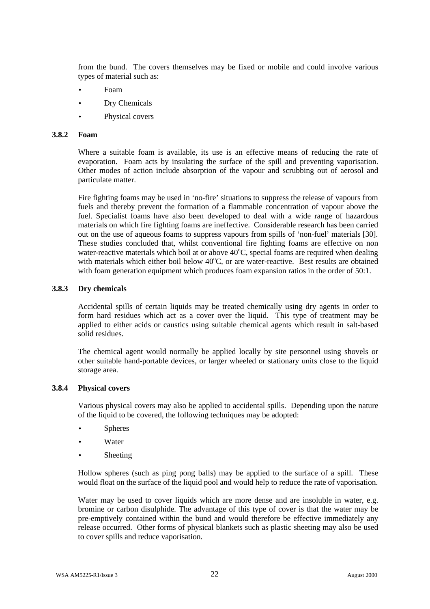from the bund. The covers themselves may be fixed or mobile and could involve various types of material such as:

- Foam
- Dry Chemicals
- Physical covers

#### **3.8.2 Foam**

Where a suitable foam is available, its use is an effective means of reducing the rate of evaporation. Foam acts by insulating the surface of the spill and preventing vaporisation. Other modes of action include absorption of the vapour and scrubbing out of aerosol and particulate matter.

Fire fighting foams may be used in 'no-fire' situations to suppress the release of vapours from fuels and thereby prevent the formation of a flammable concentration of vapour above the fuel. Specialist foams have also been developed to deal with a wide range of hazardous materials on which fire fighting foams are ineffective. Considerable research has been carried out on the use of aqueous foams to suppress vapours from spills of 'non-fuel' materials [30]. These studies concluded that, whilst conventional fire fighting foams are effective on non water-reactive materials which boil at or above  $40^{\circ}$ C, special foams are required when dealing with materials which either boil below  $40^{\circ}$ C, or are water-reactive. Best results are obtained with foam generation equipment which produces foam expansion ratios in the order of 50:1.

#### **3.8.3 Dry chemicals**

Accidental spills of certain liquids may be treated chemically using dry agents in order to form hard residues which act as a cover over the liquid. This type of treatment may be applied to either acids or caustics using suitable chemical agents which result in salt-based solid residues.

The chemical agent would normally be applied locally by site personnel using shovels or other suitable hand-portable devices, or larger wheeled or stationary units close to the liquid storage area.

#### **3.8.4 Physical covers**

Various physical covers may also be applied to accidental spills. Depending upon the nature of the liquid to be covered, the following techniques may be adopted:

- **Spheres**
- **Water**
- **Sheeting**

Hollow spheres (such as ping pong balls) may be applied to the surface of a spill. These would float on the surface of the liquid pool and would help to reduce the rate of vaporisation.

Water may be used to cover liquids which are more dense and are insoluble in water, e.g. bromine or carbon disulphide. The advantage of this type of cover is that the water may be pre-emptively contained within the bund and would therefore be effective immediately any release occurred. Other forms of physical blankets such as plastic sheeting may also be used to cover spills and reduce vaporisation.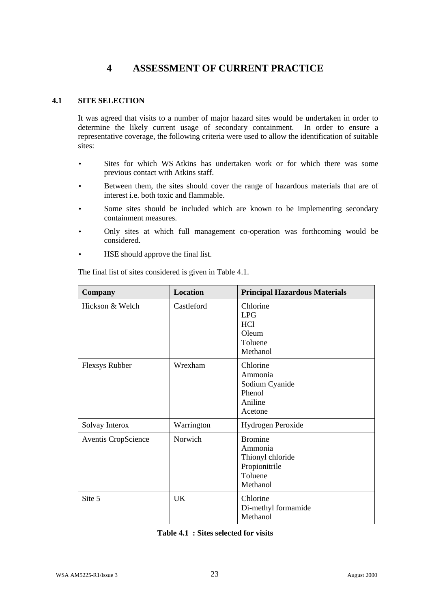## **4 ASSESSMENT OF CURRENT PRACTICE**

#### **4.1 SITE SELECTION**

It was agreed that visits to a number of major hazard sites would be undertaken in order to determine the likely current usage of secondary containment. In order to ensure a representative coverage, the following criteria were used to allow the identification of suitable sites:

- Sites for which WS Atkins has undertaken work or for which there was some previous contact with Atkins staff.
- Between them, the sites should cover the range of hazardous materials that are of interest i.e. both toxic and flammable.
- Some sites should be included which are known to be implementing secondary containment measures.
- Only sites at which full management co-operation was forthcoming would be considered.
- HSE should approve the final list.

The final list of sites considered is given in Table 4.1.

| Company                    | <b>Location</b> | <b>Principal Hazardous Materials</b>                                                  |
|----------------------------|-----------------|---------------------------------------------------------------------------------------|
| Hickson & Welch            | Castleford      | Chlorine<br><b>LPG</b><br>HC <sub>1</sub><br>Oleum<br>Toluene<br>Methanol             |
| <b>Flexsys Rubber</b>      | Wrexham         | Chlorine<br>Ammonia<br>Sodium Cyanide<br>Phenol<br>Aniline<br>Acetone                 |
| Solvay Interox             | Warrington      | Hydrogen Peroxide                                                                     |
| <b>Aventis CropScience</b> | Norwich         | <b>Bromine</b><br>Ammonia<br>Thionyl chloride<br>Propionitrile<br>Toluene<br>Methanol |
| Site 5                     | UK              | Chlorine<br>Di-methyl formamide<br>Methanol                                           |

| Table 4.1 : Sites selected for visits |
|---------------------------------------|
|---------------------------------------|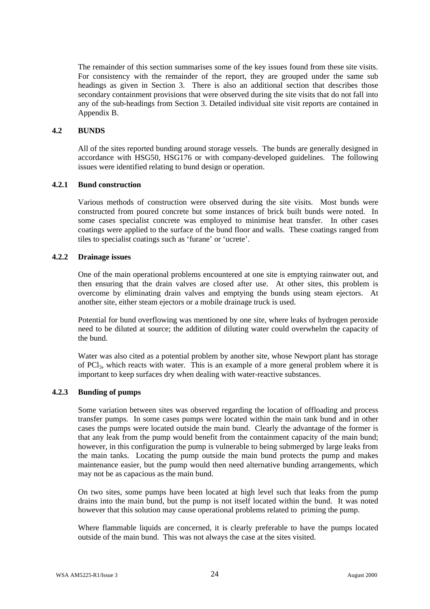The remainder of this section summarises some of the key issues found from these site visits. For consistency with the remainder of the report, they are grouped under the same sub headings as given in Section 3. There is also an additional section that describes those secondary containment provisions that were observed during the site visits that do not fall into any of the sub-headings from Section 3. Detailed individual site visit reports are contained in Appendix B.

#### **4.2 BUNDS**

All of the sites reported bunding around storage vessels. The bunds are generally designed in accordance with HSG50, HSG176 or with company-developed guidelines. The following issues were identified relating to bund design or operation.

#### **4.2.1 Bund construction**

Various methods of construction were observed during the site visits. Most bunds were constructed from poured concrete but some instances of brick built bunds were noted. In some cases specialist concrete was employed to minimise heat transfer. In other cases coatings were applied to the surface of the bund floor and walls. These coatings ranged from tiles to specialist coatings such as 'furane' or 'ucrete'.

#### **4.2.2 Drainage issues**

One of the main operational problems encountered at one site is emptying rainwater out, and then ensuring that the drain valves are closed after use. At other sites, this problem is overcome by eliminating drain valves and emptying the bunds using steam ejectors. At another site, either steam ejectors or a mobile drainage truck is used.

Potential for bund overflowing was mentioned by one site, where leaks of hydrogen peroxide need to be diluted at source; the addition of diluting water could overwhelm the capacity of the bund.

Water was also cited as a potential problem by another site, whose Newport plant has storage of PCl3, which reacts with water. This is an example of a more general problem where it is important to keep surfaces dry when dealing with water-reactive substances.

#### **4.2.3 Bunding of pumps**

Some variation between sites was observed regarding the location of offloading and process transfer pumps. In some cases pumps were located within the main tank bund and in other cases the pumps were located outside the main bund. Clearly the advantage of the former is that any leak from the pump would benefit from the containment capacity of the main bund; however, in this configuration the pump is vulnerable to being submerged by large leaks from the main tanks. Locating the pump outside the main bund protects the pump and makes maintenance easier, but the pump would then need alternative bunding arrangements, which may not be as capacious as the main bund.

On two sites, some pumps have been located at high level such that leaks from the pump drains into the main bund, but the pump is not itself located within the bund. It was noted however that this solution may cause operational problems related to priming the pump.

Where flammable liquids are concerned, it is clearly preferable to have the pumps located outside of the main bund. This was not always the case at the sites visited.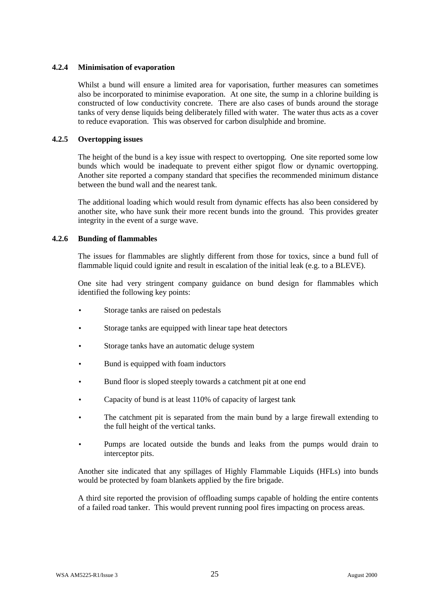#### **4.2.4 Minimisation of evaporation**

Whilst a bund will ensure a limited area for vaporisation, further measures can sometimes also be incorporated to minimise evaporation. At one site, the sump in a chlorine building is constructed of low conductivity concrete. There are also cases of bunds around the storage tanks of very dense liquids being deliberately filled with water. The water thus acts as a cover to reduce evaporation. This was observed for carbon disulphide and bromine.

#### **4.2.5 Overtopping issues**

The height of the bund is a key issue with respect to overtopping. One site reported some low bunds which would be inadequate to prevent either spigot flow or dynamic overtopping. Another site reported a company standard that specifies the recommended minimum distance between the bund wall and the nearest tank.

The additional loading which would result from dynamic effects has also been considered by another site, who have sunk their more recent bunds into the ground. This provides greater integrity in the event of a surge wave.

#### **4.2.6 Bunding of flammables**

The issues for flammables are slightly different from those for toxics, since a bund full of flammable liquid could ignite and result in escalation of the initial leak (e.g. to a BLEVE).

One site had very stringent company guidance on bund design for flammables which identified the following key points:

- Storage tanks are raised on pedestals
- Storage tanks are equipped with linear tape heat detectors
- Storage tanks have an automatic deluge system
- Bund is equipped with foam inductors
- Bund floor is sloped steeply towards a catchment pit at one end
- Capacity of bund is at least 110% of capacity of largest tank
- The catchment pit is separated from the main bund by a large firewall extending to the full height of the vertical tanks.
- Pumps are located outside the bunds and leaks from the pumps would drain to interceptor pits.

Another site indicated that any spillages of Highly Flammable Liquids (HFLs) into bunds would be protected by foam blankets applied by the fire brigade.

A third site reported the provision of offloading sumps capable of holding the entire contents of a failed road tanker. This would prevent running pool fires impacting on process areas.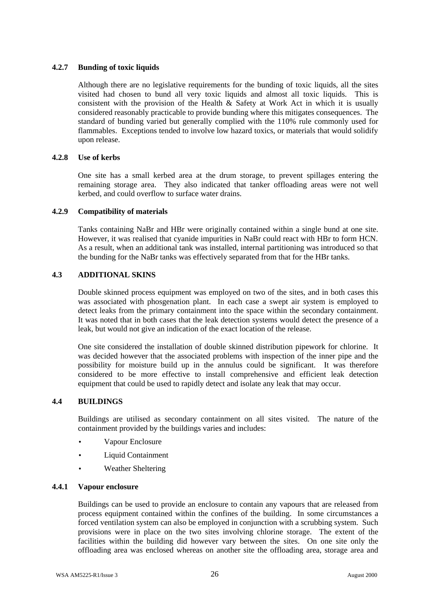#### **4.2.7 Bunding of toxic liquids**

Although there are no legislative requirements for the bunding of toxic liquids, all the sites visited had chosen to bund all very toxic liquids and almost all toxic liquids. This is consistent with the provision of the Health & Safety at Work Act in which it is usually considered reasonably practicable to provide bunding where this mitigates consequences. The standard of bunding varied but generally complied with the 110% rule commonly used for flammables. Exceptions tended to involve low hazard toxics, or materials that would solidify upon release.

#### **4.2.8 Use of kerbs**

One site has a small kerbed area at the drum storage, to prevent spillages entering the remaining storage area. They also indicated that tanker offloading areas were not well kerbed, and could overflow to surface water drains.

#### **4.2.9 Compatibility of materials**

Tanks containing NaBr and HBr were originally contained within a single bund at one site. However, it was realised that cyanide impurities in NaBr could react with HBr to form HCN. As a result, when an additional tank was installed, internal partitioning was introduced so that the bunding for the NaBr tanks was effectively separated from that for the HBr tanks.

#### **4.3 ADDITIONAL SKINS**

Double skinned process equipment was employed on two of the sites, and in both cases this was associated with phosgenation plant. In each case a swept air system is employed to detect leaks from the primary containment into the space within the secondary containment. It was noted that in both cases that the leak detection systems would detect the presence of a leak, but would not give an indication of the exact location of the release.

One site considered the installation of double skinned distribution pipework for chlorine. It was decided however that the associated problems with inspection of the inner pipe and the possibility for moisture build up in the annulus could be significant. It was therefore considered to be more effective to install comprehensive and efficient leak detection equipment that could be used to rapidly detect and isolate any leak that may occur.

#### **4.4 BUILDINGS**

Buildings are utilised as secondary containment on all sites visited. The nature of the containment provided by the buildings varies and includes:

- Vapour Enclosure
- **Liquid Containment**
- Weather Sheltering

#### **4.4.1 Vapour enclosure**

Buildings can be used to provide an enclosure to contain any vapours that are released from process equipment contained within the confines of the building. In some circumstances a forced ventilation system can also be employed in conjunction with a scrubbing system. Such provisions were in place on the two sites involving chlorine storage. The extent of the facilities within the building did however vary between the sites. On one site only the offloading area was enclosed whereas on another site the offloading area, storage area and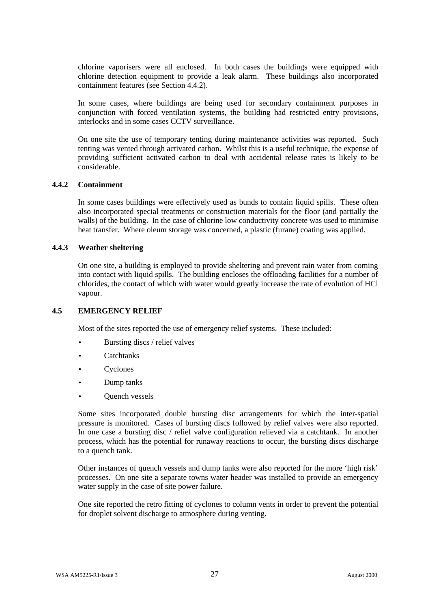chlorine vaporisers were all enclosed. In both cases the buildings were equipped with chlorine detection equipment to provide a leak alarm. These buildings also incorporated containment features (see Section 4.4.2).

In some cases, where buildings are being used for secondary containment purposes in conjunction with forced ventilation systems, the building had restricted entry provisions, interlocks and in some cases CCTV surveillance.

On one site the use of temporary tenting during maintenance activities was reported. Such tenting was vented through activated carbon. Whilst this is a useful technique, the expense of providing sufficient activated carbon to deal with accidental release rates is likely to be considerable.

#### **4.4.2 Containment**

In some cases buildings were effectively used as bunds to contain liquid spills. These often also incorporated special treatments or construction materials for the floor (and partially the walls) of the building. In the case of chlorine low conductivity concrete was used to minimise heat transfer. Where oleum storage was concerned, a plastic (furane) coating was applied.

#### **4.4.3 Weather sheltering**

On one site, a building is employed to provide sheltering and prevent rain water from coming into contact with liquid spills. The building encloses the offloading facilities for a number of chlorides, the contact of which with water would greatly increase the rate of evolution of HCl vapour.

#### **4.5 EMERGENCY RELIEF**

Most of the sites reported the use of emergency relief systems. These included:

- Bursting discs / relief valves
- Catchtanks
- **Cyclones**
- Dump tanks
- **Ouench vessels**

Some sites incorporated double bursting disc arrangements for which the inter-spatial pressure is monitored. Cases of bursting discs followed by relief valves were also reported. In one case a bursting disc / relief valve configuration relieved via a catchtank. In another process, which has the potential for runaway reactions to occur, the bursting discs discharge to a quench tank.

Other instances of quench vessels and dump tanks were also reported for the more 'high risk' processes. On one site a separate towns water header was installed to provide an emergency water supply in the case of site power failure.

One site reported the retro fitting of cyclones to column vents in order to prevent the potential for droplet solvent discharge to atmosphere during venting.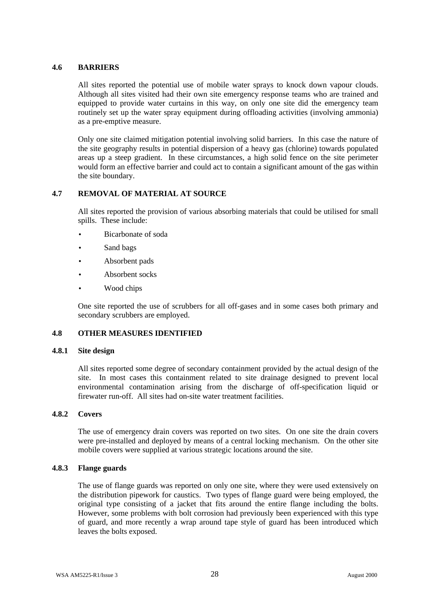#### **4.6 BARRIERS**

All sites reported the potential use of mobile water sprays to knock down vapour clouds. Although all sites visited had their own site emergency response teams who are trained and equipped to provide water curtains in this way, on only one site did the emergency team routinely set up the water spray equipment during offloading activities (involving ammonia) as a pre-emptive measure.

Only one site claimed mitigation potential involving solid barriers. In this case the nature of the site geography results in potential dispersion of a heavy gas (chlorine) towards populated areas up a steep gradient. In these circumstances, a high solid fence on the site perimeter would form an effective barrier and could act to contain a significant amount of the gas within the site boundary.

#### **4.7 REMOVAL OF MATERIAL AT SOURCE**

All sites reported the provision of various absorbing materials that could be utilised for small spills. These include:

- Bicarbonate of soda
- Sand bags
- Absorbent pads
- Absorbent socks
- Wood chips

One site reported the use of scrubbers for all off-gases and in some cases both primary and secondary scrubbers are employed.

#### **4.8 OTHER MEASURES IDENTIFIED**

#### **4.8.1 Site design**

All sites reported some degree of secondary containment provided by the actual design of the site. In most cases this containment related to site drainage designed to prevent local environmental contamination arising from the discharge of off-specification liquid or firewater run-off. All sites had on-site water treatment facilities.

#### **4.8.2 Covers**

The use of emergency drain covers was reported on two sites. On one site the drain covers were pre-installed and deployed by means of a central locking mechanism. On the other site mobile covers were supplied at various strategic locations around the site.

#### **4.8.3 Flange guards**

The use of flange guards was reported on only one site, where they were used extensively on the distribution pipework for caustics. Two types of flange guard were being employed, the original type consisting of a jacket that fits around the entire flange including the bolts. However, some problems with bolt corrosion had previously been experienced with this type of guard, and more recently a wrap around tape style of guard has been introduced which leaves the bolts exposed.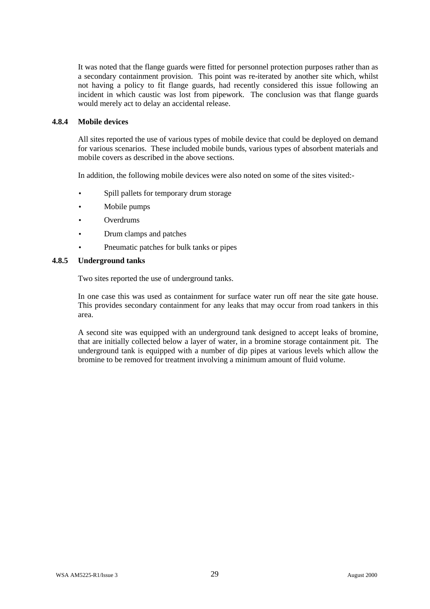It was noted that the flange guards were fitted for personnel protection purposes rather than as a secondary containment provision. This point was re-iterated by another site which, whilst not having a policy to fit flange guards, had recently considered this issue following an incident in which caustic was lost from pipework. The conclusion was that flange guards would merely act to delay an accidental release.

#### **4.8.4 Mobile devices**

All sites reported the use of various types of mobile device that could be deployed on demand for various scenarios. These included mobile bunds, various types of absorbent materials and mobile covers as described in the above sections.

In addition, the following mobile devices were also noted on some of the sites visited:-

- Spill pallets for temporary drum storage
- Mobile pumps
- **Overdrums**
- Drum clamps and patches
- Pneumatic patches for bulk tanks or pipes

#### **4.8.5 Underground tanks**

Two sites reported the use of underground tanks.

In one case this was used as containment for surface water run off near the site gate house. This provides secondary containment for any leaks that may occur from road tankers in this area.

A second site was equipped with an underground tank designed to accept leaks of bromine, that are initially collected below a layer of water, in a bromine storage containment pit. The underground tank is equipped with a number of dip pipes at various levels which allow the bromine to be removed for treatment involving a minimum amount of fluid volume.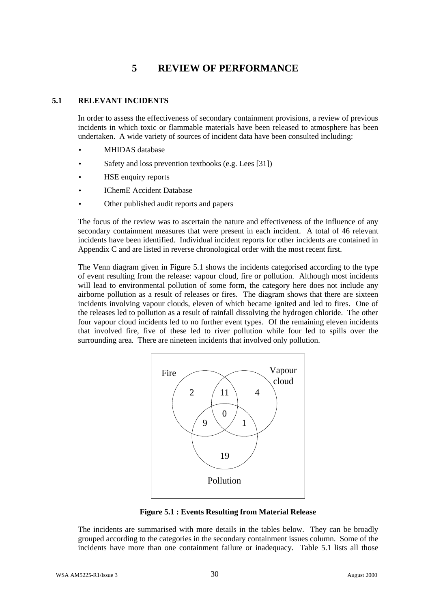# **5 REVIEW OF PERFORMANCE**

# **5.1 RELEVANT INCIDENTS**

In order to assess the effectiveness of secondary containment provisions, a review of previous incidents in which toxic or flammable materials have been released to atmosphere has been undertaken. A wide variety of sources of incident data have been consulted including:

- MHIDAS database
- Safety and loss prevention textbooks (e.g. Lees [31])
- HSE enquiry reports
- IChemE Accident Database
- Other published audit reports and papers

The focus of the review was to ascertain the nature and effectiveness of the influence of any secondary containment measures that were present in each incident. A total of 46 relevant incidents have been identified. Individual incident reports for other incidents are contained in Appendix C and are listed in reverse chronological order with the most recent first.

The Venn diagram given in Figure 5.1 shows the incidents categorised according to the type of event resulting from the release: vapour cloud, fire or pollution. Although most incidents will lead to environmental pollution of some form, the category here does not include any airborne pollution as a result of releases or fires. The diagram shows that there are sixteen incidents involving vapour clouds, eleven of which became ignited and led to fires. One of the releases led to pollution as a result of rainfall dissolving the hydrogen chloride. The other four vapour cloud incidents led to no further event types. Of the remaining eleven incidents that involved fire, five of these led to river pollution while four led to spills over the surrounding area. There are nineteen incidents that involved only pollution.



**Figure 5.1 : Events Resulting from Material Release**

The incidents are summarised with more details in the tables below. They can be broadly grouped according to the categories in the secondary containment issues column. Some of the incidents have more than one containment failure or inadequacy. Table 5.1 lists all those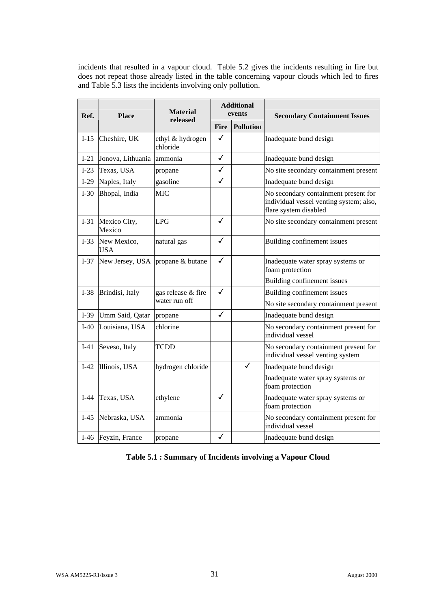incidents that resulted in a vapour cloud. Table 5.2 gives the incidents resulting in fire but does not repeat those already listed in the table concerning vapour clouds which led to fires and Table 5.3 lists the incidents involving only pollution.

| Ref.   | <b>Place</b>              | <b>Material</b>              | <b>Additional</b><br>events |                  | <b>Secondary Containment Issues</b>                                                                      |
|--------|---------------------------|------------------------------|-----------------------------|------------------|----------------------------------------------------------------------------------------------------------|
|        |                           | released                     | Fire                        | <b>Pollution</b> |                                                                                                          |
| $I-15$ | Cheshire, UK              | ethyl & hydrogen<br>chloride | ✓                           |                  | Inadequate bund design                                                                                   |
| $I-21$ | Jonova, Lithuania         | ammonia                      | $\checkmark$                |                  | Inadequate bund design                                                                                   |
| $I-23$ | Texas, USA                | propane                      | ✓                           |                  | No site secondary containment present                                                                    |
| $I-29$ | Naples, Italy             | gasoline                     | ✓                           |                  | Inadequate bund design                                                                                   |
| $I-30$ | Bhopal, India             | <b>MIC</b>                   |                             |                  | No secondary containment present for<br>individual vessel venting system; also,<br>flare system disabled |
| $I-31$ | Mexico City,<br>Mexico    | LPG                          | $\checkmark$                |                  | No site secondary containment present                                                                    |
| $I-33$ | New Mexico,<br><b>USA</b> | natural gas                  | ✓                           |                  | Building confinement issues                                                                              |
| $I-37$ | New Jersey, USA           | propane & butane             | ✓                           |                  | Inadequate water spray systems or<br>foam protection                                                     |
|        |                           |                              |                             |                  | Building confinement issues                                                                              |
| $I-38$ | Brindisi, Italy           | gas release & fire           | $\checkmark$                |                  | Building confinement issues                                                                              |
|        |                           | water run off                |                             |                  | No site secondary containment present                                                                    |
| I-39   | Umm Said, Qatar           | propane                      | ℐ                           |                  | Inadequate bund design                                                                                   |
| $I-40$ | Louisiana, USA            | chlorine                     |                             |                  | No secondary containment present for<br>individual vessel                                                |
| $I-41$ | Seveso, Italy             | TCDD                         |                             |                  | No secondary containment present for<br>individual vessel venting system                                 |
| $I-42$ | Illinois, USA             | hydrogen chloride            |                             | ✓                | Inadequate bund design                                                                                   |
|        |                           |                              |                             |                  | Inadequate water spray systems or<br>foam protection                                                     |
| $I-44$ | Texas, USA                | ethylene                     | ✓                           |                  | Inadequate water spray systems or<br>foam protection                                                     |
| $I-45$ | Nebraska, USA             | ammonia                      |                             |                  | No secondary containment present for<br>individual vessel                                                |
|        | I-46 Feyzin, France       | propane                      | ✓                           |                  | Inadequate bund design                                                                                   |

**Table 5.1 : Summary of Incidents involving a Vapour Cloud**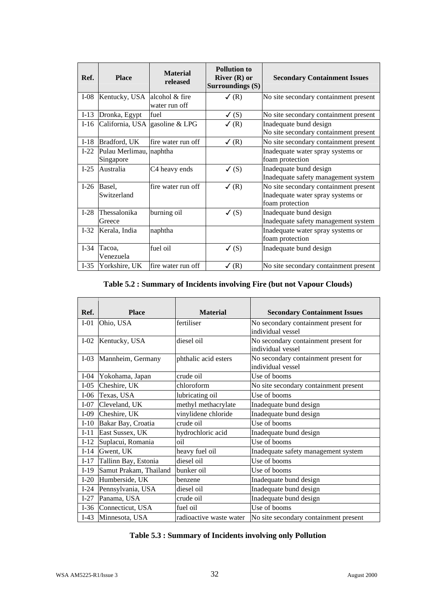| Ref.   | <b>Place</b>                         | <b>Material</b><br>released | <b>Pollution to</b><br>River $(R)$ or<br>Surroundings (S) | <b>Secondary Containment Issues</b>                                                           |
|--------|--------------------------------------|-----------------------------|-----------------------------------------------------------|-----------------------------------------------------------------------------------------------|
| $I-08$ | Kentucky, USA alcohol & fire         | water run off               | $\checkmark$ (R)                                          | No site secondary containment present                                                         |
| $I-13$ | Dronka, Egypt                        | fuel                        | $\checkmark$ (S)                                          | No site secondary containment present                                                         |
| $I-16$ | California, USA gasoline & LPG       |                             | $\sqrt{(R)}$                                              | Inadequate bund design<br>No site secondary containment present                               |
| $I-18$ | Bradford, UK                         | fire water run off          | $\checkmark$ (R)                                          | No site secondary containment present                                                         |
| $I-22$ | Pulau Merlimau, naphtha<br>Singapore |                             |                                                           | Inadequate water spray systems or<br>foam protection                                          |
| $I-25$ | Australia                            | C4 heavy ends               | $\checkmark$ (S)                                          | Inadequate bund design<br>Inadequate safety management system                                 |
| $I-26$ | Basel,<br>Switzerland                | fire water run off          | $\checkmark$ (R)                                          | No site secondary containment present<br>Inadequate water spray systems or<br>foam protection |
| $I-28$ | Thessalonika<br>Greece               | burning oil                 | $\checkmark$ (S)                                          | Inadequate bund design<br>Inadequate safety management system                                 |
| $I-32$ | Kerala, India                        | naphtha                     |                                                           | Inadequate water spray systems or<br>foam protection                                          |
| $I-34$ | Tacoa,<br>Venezuela                  | fuel oil                    | $\checkmark$ (S)                                          | Inadequate bund design                                                                        |
| $I-35$ | Yorkshire, UK                        | fire water run off          | $\checkmark$ (R)                                          | No site secondary containment present                                                         |

# **Table 5.2 : Summary of Incidents involving Fire (but not Vapour Clouds)**

| Ref.   | <b>Place</b>           | <b>Material</b>         | <b>Secondary Containment Issues</b>                       |
|--------|------------------------|-------------------------|-----------------------------------------------------------|
| $I-01$ | Ohio, USA              | fertiliser              | No secondary containment present for<br>individual vessel |
| $I-02$ | Kentucky, USA          | diesel oil              | No secondary containment present for<br>individual vessel |
| $I-03$ | Mannheim, Germany      | phthalic acid esters    | No secondary containment present for<br>individual vessel |
| $I-04$ | Yokohama, Japan        | crude oil               | Use of booms                                              |
| $I-05$ | Cheshire, UK           | chloroform              | No site secondary containment present                     |
| $I-06$ | Texas, USA             | lubricating oil         | Use of booms                                              |
| $I-07$ | Cleveland, UK          | methyl methacrylate     | Inadequate bund design                                    |
| $I-09$ | Cheshire, UK           | vinylidene chloride     | Inadequate bund design                                    |
| $I-10$ | Bakar Bay, Croatia     | crude oil               | Use of booms                                              |
| $I-11$ | East Sussex, UK        | hydrochloric acid       | Inadequate bund design                                    |
| $I-12$ | Suplacui, Romania      | oil                     | Use of booms                                              |
| $I-14$ | Gwent, UK              | heavy fuel oil          | Inadequate safety management system                       |
| $I-17$ | Tallinn Bay, Estonia   | diesel oil              | Use of booms                                              |
| $I-19$ | Samut Prakam, Thailand | bunker oil              | Use of booms                                              |
| $I-20$ | Humberside, UK         | benzene                 | Inadequate bund design                                    |
| $I-24$ | Pennsylvania, USA      | diesel oil              | Inadequate bund design                                    |
| $I-27$ | Panama, USA            | crude oil               | Inadequate bund design                                    |
| $I-36$ | Connecticut, USA       | fuel oil                | Use of booms                                              |
| $I-43$ | Minnesota, USA         | radioactive waste water | No site secondary containment present                     |

|  |  |  |  |  | Table 5.3 : Summary of Incidents involving only Pollution |
|--|--|--|--|--|-----------------------------------------------------------|
|--|--|--|--|--|-----------------------------------------------------------|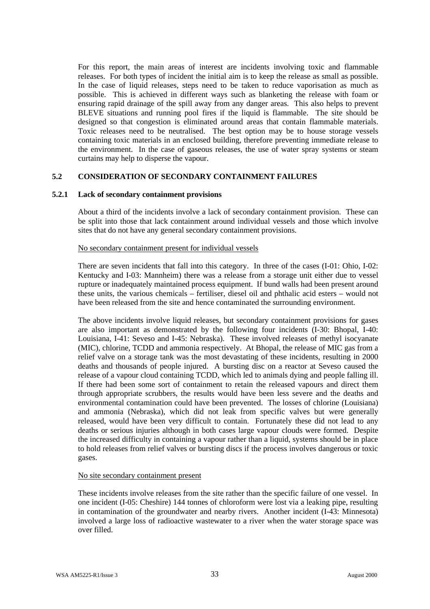For this report, the main areas of interest are incidents involving toxic and flammable releases. For both types of incident the initial aim is to keep the release as small as possible. In the case of liquid releases, steps need to be taken to reduce vaporisation as much as possible. This is achieved in different ways such as blanketing the release with foam or ensuring rapid drainage of the spill away from any danger areas. This also helps to prevent BLEVE situations and running pool fires if the liquid is flammable. The site should be designed so that congestion is eliminated around areas that contain flammable materials. Toxic releases need to be neutralised. The best option may be to house storage vessels containing toxic materials in an enclosed building, therefore preventing immediate release to the environment. In the case of gaseous releases, the use of water spray systems or steam curtains may help to disperse the vapour.

# **5.2 CONSIDERATION OF SECONDARY CONTAINMENT FAILURES**

## **5.2.1 Lack of secondary containment provisions**

About a third of the incidents involve a lack of secondary containment provision. These can be split into those that lack containment around individual vessels and those which involve sites that do not have any general secondary containment provisions.

### No secondary containment present for individual vessels

There are seven incidents that fall into this category. In three of the cases (I-01: Ohio, I-02: Kentucky and I-03: Mannheim) there was a release from a storage unit either due to vessel rupture or inadequately maintained process equipment. If bund walls had been present around these units, the various chemicals – fertiliser, diesel oil and phthalic acid esters – would not have been released from the site and hence contaminated the surrounding environment.

The above incidents involve liquid releases, but secondary containment provisions for gases are also important as demonstrated by the following four incidents (I-30: Bhopal, I-40: Louisiana, I-41: Seveso and I-45: Nebraska). These involved releases of methyl isocyanate (MIC), chlorine, TCDD and ammonia respectively. At Bhopal, the release of MIC gas from a relief valve on a storage tank was the most devastating of these incidents, resulting in 2000 deaths and thousands of people injured. A bursting disc on a reactor at Seveso caused the release of a vapour cloud containing TCDD, which led to animals dying and people falling ill. If there had been some sort of containment to retain the released vapours and direct them through appropriate scrubbers, the results would have been less severe and the deaths and environmental contamination could have been prevented. The losses of chlorine (Louisiana) and ammonia (Nebraska), which did not leak from specific valves but were generally released, would have been very difficult to contain. Fortunately these did not lead to any deaths or serious injuries although in both cases large vapour clouds were formed. Despite the increased difficulty in containing a vapour rather than a liquid, systems should be in place to hold releases from relief valves or bursting discs if the process involves dangerous or toxic gases.

#### No site secondary containment present

These incidents involve releases from the site rather than the specific failure of one vessel. In one incident (I-05: Cheshire) 144 tonnes of chloroform were lost via a leaking pipe, resulting in contamination of the groundwater and nearby rivers. Another incident (I-43: Minnesota) involved a large loss of radioactive wastewater to a river when the water storage space was over filled.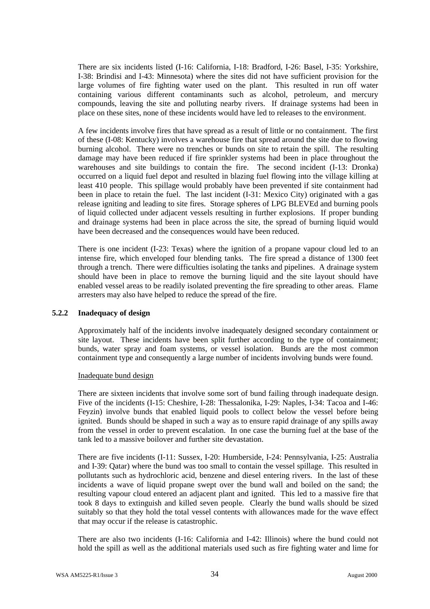There are six incidents listed (I-16: California, I-18: Bradford, I-26: Basel, I-35: Yorkshire, I-38: Brindisi and I-43: Minnesota) where the sites did not have sufficient provision for the large volumes of fire fighting water used on the plant. This resulted in run off water containing various different contaminants such as alcohol, petroleum, and mercury compounds, leaving the site and polluting nearby rivers. If drainage systems had been in place on these sites, none of these incidents would have led to releases to the environment.

A few incidents involve fires that have spread as a result of little or no containment. The first of these (I-08: Kentucky) involves a warehouse fire that spread around the site due to flowing burning alcohol. There were no trenches or bunds on site to retain the spill. The resulting damage may have been reduced if fire sprinkler systems had been in place throughout the warehouses and site buildings to contain the fire. The second incident (I-13: Dronka) occurred on a liquid fuel depot and resulted in blazing fuel flowing into the village killing at least 410 people. This spillage would probably have been prevented if site containment had been in place to retain the fuel. The last incident (I-31: Mexico City) originated with a gas release igniting and leading to site fires. Storage spheres of LPG BLEVEd and burning pools of liquid collected under adjacent vessels resulting in further explosions. If proper bunding and drainage systems had been in place across the site, the spread of burning liquid would have been decreased and the consequences would have been reduced.

There is one incident (I-23: Texas) where the ignition of a propane vapour cloud led to an intense fire, which enveloped four blending tanks. The fire spread a distance of 1300 feet through a trench. There were difficulties isolating the tanks and pipelines. A drainage system should have been in place to remove the burning liquid and the site layout should have enabled vessel areas to be readily isolated preventing the fire spreading to other areas. Flame arresters may also have helped to reduce the spread of the fire.

## **5.2.2 Inadequacy of design**

Approximately half of the incidents involve inadequately designed secondary containment or site layout. These incidents have been split further according to the type of containment; bunds, water spray and foam systems, or vessel isolation. Bunds are the most common containment type and consequently a large number of incidents involving bunds were found.

#### Inadequate bund design

There are sixteen incidents that involve some sort of bund failing through inadequate design. Five of the incidents (I-15: Cheshire, I-28: Thessalonika, I-29: Naples, I-34: Tacoa and I-46: Feyzin) involve bunds that enabled liquid pools to collect below the vessel before being ignited. Bunds should be shaped in such a way as to ensure rapid drainage of any spills away from the vessel in order to prevent escalation. In one case the burning fuel at the base of the tank led to a massive boilover and further site devastation.

There are five incidents (I-11: Sussex, I-20: Humberside, I-24: Pennsylvania, I-25: Australia and I-39: Qatar) where the bund was too small to contain the vessel spillage. This resulted in pollutants such as hydrochloric acid, benzene and diesel entering rivers. In the last of these incidents a wave of liquid propane swept over the bund wall and boiled on the sand; the resulting vapour cloud entered an adjacent plant and ignited. This led to a massive fire that took 8 days to extinguish and killed seven people. Clearly the bund walls should be sized suitably so that they hold the total vessel contents with allowances made for the wave effect that may occur if the release is catastrophic.

There are also two incidents (I-16: California and I-42: Illinois) where the bund could not hold the spill as well as the additional materials used such as fire fighting water and lime for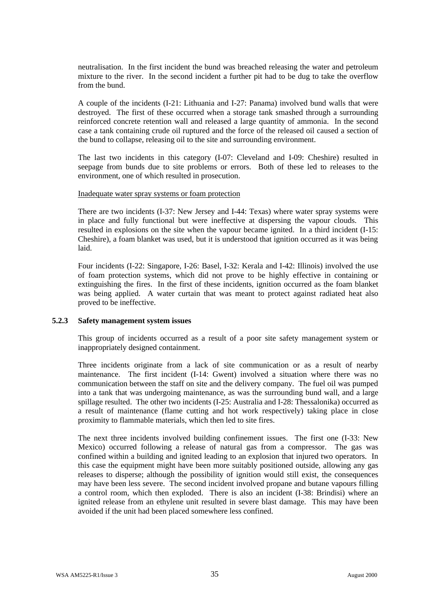neutralisation. In the first incident the bund was breached releasing the water and petroleum mixture to the river. In the second incident a further pit had to be dug to take the overflow from the bund.

A couple of the incidents (I-21: Lithuania and I-27: Panama) involved bund walls that were destroyed. The first of these occurred when a storage tank smashed through a surrounding reinforced concrete retention wall and released a large quantity of ammonia. In the second case a tank containing crude oil ruptured and the force of the released oil caused a section of the bund to collapse, releasing oil to the site and surrounding environment.

The last two incidents in this category (I-07: Cleveland and I-09: Cheshire) resulted in seepage from bunds due to site problems or errors. Both of these led to releases to the environment, one of which resulted in prosecution.

#### Inadequate water spray systems or foam protection

There are two incidents (I-37: New Jersey and I-44: Texas) where water spray systems were in place and fully functional but were ineffective at dispersing the vapour clouds. This resulted in explosions on the site when the vapour became ignited. In a third incident (I-15: Cheshire), a foam blanket was used, but it is understood that ignition occurred as it was being laid.

Four incidents (I-22: Singapore, I-26: Basel, I-32: Kerala and I-42: Illinois) involved the use of foam protection systems, which did not prove to be highly effective in containing or extinguishing the fires. In the first of these incidents, ignition occurred as the foam blanket was being applied. A water curtain that was meant to protect against radiated heat also proved to be ineffective.

## **5.2.3 Safety management system issues**

This group of incidents occurred as a result of a poor site safety management system or inappropriately designed containment.

Three incidents originate from a lack of site communication or as a result of nearby maintenance. The first incident (I-14: Gwent) involved a situation where there was no communication between the staff on site and the delivery company. The fuel oil was pumped into a tank that was undergoing maintenance, as was the surrounding bund wall, and a large spillage resulted. The other two incidents (I-25: Australia and I-28: Thessalonika) occurred as a result of maintenance (flame cutting and hot work respectively) taking place in close proximity to flammable materials, which then led to site fires.

The next three incidents involved building confinement issues. The first one (I-33: New Mexico) occurred following a release of natural gas from a compressor. The gas was confined within a building and ignited leading to an explosion that injured two operators. In this case the equipment might have been more suitably positioned outside, allowing any gas releases to disperse; although the possibility of ignition would still exist, the consequences may have been less severe. The second incident involved propane and butane vapours filling a control room, which then exploded. There is also an incident (I-38: Brindisi) where an ignited release from an ethylene unit resulted in severe blast damage. This may have been avoided if the unit had been placed somewhere less confined.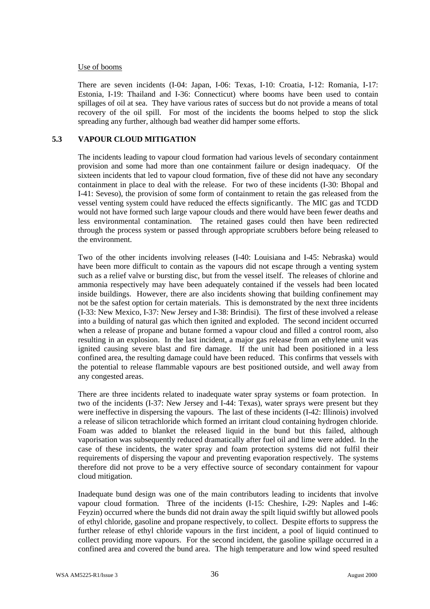### Use of booms

There are seven incidents (I-04: Japan, I-06: Texas, I-10: Croatia, I-12: Romania, I-17: Estonia, I-19: Thailand and I-36: Connecticut) where booms have been used to contain spillages of oil at sea. They have various rates of success but do not provide a means of total recovery of the oil spill. For most of the incidents the booms helped to stop the slick spreading any further, although bad weather did hamper some efforts.

# **5.3 VAPOUR CLOUD MITIGATION**

The incidents leading to vapour cloud formation had various levels of secondary containment provision and some had more than one containment failure or design inadequacy. Of the sixteen incidents that led to vapour cloud formation, five of these did not have any secondary containment in place to deal with the release. For two of these incidents (I-30: Bhopal and I-41: Seveso), the provision of some form of containment to retain the gas released from the vessel venting system could have reduced the effects significantly. The MIC gas and TCDD would not have formed such large vapour clouds and there would have been fewer deaths and less environmental contamination. The retained gases could then have been redirected through the process system or passed through appropriate scrubbers before being released to the environment.

Two of the other incidents involving releases (I-40: Louisiana and I-45: Nebraska) would have been more difficult to contain as the vapours did not escape through a venting system such as a relief valve or bursting disc, but from the vessel itself. The releases of chlorine and ammonia respectively may have been adequately contained if the vessels had been located inside buildings. However, there are also incidents showing that building confinement may not be the safest option for certain materials. This is demonstrated by the next three incidents (I-33: New Mexico, I-37: New Jersey and I-38: Brindisi). The first of these involved a release into a building of natural gas which then ignited and exploded. The second incident occurred when a release of propane and butane formed a vapour cloud and filled a control room, also resulting in an explosion. In the last incident, a major gas release from an ethylene unit was ignited causing severe blast and fire damage. If the unit had been positioned in a less confined area, the resulting damage could have been reduced. This confirms that vessels with the potential to release flammable vapours are best positioned outside, and well away from any congested areas.

There are three incidents related to inadequate water spray systems or foam protection. In two of the incidents (I-37: New Jersey and I-44: Texas), water sprays were present but they were ineffective in dispersing the vapours. The last of these incidents (I-42: Illinois) involved a release of silicon tetrachloride which formed an irritant cloud containing hydrogen chloride. Foam was added to blanket the released liquid in the bund but this failed, although vaporisation was subsequently reduced dramatically after fuel oil and lime were added. In the case of these incidents, the water spray and foam protection systems did not fulfil their requirements of dispersing the vapour and preventing evaporation respectively. The systems therefore did not prove to be a very effective source of secondary containment for vapour cloud mitigation.

Inadequate bund design was one of the main contributors leading to incidents that involve vapour cloud formation. Three of the incidents (I-15: Cheshire, I-29: Naples and I-46: Feyzin) occurred where the bunds did not drain away the spilt liquid swiftly but allowed pools of ethyl chloride, gasoline and propane respectively, to collect. Despite efforts to suppress the further release of ethyl chloride vapours in the first incident, a pool of liquid continued to collect providing more vapours. For the second incident, the gasoline spillage occurred in a confined area and covered the bund area. The high temperature and low wind speed resulted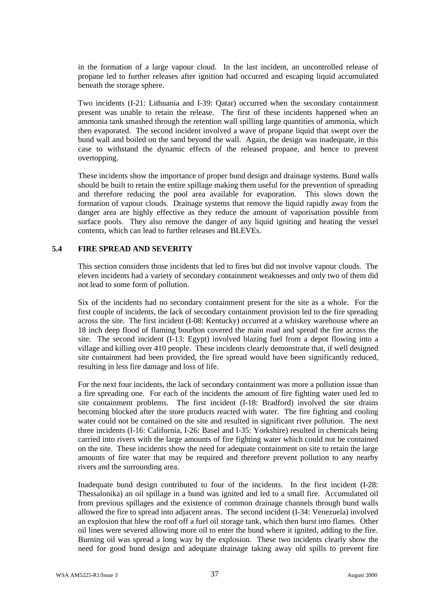in the formation of a large vapour cloud. In the last incident, an uncontrolled release of propane led to further releases after ignition had occurred and escaping liquid accumulated beneath the storage sphere.

Two incidents (I-21: Lithuania and I-39: Qatar) occurred when the secondary containment present was unable to retain the release. The first of these incidents happened when an ammonia tank smashed through the retention wall spilling large quantities of ammonia, which then evaporated. The second incident involved a wave of propane liquid that swept over the bund wall and boiled on the sand beyond the wall. Again, the design was inadequate, in this case to withstand the dynamic effects of the released propane, and hence to prevent overtopping.

These incidents show the importance of proper bund design and drainage systems. Bund walls should be built to retain the entire spillage making them useful for the prevention of spreading and therefore reducing the pool area available for evaporation. This slows down the formation of vapour clouds. Drainage systems that remove the liquid rapidly away from the danger area are highly effective as they reduce the amount of vaporisation possible from surface pools. They also remove the danger of any liquid igniting and heating the vessel contents, which can lead to further releases and BLEVEs.

# **5.4 FIRE SPREAD AND SEVERITY**

This section considers those incidents that led to fires but did not involve vapour clouds. The eleven incidents had a variety of secondary containment weaknesses and only two of them did not lead to some form of pollution.

Six of the incidents had no secondary containment present for the site as a whole. For the first couple of incidents, the lack of secondary containment provision led to the fire spreading across the site. The first incident (I-08: Kentucky) occurred at a whiskey warehouse where an 18 inch deep flood of flaming bourbon covered the main road and spread the fire across the site. The second incident (I-13: Egypt) involved blazing fuel from a depot flowing into a village and killing over 410 people. These incidents clearly demonstrate that, if well designed site containment had been provided, the fire spread would have been significantly reduced, resulting in less fire damage and loss of life.

For the next four incidents, the lack of secondary containment was more a pollution issue than a fire spreading one. For each of the incidents the amount of fire fighting water used led to site containment problems. The first incident (I-18: Bradford) involved the site drains becoming blocked after the store products reacted with water. The fire fighting and cooling water could not be contained on the site and resulted in significant river pollution. The next three incidents (I-16: California, I-26: Basel and I-35: Yorkshire) resulted in chemicals being carried into rivers with the large amounts of fire fighting water which could not be contained on the site. These incidents show the need for adequate containment on site to retain the large amounts of fire water that may be required and therefore prevent pollution to any nearby rivers and the surrounding area.

Inadequate bund design contributed to four of the incidents. In the first incident (I-28: Thessalonika) an oil spillage in a bund was ignited and led to a small fire. Accumulated oil from previous spillages and the existence of common drainage channels through bund walls allowed the fire to spread into adjacent areas. The second incident (I-34: Venezuela) involved an explosion that blew the roof off a fuel oil storage tank, which then burst into flames. Other oil lines were severed allowing more oil to enter the bund where it ignited, adding to the fire. Burning oil was spread a long way by the explosion. These two incidents clearly show the need for good bund design and adequate drainage taking away old spills to prevent fire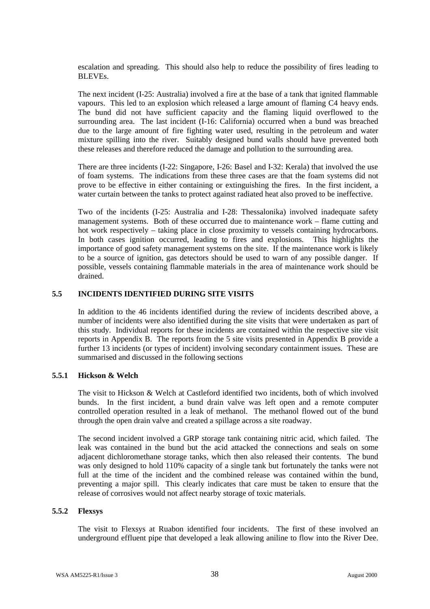escalation and spreading. This should also help to reduce the possibility of fires leading to BLEVEs.

The next incident (I-25: Australia) involved a fire at the base of a tank that ignited flammable vapours. This led to an explosion which released a large amount of flaming C4 heavy ends. The bund did not have sufficient capacity and the flaming liquid overflowed to the surrounding area. The last incident (I-16: California) occurred when a bund was breached due to the large amount of fire fighting water used, resulting in the petroleum and water mixture spilling into the river. Suitably designed bund walls should have prevented both these releases and therefore reduced the damage and pollution to the surrounding area.

There are three incidents (I-22: Singapore, I-26: Basel and I-32: Kerala) that involved the use of foam systems. The indications from these three cases are that the foam systems did not prove to be effective in either containing or extinguishing the fires. In the first incident, a water curtain between the tanks to protect against radiated heat also proved to be ineffective.

Two of the incidents (I-25: Australia and I-28: Thessalonika) involved inadequate safety management systems. Both of these occurred due to maintenance work – flame cutting and hot work respectively – taking place in close proximity to vessels containing hydrocarbons. In both cases ignition occurred, leading to fires and explosions. This highlights the importance of good safety management systems on the site. If the maintenance work is likely to be a source of ignition, gas detectors should be used to warn of any possible danger. If possible, vessels containing flammable materials in the area of maintenance work should be drained.

## **5.5 INCIDENTS IDENTIFIED DURING SITE VISITS**

In addition to the 46 incidents identified during the review of incidents described above, a number of incidents were also identified during the site visits that were undertaken as part of this study. Individual reports for these incidents are contained within the respective site visit reports in Appendix B. The reports from the 5 site visits presented in Appendix B provide a further 13 incidents (or types of incident) involving secondary containment issues. These are summarised and discussed in the following sections

## **5.5.1 Hickson & Welch**

The visit to Hickson & Welch at Castleford identified two incidents, both of which involved bunds. In the first incident, a bund drain valve was left open and a remote computer controlled operation resulted in a leak of methanol. The methanol flowed out of the bund through the open drain valve and created a spillage across a site roadway.

The second incident involved a GRP storage tank containing nitric acid, which failed. The leak was contained in the bund but the acid attacked the connections and seals on some adjacent dichloromethane storage tanks, which then also released their contents. The bund was only designed to hold 110% capacity of a single tank but fortunately the tanks were not full at the time of the incident and the combined release was contained within the bund, preventing a major spill. This clearly indicates that care must be taken to ensure that the release of corrosives would not affect nearby storage of toxic materials.

#### **5.5.2 Flexsys**

The visit to Flexsys at Ruabon identified four incidents. The first of these involved an underground effluent pipe that developed a leak allowing aniline to flow into the River Dee.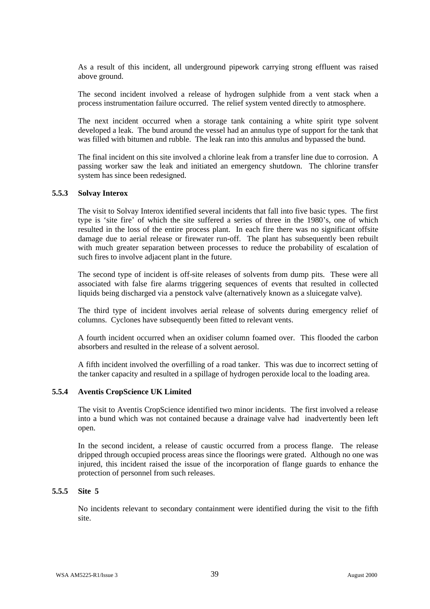As a result of this incident, all underground pipework carrying strong effluent was raised above ground.

The second incident involved a release of hydrogen sulphide from a vent stack when a process instrumentation failure occurred. The relief system vented directly to atmosphere.

The next incident occurred when a storage tank containing a white spirit type solvent developed a leak. The bund around the vessel had an annulus type of support for the tank that was filled with bitumen and rubble. The leak ran into this annulus and bypassed the bund.

The final incident on this site involved a chlorine leak from a transfer line due to corrosion. A passing worker saw the leak and initiated an emergency shutdown. The chlorine transfer system has since been redesigned.

### **5.5.3 Solvay Interox**

The visit to Solvay Interox identified several incidents that fall into five basic types. The first type is 'site fire' of which the site suffered a series of three in the 1980's, one of which resulted in the loss of the entire process plant. In each fire there was no significant offsite damage due to aerial release or firewater run-off. The plant has subsequently been rebuilt with much greater separation between processes to reduce the probability of escalation of such fires to involve adjacent plant in the future.

The second type of incident is off-site releases of solvents from dump pits. These were all associated with false fire alarms triggering sequences of events that resulted in collected liquids being discharged via a penstock valve (alternatively known as a sluicegate valve).

The third type of incident involves aerial release of solvents during emergency relief of columns. Cyclones have subsequently been fitted to relevant vents.

A fourth incident occurred when an oxidiser column foamed over. This flooded the carbon absorbers and resulted in the release of a solvent aerosol.

A fifth incident involved the overfilling of a road tanker. This was due to incorrect setting of the tanker capacity and resulted in a spillage of hydrogen peroxide local to the loading area.

### **5.5.4 Aventis CropScience UK Limited**

The visit to Aventis CropScience identified two minor incidents. The first involved a release into a bund which was not contained because a drainage valve had inadvertently been left open.

In the second incident, a release of caustic occurred from a process flange. The release dripped through occupied process areas since the floorings were grated. Although no one was injured, this incident raised the issue of the incorporation of flange guards to enhance the protection of personnel from such releases.

#### **5.5.5 Site 5**

No incidents relevant to secondary containment were identified during the visit to the fifth site.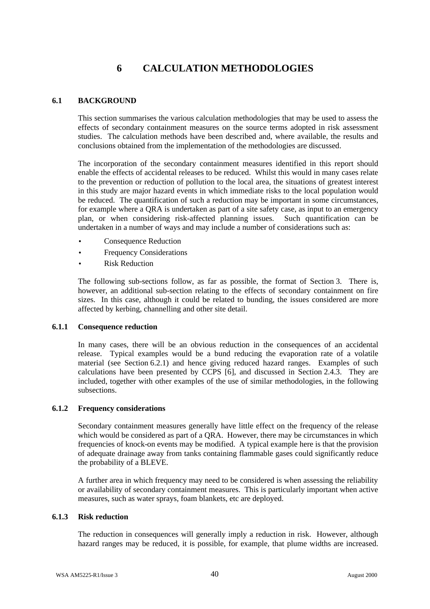# **6 CALCULATION METHODOLOGIES**

# **6.1 BACKGROUND**

This section summarises the various calculation methodologies that may be used to assess the effects of secondary containment measures on the source terms adopted in risk assessment studies. The calculation methods have been described and, where available, the results and conclusions obtained from the implementation of the methodologies are discussed.

The incorporation of the secondary containment measures identified in this report should enable the effects of accidental releases to be reduced. Whilst this would in many cases relate to the prevention or reduction of pollution to the local area, the situations of greatest interest in this study are major hazard events in which immediate risks to the local population would be reduced. The quantification of such a reduction may be important in some circumstances, for example where a QRA is undertaken as part of a site safety case, as input to an emergency plan, or when considering risk-affected planning issues. Such quantification can be undertaken in a number of ways and may include a number of considerations such as:

- Consequence Reduction
- **Frequency Considerations**
- **Risk Reduction**

The following sub-sections follow, as far as possible, the format of Section 3. There is, however, an additional sub-section relating to the effects of secondary containment on fire sizes. In this case, although it could be related to bunding, the issues considered are more affected by kerbing, channelling and other site detail.

## **6.1.1 Consequence reduction**

In many cases, there will be an obvious reduction in the consequences of an accidental release. Typical examples would be a bund reducing the evaporation rate of a volatile material (see Section 6.2.1) and hence giving reduced hazard ranges. Examples of such calculations have been presented by CCPS [6], and discussed in Section 2.4.3. They are included, together with other examples of the use of similar methodologies, in the following subsections.

## **6.1.2 Frequency considerations**

Secondary containment measures generally have little effect on the frequency of the release which would be considered as part of a QRA. However, there may be circumstances in which frequencies of knock-on events may be modified. A typical example here is that the provision of adequate drainage away from tanks containing flammable gases could significantly reduce the probability of a BLEVE.

A further area in which frequency may need to be considered is when assessing the reliability or availability of secondary containment measures. This is particularly important when active measures, such as water sprays, foam blankets, etc are deployed.

## **6.1.3 Risk reduction**

The reduction in consequences will generally imply a reduction in risk. However, although hazard ranges may be reduced, it is possible, for example, that plume widths are increased.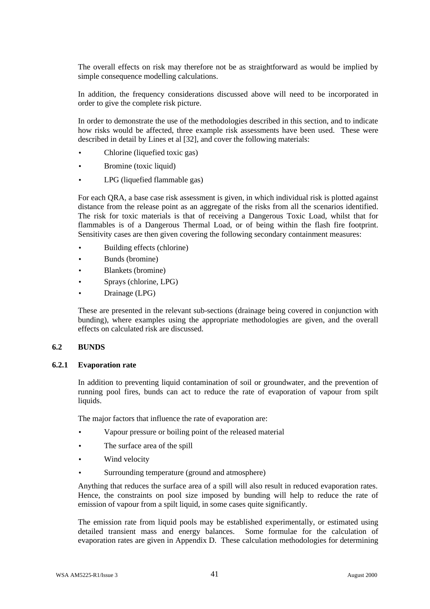The overall effects on risk may therefore not be as straightforward as would be implied by simple consequence modelling calculations.

In addition, the frequency considerations discussed above will need to be incorporated in order to give the complete risk picture.

In order to demonstrate the use of the methodologies described in this section, and to indicate how risks would be affected, three example risk assessments have been used. These were described in detail by Lines et al [32], and cover the following materials:

- Chlorine (liquefied toxic gas)
- Bromine (toxic liquid)
- LPG (liquefied flammable gas)

For each QRA, a base case risk assessment is given, in which individual risk is plotted against distance from the release point as an aggregate of the risks from all the scenarios identified. The risk for toxic materials is that of receiving a Dangerous Toxic Load, whilst that for flammables is of a Dangerous Thermal Load, or of being within the flash fire footprint. Sensitivity cases are then given covering the following secondary containment measures:

- Building effects (chlorine)
- Bunds (bromine)
- Blankets (bromine)
- Sprays (chlorine, LPG)
- Drainage (LPG)

These are presented in the relevant sub-sections (drainage being covered in conjunction with bunding), where examples using the appropriate methodologies are given, and the overall effects on calculated risk are discussed.

# **6.2 BUNDS**

#### **6.2.1 Evaporation rate**

In addition to preventing liquid contamination of soil or groundwater, and the prevention of running pool fires, bunds can act to reduce the rate of evaporation of vapour from spilt liquids.

The major factors that influence the rate of evaporation are:

- Vapour pressure or boiling point of the released material
- The surface area of the spill
- Wind velocity
- Surrounding temperature (ground and atmosphere)

Anything that reduces the surface area of a spill will also result in reduced evaporation rates. Hence, the constraints on pool size imposed by bunding will help to reduce the rate of emission of vapour from a spilt liquid, in some cases quite significantly.

The emission rate from liquid pools may be established experimentally, or estimated using detailed transient mass and energy balances. Some formulae for the calculation of evaporation rates are given in Appendix D. These calculation methodologies for determining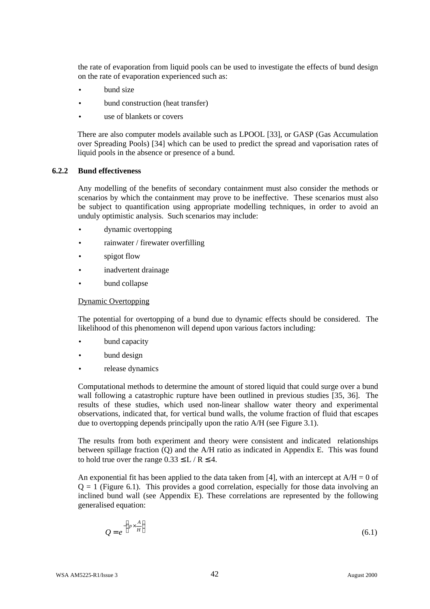the rate of evaporation from liquid pools can be used to investigate the effects of bund design on the rate of evaporation experienced such as:

- bund size
- bund construction (heat transfer)
- use of blankets or covers

There are also computer models available such as LPOOL [33], or GASP (Gas Accumulation over Spreading Pools) [34] which can be used to predict the spread and vaporisation rates of liquid pools in the absence or presence of a bund.

# **6.2.2 Bund effectiveness**

Any modelling of the benefits of secondary containment must also consider the methods or scenarios by which the containment may prove to be ineffective. These scenarios must also be subject to quantification using appropriate modelling techniques, in order to avoid an unduly optimistic analysis. Such scenarios may include:

- dynamic overtopping
- rainwater / firewater overfilling
- spigot flow
- inadvertent drainage
- bund collapse

## Dynamic Overtopping

The potential for overtopping of a bund due to dynamic effects should be considered. The likelihood of this phenomenon will depend upon various factors including:

- bund capacity
- bund design
- release dynamics

Computational methods to determine the amount of stored liquid that could surge over a bund wall following a catastrophic rupture have been outlined in previous studies [35, 36]. The results of these studies, which used non-linear shallow water theory and experimental observations, indicated that, for vertical bund walls, the volume fraction of fluid that escapes due to overtopping depends principally upon the ratio A/H (see Figure 3.1).

The results from both experiment and theory were consistent and indicated relationships between spillage fraction (Q) and the A/H ratio as indicated in Appendix E. This was found to hold true over the range  $0.33 \leq L/R \leq 4$ .

An exponential fit has been applied to the data taken from [4], with an intercept at  $A/H = 0$  of  $Q = 1$  (Figure 6.1). This provides a good correlation, especially for those data involving an inclined bund wall (see Appendix E). These correlations are represented by the following generalised equation:

$$
Q = e^{-\left(p \times \frac{A}{H}\right)}
$$
\n(6.1)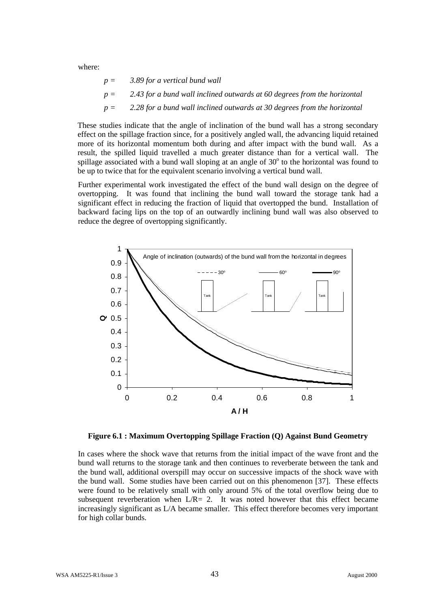where:

$$
p = 3.89
$$
 for a vertical bund wall  

$$
p = 2.43
$$
 for a bund wall inclined outwards at 60 degrees from the horizontal  

$$
p = 2.28
$$
 for a bund wall inclined outwards at 30 degrees from the horizontal

These studies indicate that the angle of inclination of the bund wall has a strong secondary effect on the spillage fraction since, for a positively angled wall, the advancing liquid retained more of its horizontal momentum both during and after impact with the bund wall. As a result, the spilled liquid travelled a much greater distance than for a vertical wall. The spillage associated with a bund wall sloping at an angle of  $30^{\circ}$  to the horizontal was found to be up to twice that for the equivalent scenario involving a vertical bund wall.

Further experimental work investigated the effect of the bund wall design on the degree of overtopping. It was found that inclining the bund wall toward the storage tank had a significant effect in reducing the fraction of liquid that overtopped the bund. Installation of backward facing lips on the top of an outwardly inclining bund wall was also observed to reduce the degree of overtopping significantly.



**Figure 6.1 : Maximum Overtopping Spillage Fraction (Q) Against Bund Geometry**

In cases where the shock wave that returns from the initial impact of the wave front and the bund wall returns to the storage tank and then continues to reverberate between the tank and the bund wall, additional overspill may occur on successive impacts of the shock wave with the bund wall. Some studies have been carried out on this phenomenon [37]. These effects were found to be relatively small with only around 5% of the total overflow being due to subsequent reverberation when  $L/R = 2$ . It was noted however that this effect became increasingly significant as L/A became smaller. This effect therefore becomes very important for high collar bunds.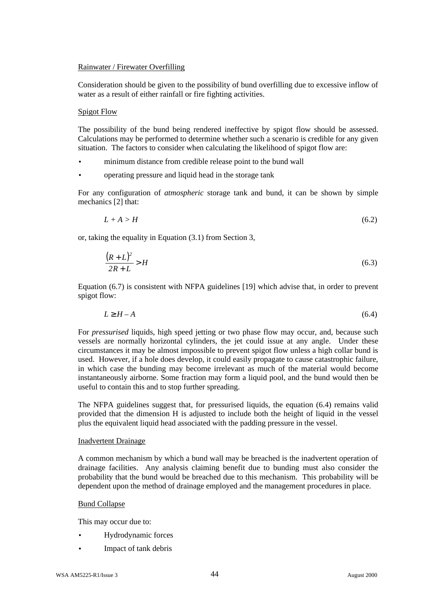### Rainwater / Firewater Overfilling

Consideration should be given to the possibility of bund overfilling due to excessive inflow of water as a result of either rainfall or fire fighting activities.

### Spigot Flow

The possibility of the bund being rendered ineffective by spigot flow should be assessed. Calculations may be performed to determine whether such a scenario is credible for any given situation. The factors to consider when calculating the likelihood of spigot flow are:

- minimum distance from credible release point to the bund wall
- operating pressure and liquid head in the storage tank

For any configuration of *atmospheric* storage tank and bund, it can be shown by simple mechanics [2] that:

$$
L + A > H \tag{6.2}
$$

or, taking the equality in Equation (3.1) from Section 3,

$$
\frac{(R+L)^2}{2R+L} > H\tag{6.3}
$$

Equation (6.7) is consistent with NFPA guidelines [19] which advise that, in order to prevent spigot flow:

$$
L^3H-A \tag{6.4}
$$

For *pressurised* liquids, high speed jetting or two phase flow may occur, and, because such vessels are normally horizontal cylinders, the jet could issue at any angle. Under these circumstances it may be almost impossible to prevent spigot flow unless a high collar bund is used. However, if a hole does develop, it could easily propagate to cause catastrophic failure, in which case the bunding may become irrelevant as much of the material would become instantaneously airborne. Some fraction may form a liquid pool, and the bund would then be useful to contain this and to stop further spreading.

The NFPA guidelines suggest that, for pressurised liquids, the equation (6.4) remains valid provided that the dimension H is adjusted to include both the height of liquid in the vessel plus the equivalent liquid head associated with the padding pressure in the vessel.

### Inadvertent Drainage

A common mechanism by which a bund wall may be breached is the inadvertent operation of drainage facilities. Any analysis claiming benefit due to bunding must also consider the probability that the bund would be breached due to this mechanism. This probability will be dependent upon the method of drainage employed and the management procedures in place.

#### Bund Collapse

This may occur due to:

- Hydrodynamic forces
- Impact of tank debris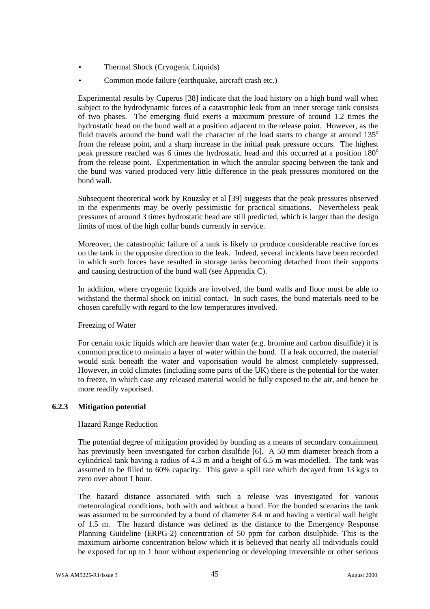- Thermal Shock (Cryogenic Liquids)
- Common mode failure (earthquake, aircraft crash etc.)

Experimental results by Cuperus [38] indicate that the load history on a high bund wall when subject to the hydrodynamic forces of a catastrophic leak from an inner storage tank consists of two phases. The emerging fluid exerts a maximum pressure of around 1.2 times the hydrostatic head on the bund wall at a position adjacent to the release point. However, as the fluid travels around the bund wall the character of the load starts to change at around  $135^\circ$ from the release point, and a sharp increase in the initial peak pressure occurs. The highest peak pressure reached was 6 times the hydrostatic head and this occurred at a position  $180^\circ$ from the release point. Experimentation in which the annular spacing between the tank and the bund was varied produced very little difference in the peak pressures monitored on the bund wall.

Subsequent theoretical work by Rouzsky et al [39] suggests that the peak pressures observed in the experiments may be overly pessimistic for practical situations. Nevertheless peak pressures of around 3 times hydrostatic head are still predicted, which is larger than the design limits of most of the high collar bunds currently in service.

Moreover, the catastrophic failure of a tank is likely to produce considerable reactive forces on the tank in the opposite direction to the leak. Indeed, several incidents have been recorded in which such forces have resulted in storage tanks becoming detached from their supports and causing destruction of the bund wall (see Appendix C).

In addition, where cryogenic liquids are involved, the bund walls and floor must be able to withstand the thermal shock on initial contact. In such cases, the bund materials need to be chosen carefully with regard to the low temperatures involved.

## Freezing of Water

For certain toxic liquids which are heavier than water (e.g. bromine and carbon disulfide) it is common practice to maintain a layer of water within the bund. If a leak occurred, the material would sink beneath the water and vaporisation would be almost completely suppressed. However, in cold climates (including some parts of the UK) there is the potential for the water to freeze, in which case any released material would be fully exposed to the air, and hence be more readily vaporised.

## **6.2.3 Mitigation potential**

## Hazard Range Reduction

The potential degree of mitigation provided by bunding as a means of secondary containment has previously been investigated for carbon disulfide [6]. A 50 mm diameter breach from a cylindrical tank having a radius of 4.3 m and a height of 6.5 m was modelled. The tank was assumed to be filled to 60% capacity. This gave a spill rate which decayed from 13 kg/s to zero over about 1 hour.

The hazard distance associated with such a release was investigated for various meteorological conditions, both with and without a bund. For the bunded scenarios the tank was assumed to be surrounded by a bund of diameter 8.4 m and having a vertical wall height of 1.5 m. The hazard distance was defined as the distance to the Emergency Response Planning Guideline (ERPG-2) concentration of 50 ppm for carbon disulphide. This is the maximum airborne concentration below which it is believed that nearly all individuals could be exposed for up to 1 hour without experiencing or developing irreversible or other serious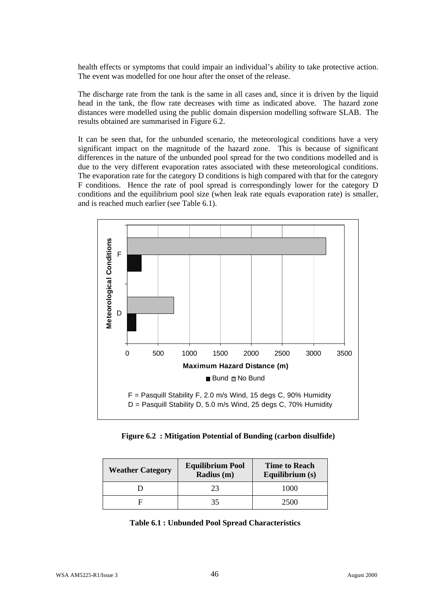health effects or symptoms that could impair an individual's ability to take protective action. The event was modelled for one hour after the onset of the release.

The discharge rate from the tank is the same in all cases and, since it is driven by the liquid head in the tank, the flow rate decreases with time as indicated above. The hazard zone distances were modelled using the public domain dispersion modelling software SLAB. The results obtained are summarised in Figure 6.2.

It can be seen that, for the unbunded scenario, the meteorological conditions have a very significant impact on the magnitude of the hazard zone. This is because of significant differences in the nature of the unbunded pool spread for the two conditions modelled and is due to the very different evaporation rates associated with these meteorological conditions. The evaporation rate for the category D conditions is high compared with that for the category F conditions. Hence the rate of pool spread is correspondingly lower for the category D conditions and the equilibrium pool size (when leak rate equals evaporation rate) is smaller, and is reached much earlier (see Table 6.1).



**Figure 6.2 : Mitigation Potential of Bunding (carbon disulfide)**

| <b>Weather Category</b> | <b>Equilibrium Pool</b><br>Radius (m) | <b>Time to Reach</b><br>Equilibrium (s) |  |
|-------------------------|---------------------------------------|-----------------------------------------|--|
|                         | つつ                                    | 1000                                    |  |
|                         |                                       | 2500                                    |  |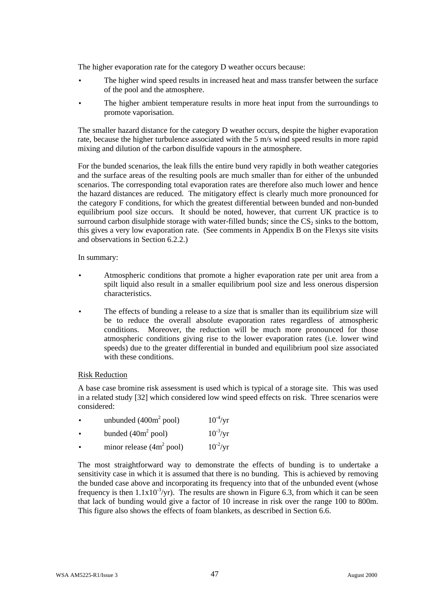The higher evaporation rate for the category D weather occurs because:

- The higher wind speed results in increased heat and mass transfer between the surface of the pool and the atmosphere.
- The higher ambient temperature results in more heat input from the surroundings to promote vaporisation.

The smaller hazard distance for the category D weather occurs, despite the higher evaporation rate, because the higher turbulence associated with the 5 m/s wind speed results in more rapid mixing and dilution of the carbon disulfide vapours in the atmosphere.

For the bunded scenarios, the leak fills the entire bund very rapidly in both weather categories and the surface areas of the resulting pools are much smaller than for either of the unbunded scenarios. The corresponding total evaporation rates are therefore also much lower and hence the hazard distances are reduced. The mitigatory effect is clearly much more pronounced for the category F conditions, for which the greatest differential between bunded and non-bunded equilibrium pool size occurs. It should be noted, however, that current UK practice is to surround carbon disulphide storage with water-filled bunds; since the  $CS_2$  sinks to the bottom, this gives a very low evaporation rate. (See comments in Appendix B on the Flexys site visits and observations in Section 6.2.2.)

In summary:

- Atmospheric conditions that promote a higher evaporation rate per unit area from a spilt liquid also result in a smaller equilibrium pool size and less onerous dispersion characteristics.
- The effects of bunding a release to a size that is smaller than its equilibrium size will be to reduce the overall absolute evaporation rates regardless of atmospheric conditions. Moreover, the reduction will be much more pronounced for those atmospheric conditions giving rise to the lower evaporation rates (i.e. lower wind speeds) due to the greater differential in bunded and equilibrium pool size associated with these conditions.

## Risk Reduction

A base case bromine risk assessment is used which is typical of a storage site. This was used in a related study [32] which considered low wind speed effects on risk. Three scenarios were considered:

| $\bullet$ | unbunded $(400m^2$ pool)            | $10^{-4}$ /yr |
|-----------|-------------------------------------|---------------|
| $\bullet$ | bunded $(40m^2$ pool)               | $10^{-3}/yr$  |
| $\bullet$ | minor release $(4m^2 \text{ pool})$ | $10^{-2}$ /yr |

The most straightforward way to demonstrate the effects of bunding is to undertake a sensitivity case in which it is assumed that there is no bunding. This is achieved by removing the bunded case above and incorporating its frequency into that of the unbunded event (whose frequency is then  $1.1x10^{-3}/yr$ ). The results are shown in Figure 6.3, from which it can be seen that lack of bunding would give a factor of 10 increase in risk over the range 100 to 800m. This figure also shows the effects of foam blankets, as described in Section 6.6.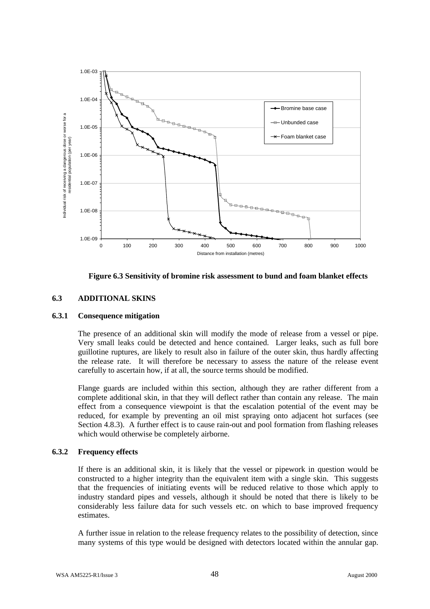

**Figure 6.3 Sensitivity of bromine risk assessment to bund and foam blanket effects**

# **6.3 ADDITIONAL SKINS**

## **6.3.1 Consequence mitigation**

The presence of an additional skin will modify the mode of release from a vessel or pipe. Very small leaks could be detected and hence contained. Larger leaks, such as full bore guillotine ruptures, are likely to result also in failure of the outer skin, thus hardly affecting the release rate. It will therefore be necessary to assess the nature of the release event carefully to ascertain how, if at all, the source terms should be modified.

Flange guards are included within this section, although they are rather different from a complete additional skin, in that they will deflect rather than contain any release. The main effect from a consequence viewpoint is that the escalation potential of the event may be reduced, for example by preventing an oil mist spraying onto adjacent hot surfaces (see Section 4.8.3). A further effect is to cause rain-out and pool formation from flashing releases which would otherwise be completely airborne.

## **6.3.2 Frequency effects**

If there is an additional skin, it is likely that the vessel or pipework in question would be constructed to a higher integrity than the equivalent item with a single skin. This suggests that the frequencies of initiating events will be reduced relative to those which apply to industry standard pipes and vessels, although it should be noted that there is likely to be considerably less failure data for such vessels etc. on which to base improved frequency estimates.

A further issue in relation to the release frequency relates to the possibility of detection, since many systems of this type would be designed with detectors located within the annular gap.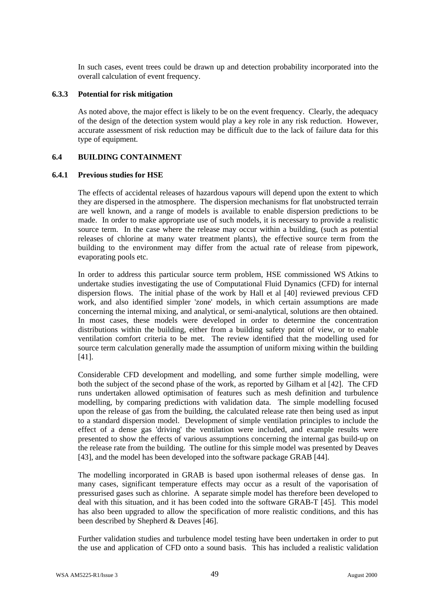In such cases, event trees could be drawn up and detection probability incorporated into the overall calculation of event frequency.

### **6.3.3 Potential for risk mitigation**

As noted above, the major effect is likely to be on the event frequency. Clearly, the adequacy of the design of the detection system would play a key role in any risk reduction. However, accurate assessment of risk reduction may be difficult due to the lack of failure data for this type of equipment.

# **6.4 BUILDING CONTAINMENT**

### **6.4.1 Previous studies for HSE**

The effects of accidental releases of hazardous vapours will depend upon the extent to which they are dispersed in the atmosphere. The dispersion mechanisms for flat unobstructed terrain are well known, and a range of models is available to enable dispersion predictions to be made. In order to make appropriate use of such models, it is necessary to provide a realistic source term. In the case where the release may occur within a building, (such as potential releases of chlorine at many water treatment plants), the effective source term from the building to the environment may differ from the actual rate of release from pipework, evaporating pools etc.

In order to address this particular source term problem, HSE commissioned WS Atkins to undertake studies investigating the use of Computational Fluid Dynamics (CFD) for internal dispersion flows. The initial phase of the work by Hall et al [40] reviewed previous CFD work, and also identified simpler 'zone' models, in which certain assumptions are made concerning the internal mixing, and analytical, or semi-analytical, solutions are then obtained. In most cases, these models were developed in order to determine the concentration distributions within the building, either from a building safety point of view, or to enable ventilation comfort criteria to be met. The review identified that the modelling used for source term calculation generally made the assumption of uniform mixing within the building [41].

Considerable CFD development and modelling, and some further simple modelling, were both the subject of the second phase of the work, as reported by Gilham et al [42]. The CFD runs undertaken allowed optimisation of features such as mesh definition and turbulence modelling, by comparing predictions with validation data. The simple modelling focused upon the release of gas from the building, the calculated release rate then being used as input to a standard dispersion model. Development of simple ventilation principles to include the effect of a dense gas 'driving' the ventilation were included, and example results were presented to show the effects of various assumptions concerning the internal gas build-up on the release rate from the building. The outline for this simple model was presented by Deaves [43], and the model has been developed into the software package GRAB [44].

The modelling incorporated in GRAB is based upon isothermal releases of dense gas. In many cases, significant temperature effects may occur as a result of the vaporisation of pressurised gases such as chlorine. A separate simple model has therefore been developed to deal with this situation, and it has been coded into the software GRAB-T [45]. This model has also been upgraded to allow the specification of more realistic conditions, and this has been described by Shepherd & Deaves [46].

Further validation studies and turbulence model testing have been undertaken in order to put the use and application of CFD onto a sound basis. This has included a realistic validation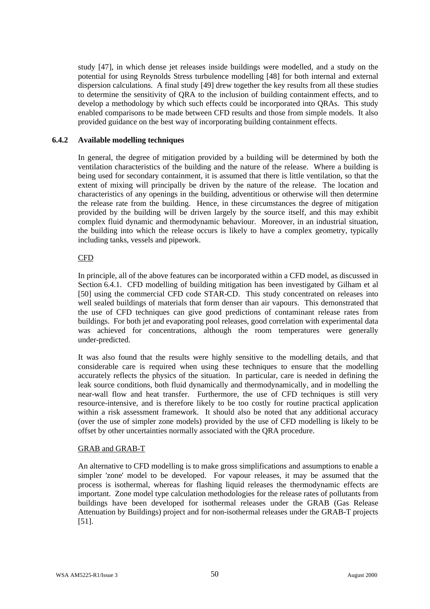study [47], in which dense jet releases inside buildings were modelled, and a study on the potential for using Reynolds Stress turbulence modelling [48] for both internal and external dispersion calculations. A final study [49] drew together the key results from all these studies to determine the sensitivity of QRA to the inclusion of building containment effects, and to develop a methodology by which such effects could be incorporated into QRAs. This study enabled comparisons to be made between CFD results and those from simple models. It also provided guidance on the best way of incorporating building containment effects.

### **6.4.2 Available modelling techniques**

In general, the degree of mitigation provided by a building will be determined by both the ventilation characteristics of the building and the nature of the release. Where a building is being used for secondary containment, it is assumed that there is little ventilation, so that the extent of mixing will principally be driven by the nature of the release. The location and characteristics of any openings in the building, adventitious or otherwise will then determine the release rate from the building. Hence, in these circumstances the degree of mitigation provided by the building will be driven largely by the source itself, and this may exhibit complex fluid dynamic and thermodynamic behaviour. Moreover, in an industrial situation, the building into which the release occurs is likely to have a complex geometry, typically including tanks, vessels and pipework.

### CFD

In principle, all of the above features can be incorporated within a CFD model, as discussed in Section 6.4.1. CFD modelling of building mitigation has been investigated by Gilham et al [50] using the commercial CFD code STAR-CD. This study concentrated on releases into well sealed buildings of materials that form denser than air vapours. This demonstrated that the use of CFD techniques can give good predictions of contaminant release rates from buildings. For both jet and evaporating pool releases, good correlation with experimental data was achieved for concentrations, although the room temperatures were generally under-predicted.

It was also found that the results were highly sensitive to the modelling details, and that considerable care is required when using these techniques to ensure that the modelling accurately reflects the physics of the situation. In particular, care is needed in defining the leak source conditions, both fluid dynamically and thermodynamically, and in modelling the near-wall flow and heat transfer. Furthermore, the use of CFD techniques is still very resource-intensive, and is therefore likely to be too costly for routine practical application within a risk assessment framework. It should also be noted that any additional accuracy (over the use of simpler zone models) provided by the use of CFD modelling is likely to be offset by other uncertainties normally associated with the QRA procedure.

#### GRAB and GRAB-T

An alternative to CFD modelling is to make gross simplifications and assumptions to enable a simpler 'zone' model to be developed. For vapour releases, it may be assumed that the process is isothermal, whereas for flashing liquid releases the thermodynamic effects are important. Zone model type calculation methodologies for the release rates of pollutants from buildings have been developed for isothermal releases under the GRAB (Gas Release Attenuation by Buildings) project and for non-isothermal releases under the GRAB-T projects [51].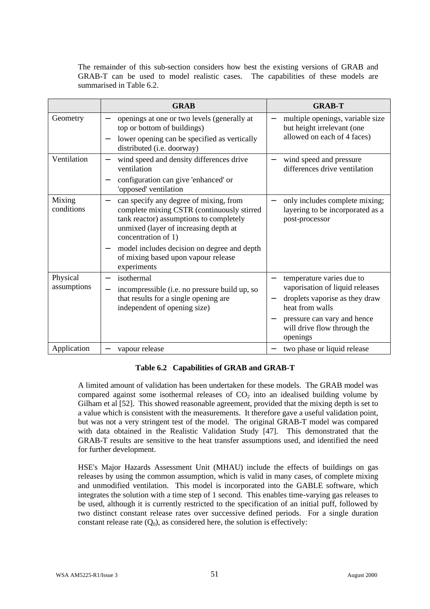The remainder of this sub-section considers how best the existing versions of GRAB and GRAB-T can be used to model realistic cases. The capabilities of these models are summarised in Table 6.2.

|                         | <b>GRAB</b>                                                                                                                                                                                     | <b>GRAB-T</b>                                                                                                                                                                   |
|-------------------------|-------------------------------------------------------------------------------------------------------------------------------------------------------------------------------------------------|---------------------------------------------------------------------------------------------------------------------------------------------------------------------------------|
| Geometry                | openings at one or two levels (generally at<br>top or bottom of buildings)<br>lower opening can be specified as vertically<br>distributed (i.e. doorway)                                        | multiple openings, variable size<br>but height irrelevant (one<br>allowed on each of 4 faces)                                                                                   |
| Ventilation             | wind speed and density differences drive<br>ventilation<br>configuration can give 'enhanced' or<br>'opposed' ventilation                                                                        | wind speed and pressure<br>differences drive ventilation                                                                                                                        |
| Mixing<br>conditions    | can specify any degree of mixing, from<br>complete mixing CSTR (continuously stirred<br>tank reactor) assumptions to completely<br>unmixed (layer of increasing depth at<br>concentration of 1) | only includes complete mixing;<br>layering to be incorporated as a<br>post-processor                                                                                            |
|                         | model includes decision on degree and depth<br>of mixing based upon vapour release<br>experiments                                                                                               |                                                                                                                                                                                 |
| Physical<br>assumptions | isothermal<br>incompressible (i.e. no pressure build up, so<br>that results for a single opening are<br>independent of opening size)                                                            | temperature varies due to<br>vaporisation of liquid releases<br>droplets vaporise as they draw<br>heat from walls<br>pressure can vary and hence<br>will drive flow through the |
| Application             | vapour release                                                                                                                                                                                  | openings<br>two phase or liquid release                                                                                                                                         |

# **Table 6.2 Capabilities of GRAB and GRAB-T**

A limited amount of validation has been undertaken for these models. The GRAB model was compared against some isothermal releases of  $CO<sub>2</sub>$  into an idealised building volume by Gilham et al [52]. This showed reasonable agreement, provided that the mixing depth is set to a value which is consistent with the measurements. It therefore gave a useful validation point, but was not a very stringent test of the model. The original GRAB-T model was compared with data obtained in the Realistic Validation Study [47]. This demonstrated that the GRAB-T results are sensitive to the heat transfer assumptions used, and identified the need for further development.

HSE's Major Hazards Assessment Unit (MHAU) include the effects of buildings on gas releases by using the common assumption, which is valid in many cases, of complete mixing and unmodified ventilation. This model is incorporated into the GABLE software, which integrates the solution with a time step of 1 second. This enables time-varying gas releases to be used, although it is currently restricted to the specification of an initial puff, followed by two distinct constant release rates over successive defined periods. For a single duration constant release rate  $(Q_0)$ , as considered here, the solution is effectively: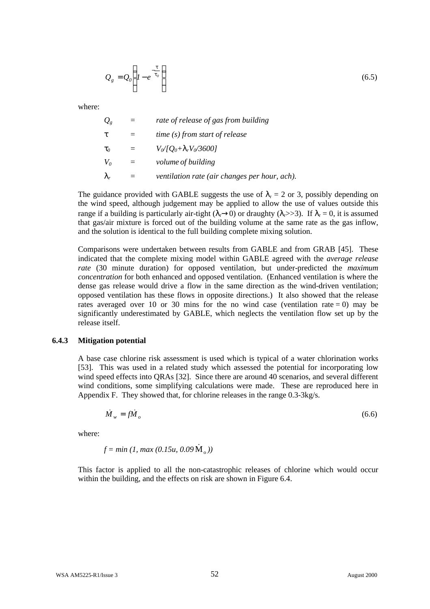$$
Q_g = Q_0 \left( 1 - e^{-\frac{t}{t_0}} \right) \tag{6.5}
$$

where:

| $Q_{g}$        | rate of release of gas from building          |
|----------------|-----------------------------------------------|
|                | time (s) from start of release                |
| $\mathbf{t}_0$ | $V_0/[Q_0+I_rV_0/3600]$                       |
| $V_0$          | <i>volume of building</i>                     |
| $\mathbf{I}$ . | ventilation rate (air changes per hour, ach). |

The guidance provided with GABLE suggests the use of  $\lambda_r = 2$  or 3, possibly depending on the wind speed, although judgement may be applied to allow the use of values outside this range if a building is particularly air-tight  $(\lambda \rightarrow 0)$  or draughty  $(\lambda \rightarrow 3)$ . If  $\lambda_r = 0$ , it is assumed that gas/air mixture is forced out of the building volume at the same rate as the gas inflow, and the solution is identical to the full building complete mixing solution.

Comparisons were undertaken between results from GABLE and from GRAB [45]. These indicated that the complete mixing model within GABLE agreed with the *average release rate* (30 minute duration) for opposed ventilation, but under-predicted the *maximum concentration* for both enhanced and opposed ventilation. (Enhanced ventilation is where the dense gas release would drive a flow in the same direction as the wind-driven ventilation; opposed ventilation has these flows in opposite directions.) It also showed that the release rates averaged over 10 or 30 mins for the no wind case (ventilation rate  $= 0$ ) may be significantly underestimated by GABLE, which neglects the ventilation flow set up by the release itself.

#### **6.4.3 Mitigation potential**

A base case chlorine risk assessment is used which is typical of a water chlorination works [53]. This was used in a related study which assessed the potential for incorporating low wind speed effects into QRAs [32]. Since there are around 40 scenarios, and several different wind conditions, some simplifying calculations were made. These are reproduced here in Appendix F. They showed that, for chlorine releases in the range 0.3-3kg/s.

$$
\dot{M}_w = f \dot{M}_o \tag{6.6}
$$

where:

$$
f = min (1, max (0.15u, 0.09 \, \rm \dot{M}_{\circ}))
$$

This factor is applied to all the non-catastrophic releases of chlorine which would occur within the building, and the effects on risk are shown in Figure 6.4.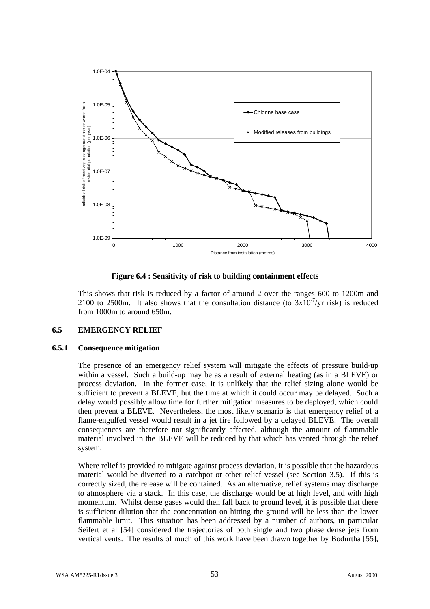

### **Figure 6.4 : Sensitivity of risk to building containment effects**

This shows that risk is reduced by a factor of around 2 over the ranges 600 to 1200m and 2100 to 2500m. It also shows that the consultation distance (to  $3x10^{-7}/yr$  risk) is reduced from 1000m to around 650m.

## **6.5 EMERGENCY RELIEF**

### **6.5.1 Consequence mitigation**

The presence of an emergency relief system will mitigate the effects of pressure build-up within a vessel. Such a build-up may be as a result of external heating (as in a BLEVE) or process deviation. In the former case, it is unlikely that the relief sizing alone would be sufficient to prevent a BLEVE, but the time at which it could occur may be delayed. Such a delay would possibly allow time for further mitigation measures to be deployed, which could then prevent a BLEVE. Nevertheless, the most likely scenario is that emergency relief of a flame-engulfed vessel would result in a jet fire followed by a delayed BLEVE. The overall consequences are therefore not significantly affected, although the amount of flammable material involved in the BLEVE will be reduced by that which has vented through the relief system.

Where relief is provided to mitigate against process deviation, it is possible that the hazardous material would be diverted to a catchpot or other relief vessel (see Section 3.5). If this is correctly sized, the release will be contained. As an alternative, relief systems may discharge to atmosphere via a stack. In this case, the discharge would be at high level, and with high momentum. Whilst dense gases would then fall back to ground level, it is possible that there is sufficient dilution that the concentration on hitting the ground will be less than the lower flammable limit. This situation has been addressed by a number of authors, in particular Seifert et al [54] considered the trajectories of both single and two phase dense jets from vertical vents. The results of much of this work have been drawn together by Bodurtha [55],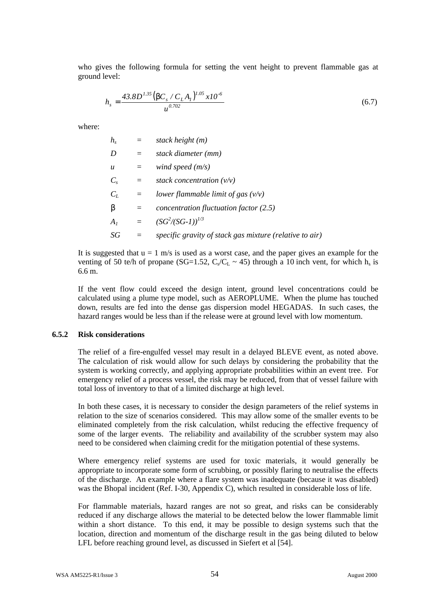who gives the following formula for setting the vent height to prevent flammable gas at ground level:

$$
h_s = \frac{43.8D^{1.35} \left(bC_s/C_L A_I\right)^{1.05} x 10^{-6}}{u^{0.702}}
$$
\n(6.7)

where:

| $h_{s}$          |     | stack height (m)                                        |
|------------------|-----|---------------------------------------------------------|
| D                | $=$ | stack diameter (mm)                                     |
| $\boldsymbol{u}$ | =   | wind speed $(m/s)$                                      |
| $C_{s}$          | $=$ | stack concentration $(v/v)$                             |
| $C_L$            | $=$ | lower flammable limit of gas $(v/v)$                    |
| b                | $=$ | concentration fluctuation factor $(2.5)$                |
| $A_I$            | $=$ | $(SG^2/(SG-1))^{1/3}$                                   |
| SG               |     | specific gravity of stack gas mixture (relative to air) |

It is suggested that  $u = 1$  m/s is used as a worst case, and the paper gives an example for the venting of 50 te/h of propane (SG=1.52,  $C_s/C_L \sim 45$ ) through a 10 inch vent, for which  $h_s$  is 6.6 m.

If the vent flow could exceed the design intent, ground level concentrations could be calculated using a plume type model, such as AEROPLUME. When the plume has touched down, results are fed into the dense gas dispersion model HEGADAS. In such cases, the hazard ranges would be less than if the release were at ground level with low momentum.

#### **6.5.2 Risk considerations**

The relief of a fire-engulfed vessel may result in a delayed BLEVE event, as noted above. The calculation of risk would allow for such delays by considering the probability that the system is working correctly, and applying appropriate probabilities within an event tree. For emergency relief of a process vessel, the risk may be reduced, from that of vessel failure with total loss of inventory to that of a limited discharge at high level.

In both these cases, it is necessary to consider the design parameters of the relief systems in relation to the size of scenarios considered. This may allow some of the smaller events to be eliminated completely from the risk calculation, whilst reducing the effective frequency of some of the larger events. The reliability and availability of the scrubber system may also need to be considered when claiming credit for the mitigation potential of these systems.

Where emergency relief systems are used for toxic materials, it would generally be appropriate to incorporate some form of scrubbing, or possibly flaring to neutralise the effects of the discharge. An example where a flare system was inadequate (because it was disabled) was the Bhopal incident (Ref. I-30, Appendix C), which resulted in considerable loss of life.

For flammable materials, hazard ranges are not so great, and risks can be considerably reduced if any discharge allows the material to be detected below the lower flammable limit within a short distance. To this end, it may be possible to design systems such that the location, direction and momentum of the discharge result in the gas being diluted to below LFL before reaching ground level, as discussed in Siefert et al [54].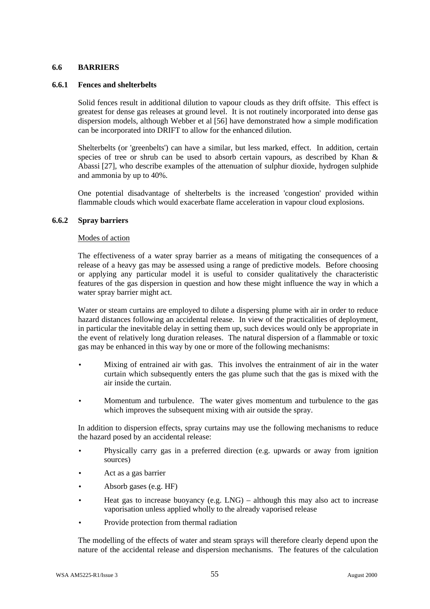# **6.6 BARRIERS**

### **6.6.1 Fences and shelterbelts**

Solid fences result in additional dilution to vapour clouds as they drift offsite. This effect is greatest for dense gas releases at ground level. It is not routinely incorporated into dense gas dispersion models, although Webber et al [56] have demonstrated how a simple modification can be incorporated into DRIFT to allow for the enhanced dilution.

Shelterbelts (or 'greenbelts') can have a similar, but less marked, effect. In addition, certain species of tree or shrub can be used to absorb certain vapours, as described by Khan & Abassi [27], who describe examples of the attenuation of sulphur dioxide, hydrogen sulphide and ammonia by up to 40%.

One potential disadvantage of shelterbelts is the increased 'congestion' provided within flammable clouds which would exacerbate flame acceleration in vapour cloud explosions.

# **6.6.2 Spray barriers**

#### Modes of action

The effectiveness of a water spray barrier as a means of mitigating the consequences of a release of a heavy gas may be assessed using a range of predictive models. Before choosing or applying any particular model it is useful to consider qualitatively the characteristic features of the gas dispersion in question and how these might influence the way in which a water spray barrier might act.

Water or steam curtains are employed to dilute a dispersing plume with air in order to reduce hazard distances following an accidental release. In view of the practicalities of deployment, in particular the inevitable delay in setting them up, such devices would only be appropriate in the event of relatively long duration releases. The natural dispersion of a flammable or toxic gas may be enhanced in this way by one or more of the following mechanisms:

- Mixing of entrained air with gas. This involves the entrainment of air in the water curtain which subsequently enters the gas plume such that the gas is mixed with the air inside the curtain.
- Momentum and turbulence. The water gives momentum and turbulence to the gas which improves the subsequent mixing with air outside the spray.

In addition to dispersion effects, spray curtains may use the following mechanisms to reduce the hazard posed by an accidental release:

- Physically carry gas in a preferred direction (e.g. upwards or away from ignition sources)
- Act as a gas barrier
- Absorb gases (e.g. HF)
- Heat gas to increase buoyancy (e.g.  $LNG$ ) although this may also act to increase vaporisation unless applied wholly to the already vaporised release
- Provide protection from thermal radiation

The modelling of the effects of water and steam sprays will therefore clearly depend upon the nature of the accidental release and dispersion mechanisms. The features of the calculation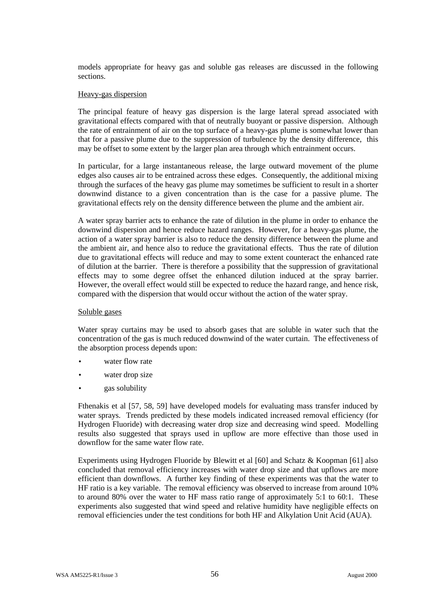models appropriate for heavy gas and soluble gas releases are discussed in the following sections.

### Heavy-gas dispersion

The principal feature of heavy gas dispersion is the large lateral spread associated with gravitational effects compared with that of neutrally buoyant or passive dispersion. Although the rate of entrainment of air on the top surface of a heavy-gas plume is somewhat lower than that for a passive plume due to the suppression of turbulence by the density difference, this may be offset to some extent by the larger plan area through which entrainment occurs.

In particular, for a large instantaneous release, the large outward movement of the plume edges also causes air to be entrained across these edges. Consequently, the additional mixing through the surfaces of the heavy gas plume may sometimes be sufficient to result in a shorter downwind distance to a given concentration than is the case for a passive plume. The gravitational effects rely on the density difference between the plume and the ambient air.

A water spray barrier acts to enhance the rate of dilution in the plume in order to enhance the downwind dispersion and hence reduce hazard ranges. However, for a heavy-gas plume, the action of a water spray barrier is also to reduce the density difference between the plume and the ambient air, and hence also to reduce the gravitational effects. Thus the rate of dilution due to gravitational effects will reduce and may to some extent counteract the enhanced rate of dilution at the barrier. There is therefore a possibility that the suppression of gravitational effects may to some degree offset the enhanced dilution induced at the spray barrier. However, the overall effect would still be expected to reduce the hazard range, and hence risk, compared with the dispersion that would occur without the action of the water spray.

#### Soluble gases

Water spray curtains may be used to absorb gases that are soluble in water such that the concentration of the gas is much reduced downwind of the water curtain. The effectiveness of the absorption process depends upon:

- water flow rate
- water drop size
- gas solubility

Fthenakis et al [57, 58, 59] have developed models for evaluating mass transfer induced by water sprays. Trends predicted by these models indicated increased removal efficiency (for Hydrogen Fluoride) with decreasing water drop size and decreasing wind speed. Modelling results also suggested that sprays used in upflow are more effective than those used in downflow for the same water flow rate.

Experiments using Hydrogen Fluoride by Blewitt et al [60] and Schatz & Koopman [61] also concluded that removal efficiency increases with water drop size and that upflows are more efficient than downflows. A further key finding of these experiments was that the water to HF ratio is a key variable. The removal efficiency was observed to increase from around 10% to around 80% over the water to HF mass ratio range of approximately 5:1 to 60:1. These experiments also suggested that wind speed and relative humidity have negligible effects on removal efficiencies under the test conditions for both HF and Alkylation Unit Acid (AUA).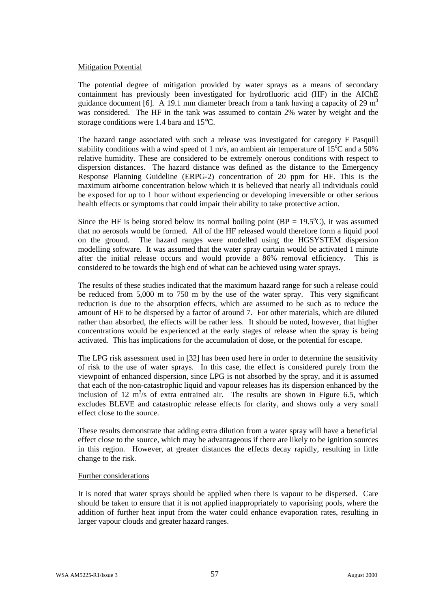### Mitigation Potential

The potential degree of mitigation provided by water sprays as a means of secondary containment has previously been investigated for hydrofluoric acid (HF) in the AIChE guidance document [6]. A 19.1 mm diameter breach from a tank having a capacity of 29  $m<sup>3</sup>$ was considered. The HF in the tank was assumed to contain 2% water by weight and the storage conditions were 1.4 bara and 15°C.

The hazard range associated with such a release was investigated for category F Pasquill stability conditions with a wind speed of 1 m/s, an ambient air temperature of  $15^{\circ}$ C and a 50% relative humidity. These are considered to be extremely onerous conditions with respect to dispersion distances. The hazard distance was defined as the distance to the Emergency Response Planning Guideline (ERPG-2) concentration of 20 ppm for HF. This is the maximum airborne concentration below which it is believed that nearly all individuals could be exposed for up to 1 hour without experiencing or developing irreversible or other serious health effects or symptoms that could impair their ability to take protective action.

Since the HF is being stored below its normal boiling point ( $BP = 19.5^{\circ}C$ ), it was assumed that no aerosols would be formed. All of the HF released would therefore form a liquid pool on the ground. The hazard ranges were modelled using the HGSYSTEM dispersion modelling software. It was assumed that the water spray curtain would be activated 1 minute after the initial release occurs and would provide a 86% removal efficiency. This is considered to be towards the high end of what can be achieved using water sprays.

The results of these studies indicated that the maximum hazard range for such a release could be reduced from 5,000 m to 750 m by the use of the water spray. This very significant reduction is due to the absorption effects, which are assumed to be such as to reduce the amount of HF to be dispersed by a factor of around 7. For other materials, which are diluted rather than absorbed, the effects will be rather less. It should be noted, however, that higher concentrations would be experienced at the early stages of release when the spray is being activated. This has implications for the accumulation of dose, or the potential for escape.

The LPG risk assessment used in [32] has been used here in order to determine the sensitivity of risk to the use of water sprays. In this case, the effect is considered purely from the viewpoint of enhanced dispersion, since LPG is not absorbed by the spray, and it is assumed that each of the non-catastrophic liquid and vapour releases has its dispersion enhanced by the inclusion of 12  $m^3$ /s of extra entrained air. The results are shown in Figure 6.5, which excludes BLEVE and catastrophic release effects for clarity, and shows only a very small effect close to the source.

These results demonstrate that adding extra dilution from a water spray will have a beneficial effect close to the source, which may be advantageous if there are likely to be ignition sources in this region. However, at greater distances the effects decay rapidly, resulting in little change to the risk.

#### Further considerations

It is noted that water sprays should be applied when there is vapour to be dispersed. Care should be taken to ensure that it is not applied inappropriately to vaporising pools, where the addition of further heat input from the water could enhance evaporation rates, resulting in larger vapour clouds and greater hazard ranges.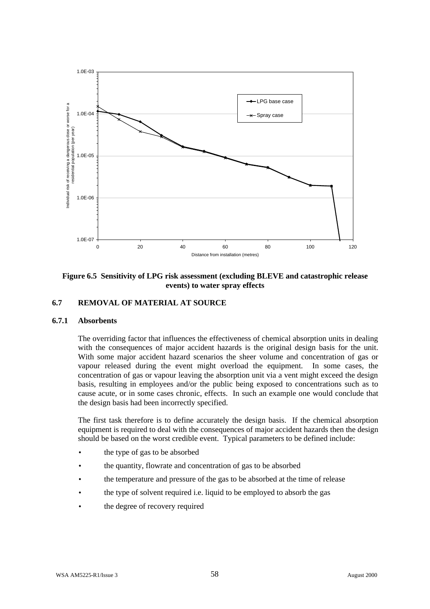

**Figure 6.5 Sensitivity of LPG risk assessment (excluding BLEVE and catastrophic release events) to water spray effects**

# **6.7 REMOVAL OF MATERIAL AT SOURCE**

# **6.7.1 Absorbents**

The overriding factor that influences the effectiveness of chemical absorption units in dealing with the consequences of major accident hazards is the original design basis for the unit. With some major accident hazard scenarios the sheer volume and concentration of gas or vapour released during the event might overload the equipment. In some cases, the concentration of gas or vapour leaving the absorption unit via a vent might exceed the design basis, resulting in employees and/or the public being exposed to concentrations such as to cause acute, or in some cases chronic, effects. In such an example one would conclude that the design basis had been incorrectly specified.

The first task therefore is to define accurately the design basis. If the chemical absorption equipment is required to deal with the consequences of major accident hazards then the design should be based on the worst credible event. Typical parameters to be defined include:

- the type of gas to be absorbed
- the quantity, flowrate and concentration of gas to be absorbed
- the temperature and pressure of the gas to be absorbed at the time of release
- the type of solvent required i.e. liquid to be employed to absorb the gas
- the degree of recovery required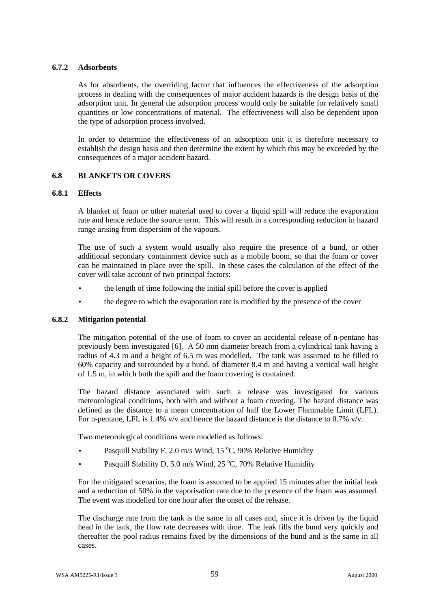# **6.7.2 Adsorbents**

As for absorbents, the overriding factor that influences the effectiveness of the adsorption process in dealing with the consequences of major accident hazards is the design basis of the adsorption unit. In general the adsorption process would only be suitable for relatively small quantities or low concentrations of material. The effectiveness will also be dependent upon the type of adsorption process involved.

In order to determine the effectiveness of an adsorption unit it is therefore necessary to establish the design basis and then determine the extent by which this may be exceeded by the consequences of a major accident hazard.

## **6.8 BLANKETS OR COVERS**

## **6.8.1 Effects**

A blanket of foam or other material used to cover a liquid spill will reduce the evaporation rate and hence reduce the source term. This will result in a corresponding reduction in hazard range arising from dispersion of the vapours.

The use of such a system would usually also require the presence of a bund, or other additional secondary containment device such as a mobile boom, so that the foam or cover can be maintained in place over the spill. In these cases the calculation of the effect of the cover will take account of two principal factors:

- the length of time following the initial spill before the cover is applied
- the degree to which the evaporation rate is modified by the presence of the cover

## **6.8.2 Mitigation potential**

The mitigation potential of the use of foam to cover an accidental release of n-pentane has previously been investigated [6]. A 50 mm diameter breach from a cylindrical tank having a radius of 4.3 m and a height of 6.5 m was modelled. The tank was assumed to be filled to 60% capacity and surrounded by a bund, of diameter 8.4 m and having a vertical wall height of 1.5 m, in which both the spill and the foam covering is contained.

The hazard distance associated with such a release was investigated for various meteorological conditions, both with and without a foam covering. The hazard distance was defined as the distance to a mean concentration of half the Lower Flammable Limit (LFL). For n-pentane, LFL is 1.4% v/v and hence the hazard distance is the distance to 0.7% v/v.

Two meteorological conditions were modelled as follows:

- Pasquill Stability F, 2.0 m/s Wind, 15 °C, 90% Relative Humidity
- Pasquill Stability D, 5.0 m/s Wind, 25  $\degree$ C, 70% Relative Humidity

For the mitigated scenarios, the foam is assumed to be applied 15 minutes after the initial leak and a reduction of 50% in the vaporisation rate due to the presence of the foam was assumed. The event was modelled for one hour after the onset of the release.

The discharge rate from the tank is the same in all cases and, since it is driven by the liquid head in the tank, the flow rate decreases with time. The leak fills the bund very quickly and thereafter the pool radius remains fixed by the dimensions of the bund and is the same in all cases.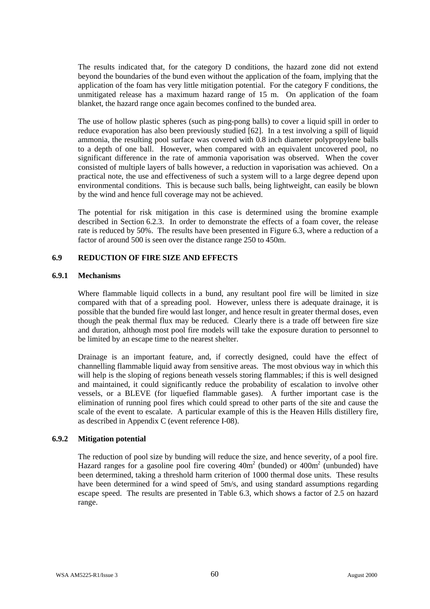The results indicated that, for the category D conditions, the hazard zone did not extend beyond the boundaries of the bund even without the application of the foam, implying that the application of the foam has very little mitigation potential. For the category F conditions, the unmitigated release has a maximum hazard range of 15 m. On application of the foam blanket, the hazard range once again becomes confined to the bunded area.

The use of hollow plastic spheres (such as ping-pong balls) to cover a liquid spill in order to reduce evaporation has also been previously studied [62]. In a test involving a spill of liquid ammonia, the resulting pool surface was covered with 0.8 inch diameter polypropylene balls to a depth of one ball. However, when compared with an equivalent uncovered pool, no significant difference in the rate of ammonia vaporisation was observed. When the cover consisted of multiple layers of balls however, a reduction in vaporisation was achieved. On a practical note, the use and effectiveness of such a system will to a large degree depend upon environmental conditions. This is because such balls, being lightweight, can easily be blown by the wind and hence full coverage may not be achieved.

The potential for risk mitigation in this case is determined using the bromine example described in Section 6.2.3. In order to demonstrate the effects of a foam cover, the release rate is reduced by 50%. The results have been presented in Figure 6.3, where a reduction of a factor of around 500 is seen over the distance range 250 to 450m.

## **6.9 REDUCTION OF FIRE SIZE AND EFFECTS**

### **6.9.1 Mechanisms**

Where flammable liquid collects in a bund, any resultant pool fire will be limited in size compared with that of a spreading pool. However, unless there is adequate drainage, it is possible that the bunded fire would last longer, and hence result in greater thermal doses, even though the peak thermal flux may be reduced. Clearly there is a trade off between fire size and duration, although most pool fire models will take the exposure duration to personnel to be limited by an escape time to the nearest shelter.

Drainage is an important feature, and, if correctly designed, could have the effect of channelling flammable liquid away from sensitive areas. The most obvious way in which this will help is the sloping of regions beneath vessels storing flammables; if this is well designed and maintained, it could significantly reduce the probability of escalation to involve other vessels, or a BLEVE (for liquefied flammable gases). A further important case is the elimination of running pool fires which could spread to other parts of the site and cause the scale of the event to escalate. A particular example of this is the Heaven Hills distillery fire, as described in Appendix C (event reference I-08).

# **6.9.2 Mitigation potential**

The reduction of pool size by bunding will reduce the size, and hence severity, of a pool fire. Hazard ranges for a gasoline pool fire covering  $40m^2$  (bunded) or  $400m^2$  (unbunded) have been determined, taking a threshold harm criterion of 1000 thermal dose units. These results have been determined for a wind speed of 5m/s, and using standard assumptions regarding escape speed. The results are presented in Table 6.3, which shows a factor of 2.5 on hazard range.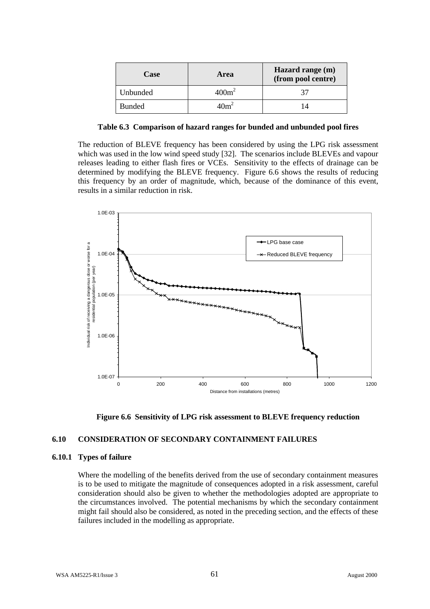| Case          | Area              | Hazard range (m)<br>(from pool centre) |
|---------------|-------------------|----------------------------------------|
| Unbunded      | 400m <sup>2</sup> |                                        |
| <b>Bunded</b> | 10m <sup>2</sup>  |                                        |

**Table 6.3 Comparison of hazard ranges for bunded and unbunded pool fires**

The reduction of BLEVE frequency has been considered by using the LPG risk assessment which was used in the low wind speed study [32]. The scenarios include BLEVEs and vapour releases leading to either flash fires or VCEs. Sensitivity to the effects of drainage can be determined by modifying the BLEVE frequency. Figure 6.6 shows the results of reducing this frequency by an order of magnitude, which, because of the dominance of this event, results in a similar reduction in risk.





# **6.10 CONSIDERATION OF SECONDARY CONTAINMENT FAILURES**

# **6.10.1 Types of failure**

Where the modelling of the benefits derived from the use of secondary containment measures is to be used to mitigate the magnitude of consequences adopted in a risk assessment, careful consideration should also be given to whether the methodologies adopted are appropriate to the circumstances involved. The potential mechanisms by which the secondary containment might fail should also be considered, as noted in the preceding section, and the effects of these failures included in the modelling as appropriate.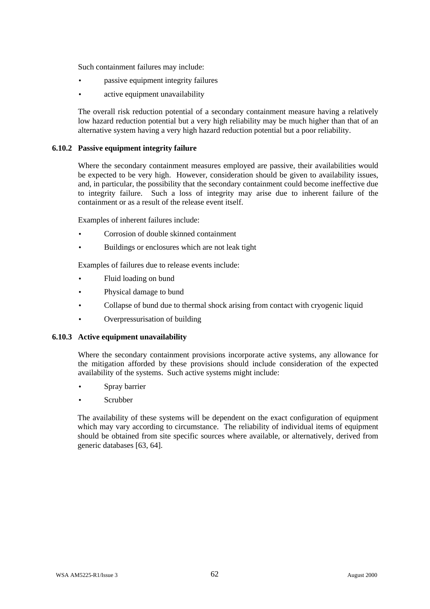Such containment failures may include:

- passive equipment integrity failures
- active equipment unavailability

The overall risk reduction potential of a secondary containment measure having a relatively low hazard reduction potential but a very high reliability may be much higher than that of an alternative system having a very high hazard reduction potential but a poor reliability.

### **6.10.2 Passive equipment integrity failure**

Where the secondary containment measures employed are passive, their availabilities would be expected to be very high. However, consideration should be given to availability issues, and, in particular, the possibility that the secondary containment could become ineffective due to integrity failure. Such a loss of integrity may arise due to inherent failure of the containment or as a result of the release event itself.

Examples of inherent failures include:

- Corrosion of double skinned containment
- Buildings or enclosures which are not leak tight

Examples of failures due to release events include:

- Fluid loading on bund
- Physical damage to bund
- Collapse of bund due to thermal shock arising from contact with cryogenic liquid
- Overpressurisation of building

#### **6.10.3 Active equipment unavailability**

Where the secondary containment provisions incorporate active systems, any allowance for the mitigation afforded by these provisions should include consideration of the expected availability of the systems. Such active systems might include:

- Spray barrier
- Scrubber

The availability of these systems will be dependent on the exact configuration of equipment which may vary according to circumstance. The reliability of individual items of equipment should be obtained from site specific sources where available, or alternatively, derived from generic databases [63, 64].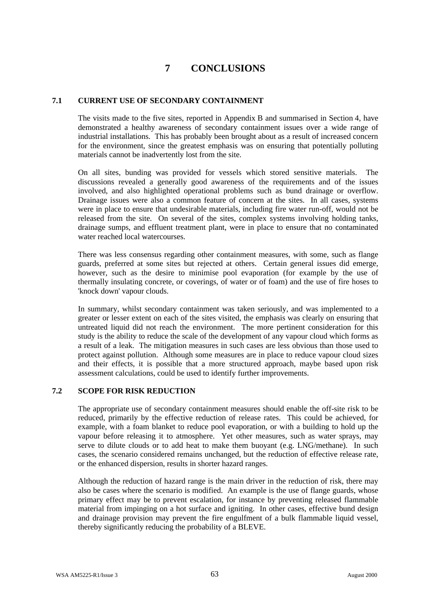# **7 CONCLUSIONS**

# **7.1 CURRENT USE OF SECONDARY CONTAINMENT**

The visits made to the five sites, reported in Appendix B and summarised in Section 4, have demonstrated a healthy awareness of secondary containment issues over a wide range of industrial installations. This has probably been brought about as a result of increased concern for the environment, since the greatest emphasis was on ensuring that potentially polluting materials cannot be inadvertently lost from the site.

On all sites, bunding was provided for vessels which stored sensitive materials. The discussions revealed a generally good awareness of the requirements and of the issues involved, and also highlighted operational problems such as bund drainage or overflow. Drainage issues were also a common feature of concern at the sites. In all cases, systems were in place to ensure that undesirable materials, including fire water run-off, would not be released from the site. On several of the sites, complex systems involving holding tanks, drainage sumps, and effluent treatment plant, were in place to ensure that no contaminated water reached local watercourses.

There was less consensus regarding other containment measures, with some, such as flange guards, preferred at some sites but rejected at others. Certain general issues did emerge, however, such as the desire to minimise pool evaporation (for example by the use of thermally insulating concrete, or coverings, of water or of foam) and the use of fire hoses to 'knock down' vapour clouds.

In summary, whilst secondary containment was taken seriously, and was implemented to a greater or lesser extent on each of the sites visited, the emphasis was clearly on ensuring that untreated liquid did not reach the environment. The more pertinent consideration for this study is the ability to reduce the scale of the development of any vapour cloud which forms as a result of a leak. The mitigation measures in such cases are less obvious than those used to protect against pollution. Although some measures are in place to reduce vapour cloud sizes and their effects, it is possible that a more structured approach, maybe based upon risk assessment calculations, could be used to identify further improvements.

## **7.2 SCOPE FOR RISK REDUCTION**

The appropriate use of secondary containment measures should enable the off-site risk to be reduced, primarily by the effective reduction of release rates. This could be achieved, for example, with a foam blanket to reduce pool evaporation, or with a building to hold up the vapour before releasing it to atmosphere. Yet other measures, such as water sprays, may serve to dilute clouds or to add heat to make them buoyant (e.g. LNG/methane). In such cases, the scenario considered remains unchanged, but the reduction of effective release rate, or the enhanced dispersion, results in shorter hazard ranges.

Although the reduction of hazard range is the main driver in the reduction of risk, there may also be cases where the scenario is modified. An example is the use of flange guards, whose primary effect may be to prevent escalation, for instance by preventing released flammable material from impinging on a hot surface and igniting. In other cases, effective bund design and drainage provision may prevent the fire engulfment of a bulk flammable liquid vessel, thereby significantly reducing the probability of a BLEVE.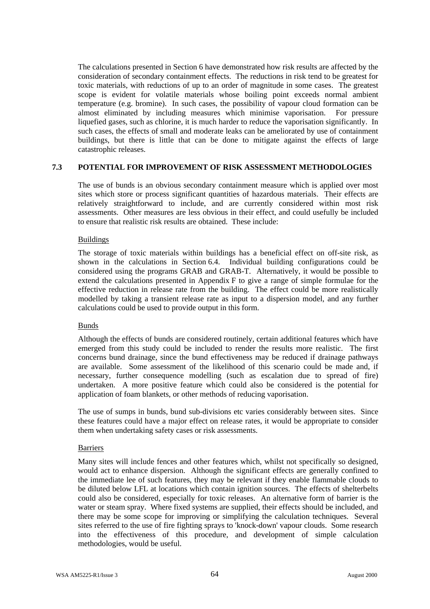The calculations presented in Section 6 have demonstrated how risk results are affected by the consideration of secondary containment effects. The reductions in risk tend to be greatest for toxic materials, with reductions of up to an order of magnitude in some cases. The greatest scope is evident for volatile materials whose boiling point exceeds normal ambient temperature (e.g. bromine). In such cases, the possibility of vapour cloud formation can be almost eliminated by including measures which minimise vaporisation. For pressure liquefied gases, such as chlorine, it is much harder to reduce the vaporisation significantly. In such cases, the effects of small and moderate leaks can be ameliorated by use of containment buildings, but there is little that can be done to mitigate against the effects of large catastrophic releases.

### **7.3 POTENTIAL FOR IMPROVEMENT OF RISK ASSESSMENT METHODOLOGIES**

The use of bunds is an obvious secondary containment measure which is applied over most sites which store or process significant quantities of hazardous materials. Their effects are relatively straightforward to include, and are currently considered within most risk assessments. Other measures are less obvious in their effect, and could usefully be included to ensure that realistic risk results are obtained. These include:

### Buildings

The storage of toxic materials within buildings has a beneficial effect on off-site risk, as shown in the calculations in Section 6.4. Individual building configurations could be considered using the programs GRAB and GRAB-T. Alternatively, it would be possible to extend the calculations presented in Appendix F to give a range of simple formulae for the effective reduction in release rate from the building. The effect could be more realistically modelled by taking a transient release rate as input to a dispersion model, and any further calculations could be used to provide output in this form.

#### Bunds

Although the effects of bunds are considered routinely, certain additional features which have emerged from this study could be included to render the results more realistic. The first concerns bund drainage, since the bund effectiveness may be reduced if drainage pathways are available. Some assessment of the likelihood of this scenario could be made and, if necessary, further consequence modelling (such as escalation due to spread of fire) undertaken. A more positive feature which could also be considered is the potential for application of foam blankets, or other methods of reducing vaporisation.

The use of sumps in bunds, bund sub-divisions etc varies considerably between sites. Since these features could have a major effect on release rates, it would be appropriate to consider them when undertaking safety cases or risk assessments.

#### Barriers

Many sites will include fences and other features which, whilst not specifically so designed, would act to enhance dispersion. Although the significant effects are generally confined to the immediate lee of such features, they may be relevant if they enable flammable clouds to be diluted below LFL at locations which contain ignition sources. The effects of shelterbelts could also be considered, especially for toxic releases. An alternative form of barrier is the water or steam spray. Where fixed systems are supplied, their effects should be included, and there may be some scope for improving or simplifying the calculation techniques. Several sites referred to the use of fire fighting sprays to 'knock-down' vapour clouds. Some research into the effectiveness of this procedure, and development of simple calculation methodologies, would be useful.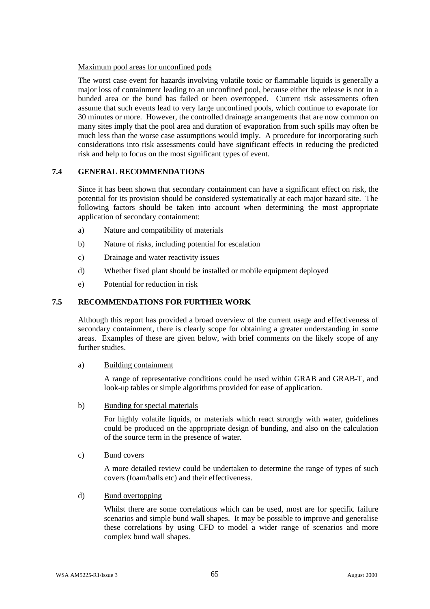# Maximum pool areas for unconfined pods

The worst case event for hazards involving volatile toxic or flammable liquids is generally a major loss of containment leading to an unconfined pool, because either the release is not in a bunded area or the bund has failed or been overtopped. Current risk assessments often assume that such events lead to very large unconfined pools, which continue to evaporate for 30 minutes or more. However, the controlled drainage arrangements that are now common on many sites imply that the pool area and duration of evaporation from such spills may often be much less than the worse case assumptions would imply. A procedure for incorporating such considerations into risk assessments could have significant effects in reducing the predicted risk and help to focus on the most significant types of event.

# **7.4 GENERAL RECOMMENDATIONS**

Since it has been shown that secondary containment can have a significant effect on risk, the potential for its provision should be considered systematically at each major hazard site. The following factors should be taken into account when determining the most appropriate application of secondary containment:

- a) Nature and compatibility of materials
- b) Nature of risks, including potential for escalation
- c) Drainage and water reactivity issues
- d) Whether fixed plant should be installed or mobile equipment deployed
- e) Potential for reduction in risk

# **7.5 RECOMMENDATIONS FOR FURTHER WORK**

Although this report has provided a broad overview of the current usage and effectiveness of secondary containment, there is clearly scope for obtaining a greater understanding in some areas. Examples of these are given below, with brief comments on the likely scope of any further studies.

## a) Building containment

A range of representative conditions could be used within GRAB and GRAB-T, and look-up tables or simple algorithms provided for ease of application.

## b) Bunding for special materials

For highly volatile liquids, or materials which react strongly with water, guidelines could be produced on the appropriate design of bunding, and also on the calculation of the source term in the presence of water.

## c) Bund covers

A more detailed review could be undertaken to determine the range of types of such covers (foam/balls etc) and their effectiveness.

## d) Bund overtopping

Whilst there are some correlations which can be used, most are for specific failure scenarios and simple bund wall shapes. It may be possible to improve and generalise these correlations by using CFD to model a wider range of scenarios and more complex bund wall shapes.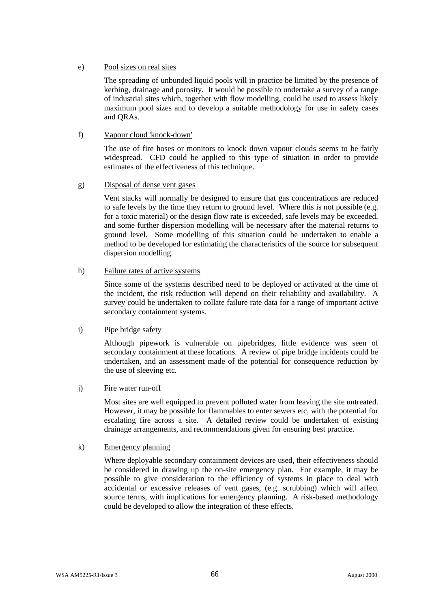#### e) Pool sizes on real sites

The spreading of unbunded liquid pools will in practice be limited by the presence of kerbing, drainage and porosity. It would be possible to undertake a survey of a range of industrial sites which, together with flow modelling, could be used to assess likely maximum pool sizes and to develop a suitable methodology for use in safety cases and QRAs.

### f) Vapour cloud 'knock-down'

The use of fire hoses or monitors to knock down vapour clouds seems to be fairly widespread. CFD could be applied to this type of situation in order to provide estimates of the effectiveness of this technique.

#### g) Disposal of dense vent gases

Vent stacks will normally be designed to ensure that gas concentrations are reduced to safe levels by the time they return to ground level. Where this is not possible (e.g. for a toxic material) or the design flow rate is exceeded, safe levels may be exceeded, and some further dispersion modelling will be necessary after the material returns to ground level. Some modelling of this situation could be undertaken to enable a method to be developed for estimating the characteristics of the source for subsequent dispersion modelling.

#### h) Failure rates of active systems

Since some of the systems described need to be deployed or activated at the time of the incident, the risk reduction will depend on their reliability and availability. A survey could be undertaken to collate failure rate data for a range of important active secondary containment systems.

#### i) Pipe bridge safety

Although pipework is vulnerable on pipebridges, little evidence was seen of secondary containment at these locations. A review of pipe bridge incidents could be undertaken, and an assessment made of the potential for consequence reduction by the use of sleeving etc.

#### j) Fire water run-off

Most sites are well equipped to prevent polluted water from leaving the site untreated. However, it may be possible for flammables to enter sewers etc, with the potential for escalating fire across a site. A detailed review could be undertaken of existing drainage arrangements, and recommendations given for ensuring best practice.

#### k) Emergency planning

Where deployable secondary containment devices are used, their effectiveness should be considered in drawing up the on-site emergency plan. For example, it may be possible to give consideration to the efficiency of systems in place to deal with accidental or excessive releases of vent gases, (e.g. scrubbing) which will affect source terms, with implications for emergency planning. A risk-based methodology could be developed to allow the integration of these effects.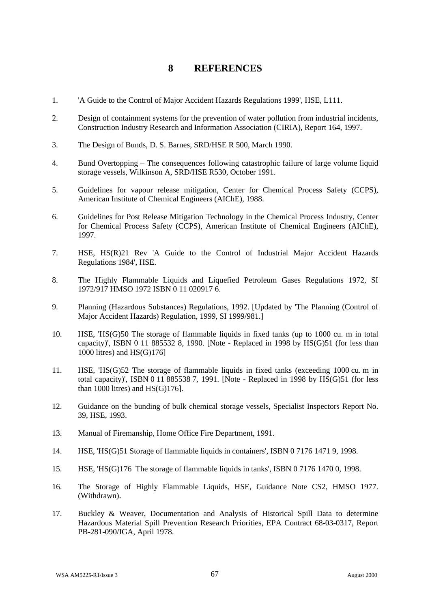## **8 REFERENCES**

- 1. 'A Guide to the Control of Major Accident Hazards Regulations 1999', HSE, L111.
- 2. Design of containment systems for the prevention of water pollution from industrial incidents, Construction Industry Research and Information Association (CIRIA), Report 164, 1997.
- 3. The Design of Bunds, D. S. Barnes, SRD/HSE R 500, March 1990.
- 4. Bund Overtopping The consequences following catastrophic failure of large volume liquid storage vessels, Wilkinson A, SRD/HSE R530, October 1991.
- 5. Guidelines for vapour release mitigation, Center for Chemical Process Safety (CCPS), American Institute of Chemical Engineers (AIChE), 1988.
- 6. Guidelines for Post Release Mitigation Technology in the Chemical Process Industry, Center for Chemical Process Safety (CCPS), American Institute of Chemical Engineers (AIChE), 1997.
- 7. HSE, HS(R)21 Rev 'A Guide to the Control of Industrial Major Accident Hazards Regulations 1984', HSE.
- 8. The Highly Flammable Liquids and Liquefied Petroleum Gases Regulations 1972, SI 1972/917 HMSO 1972 ISBN 0 11 020917 6.
- 9. Planning (Hazardous Substances) Regulations, 1992. [Updated by 'The Planning (Control of Major Accident Hazards) Regulation, 1999, SI 1999/981.]
- 10. HSE, 'HS(G)50 The storage of flammable liquids in fixed tanks (up to 1000 cu. m in total capacity)', ISBN 0 11 885532 8, 1990. [Note - Replaced in 1998 by HS(G)51 (for less than 1000 litres) and HS(G)176]
- 11. HSE, 'HS(G)52 The storage of flammable liquids in fixed tanks (exceeding 1000 cu. m in total capacity)', ISBN 0 11 885538 7, 1991. [Note - Replaced in 1998 by  $HS(G)$ 51 (for less than 1000 litres) and HS(G)176].
- 12. Guidance on the bunding of bulk chemical storage vessels, Specialist Inspectors Report No. 39, HSE, 1993.
- 13. Manual of Firemanship, Home Office Fire Department, 1991.
- 14. HSE, 'HS(G)51 Storage of flammable liquids in containers', ISBN 0 7176 1471 9, 1998.
- 15. HSE, 'HS(G)176 The storage of flammable liquids in tanks', ISBN 0 7176 1470 0, 1998.
- 16. The Storage of Highly Flammable Liquids, HSE, Guidance Note CS2, HMSO 1977. (Withdrawn).
- 17. Buckley & Weaver, Documentation and Analysis of Historical Spill Data to determine Hazardous Material Spill Prevention Research Priorities, EPA Contract 68-03-0317, Report PB-281-090/IGA, April 1978.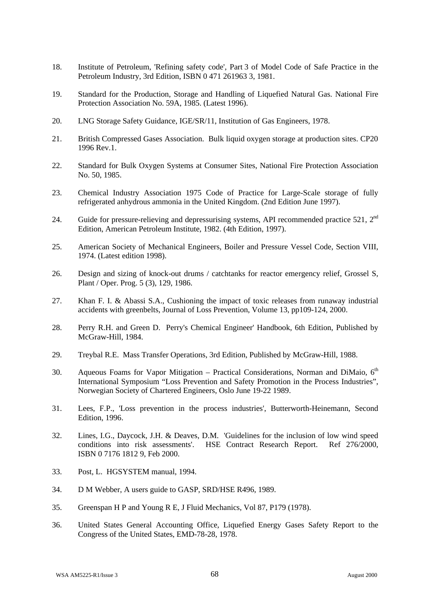- 18. Institute of Petroleum, 'Refining safety code', Part 3 of Model Code of Safe Practice in the Petroleum Industry, 3rd Edition, ISBN 0 471 261963 3, 1981.
- 19. Standard for the Production, Storage and Handling of Liquefied Natural Gas. National Fire Protection Association No. 59A, 1985. (Latest 1996).
- 20. LNG Storage Safety Guidance, IGE/SR/11, Institution of Gas Engineers, 1978.
- 21. British Compressed Gases Association. Bulk liquid oxygen storage at production sites. CP20 1996 Rev.1.
- 22. Standard for Bulk Oxygen Systems at Consumer Sites, National Fire Protection Association No. 50, 1985.
- 23. Chemical Industry Association 1975 Code of Practice for Large-Scale storage of fully refrigerated anhydrous ammonia in the United Kingdom. (2nd Edition June 1997).
- 24. Guide for pressure-relieving and depressurising systems, API recommended practice 521, 2<sup>nd</sup> Edition, American Petroleum Institute, 1982. (4th Edition, 1997).
- 25. American Society of Mechanical Engineers, Boiler and Pressure Vessel Code, Section VIII, 1974. (Latest edition 1998).
- 26. Design and sizing of knock-out drums / catchtanks for reactor emergency relief, Grossel S, Plant / Oper. Prog. 5 (3), 129, 1986.
- 27. Khan F. I. & Abassi S.A., Cushioning the impact of toxic releases from runaway industrial accidents with greenbelts, Journal of Loss Prevention, Volume 13, pp109-124, 2000.
- 28. Perry R.H. and Green D. Perry's Chemical Engineer' Handbook, 6th Edition, Published by McGraw-Hill, 1984.
- 29. Treybal R.E. Mass Transfer Operations, 3rd Edition, Published by McGraw-Hill, 1988.
- 30. Aqueous Foams for Vapor Mitigation Practical Considerations, Norman and DiMaio,  $6<sup>th</sup>$ International Symposium "Loss Prevention and Safety Promotion in the Process Industries", Norwegian Society of Chartered Engineers, Oslo June 19-22 1989.
- 31. Lees, F.P., 'Loss prevention in the process industries', Butterworth-Heinemann, Second Edition, 1996.
- 32. Lines, I.G., Daycock, J.H. & Deaves, D.M. 'Guidelines for the inclusion of low wind speed conditions into risk assessments'. HSE Contract Research Report. Ref 276/2000, ISBN 0 7176 1812 9, Feb 2000.
- 33. Post, L. HGSYSTEM manual, 1994.
- 34. D M Webber, A users guide to GASP, SRD/HSE R496, 1989.
- 35. Greenspan H P and Young R E, J Fluid Mechanics, Vol 87, P179 (1978).
- 36. United States General Accounting Office, Liquefied Energy Gases Safety Report to the Congress of the United States, EMD-78-28, 1978.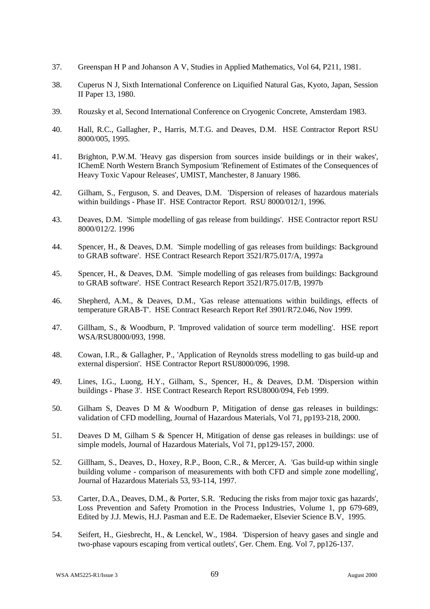- 37. Greenspan H P and Johanson A V, Studies in Applied Mathematics, Vol 64, P211, 1981.
- 38. Cuperus N J, Sixth International Conference on Liquified Natural Gas, Kyoto, Japan, Session II Paper 13, 1980.
- 39. Rouzsky et al, Second International Conference on Cryogenic Concrete, Amsterdam 1983.
- 40. Hall, R.C., Gallagher, P., Harris, M.T.G. and Deaves, D.M. HSE Contractor Report RSU 8000/005, 1995.
- 41. Brighton, P.W.M. 'Heavy gas dispersion from sources inside buildings or in their wakes', IChemE North Western Branch Symposium 'Refinement of Estimates of the Consequences of Heavy Toxic Vapour Releases', UMIST, Manchester, 8 January 1986.
- 42. Gilham, S., Ferguson, S. and Deaves, D.M. 'Dispersion of releases of hazardous materials within buildings - Phase II'. HSE Contractor Report. RSU 8000/012/1, 1996.
- 43. Deaves, D.M. 'Simple modelling of gas release from buildings'. HSE Contractor report RSU 8000/012/2. 1996
- 44. Spencer, H., & Deaves, D.M. 'Simple modelling of gas releases from buildings: Background to GRAB software'. HSE Contract Research Report 3521/R75.017/A, 1997a
- 45. Spencer, H., & Deaves, D.M. 'Simple modelling of gas releases from buildings: Background to GRAB software'. HSE Contract Research Report 3521/R75.017/B, 1997b
- 46. Shepherd, A.M., & Deaves, D.M., 'Gas release attenuations within buildings, effects of temperature GRAB-T'. HSE Contract Research Report Ref 3901/R72.046, Nov 1999.
- 47. Gillham, S., & Woodburn, P. 'Improved validation of source term modelling'. HSE report WSA/RSU8000/093, 1998.
- 48. Cowan, I.R., & Gallagher, P., 'Application of Reynolds stress modelling to gas build-up and external dispersion'. HSE Contractor Report RSU8000/096, 1998.
- 49. Lines, I.G., Luong, H.Y., Gilham, S., Spencer, H., & Deaves, D.M. 'Dispersion within buildings - Phase 3'. HSE Contract Research Report RSU8000/094, Feb 1999.
- 50. Gilham S, Deaves D M & Woodburn P, Mitigation of dense gas releases in buildings: validation of CFD modelling, Journal of Hazardous Materials, Vol 71, pp193-218, 2000.
- 51. Deaves D M, Gilham S & Spencer H, Mitigation of dense gas releases in buildings: use of simple models, Journal of Hazardous Materials, Vol 71, pp129-157, 2000.
- 52. Gillham, S., Deaves, D., Hoxey, R.P., Boon, C.R., & Mercer, A. 'Gas build-up within single building volume - comparison of measurements with both CFD and simple zone modelling', Journal of Hazardous Materials 53, 93-114, 1997.
- 53. Carter, D.A., Deaves, D.M., & Porter, S.R. 'Reducing the risks from major toxic gas hazards', Loss Prevention and Safety Promotion in the Process Industries, Volume 1, pp 679-689, Edited by J.J. Mewis, H.J. Pasman and E.E. De Rademaeker, Elsevier Science B.V, 1995.
- 54. Seifert, H., Giesbrecht, H., & Lenckel, W., 1984. 'Dispersion of heavy gases and single and two-phase vapours escaping from vertical outlets', Ger. Chem. Eng. Vol 7, pp126-137.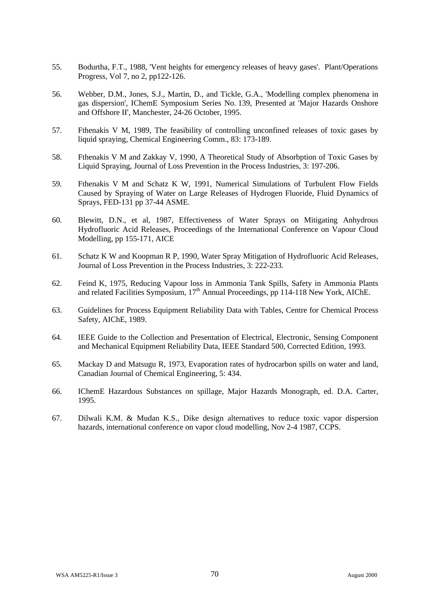- 55. Bodurtha, F.T., 1988, 'Vent heights for emergency releases of heavy gases'. Plant/Operations Progress, Vol 7, no 2, pp122-126.
- 56. Webber, D.M., Jones, S.J., Martin, D., and Tickle, G.A., 'Modelling complex phenomena in gas dispersion', IChemE Symposium Series No. 139, Presented at 'Major Hazards Onshore and Offshore II', Manchester, 24-26 October, 1995.
- 57. Fthenakis V M, 1989, The feasibility of controlling unconfined releases of toxic gases by liquid spraying, Chemical Engineering Comm., 83: 173-189.
- 58. Fthenakis V M and Zakkay V, 1990, A Theoretical Study of Absorbption of Toxic Gases by Liquid Spraying, Journal of Loss Prevention in the Process Industries, 3: 197-206.
- 59. Fthenakis V M and Schatz K W, 1991, Numerical Simulations of Turbulent Flow Fields Caused by Spraying of Water on Large Releases of Hydrogen Fluoride, Fluid Dynamics of Sprays, FED-131 pp 37-44 ASME.
- 60. Blewitt, D.N., et al, 1987, Effectiveness of Water Sprays on Mitigating Anhydrous Hydrofluoric Acid Releases, Proceedings of the International Conference on Vapour Cloud Modelling, pp 155-171, AICE
- 61. Schatz K W and Koopman R P, 1990, Water Spray Mitigation of Hydrofluoric Acid Releases, Journal of Loss Prevention in the Process Industries, 3: 222-233.
- 62. Feind K, 1975, Reducing Vapour loss in Ammonia Tank Spills, Safety in Ammonia Plants and related Facilities Symposium, 17<sup>th</sup> Annual Proceedings, pp 114-118 New York, AIChE.
- 63. Guidelines for Process Equipment Reliability Data with Tables, Centre for Chemical Process Safety, AIChE, 1989.
- 64. IEEE Guide to the Collection and Presentation of Electrical, Electronic, Sensing Component and Mechanical Equipment Reliability Data, IEEE Standard 500, Corrected Edition, 1993.
- 65. Mackay D and Matsugu R, 1973, Evaporation rates of hydrocarbon spills on water and land, Canadian Journal of Chemical Engineering, 5: 434.
- 66. IChemE Hazardous Substances on spillage, Major Hazards Monograph, ed. D.A. Carter, 1995.
- 67. Dilwali K.M. & Mudan K.S., Dike design alternatives to reduce toxic vapor dispersion hazards, international conference on vapor cloud modelling, Nov 2-4 1987, CCPS.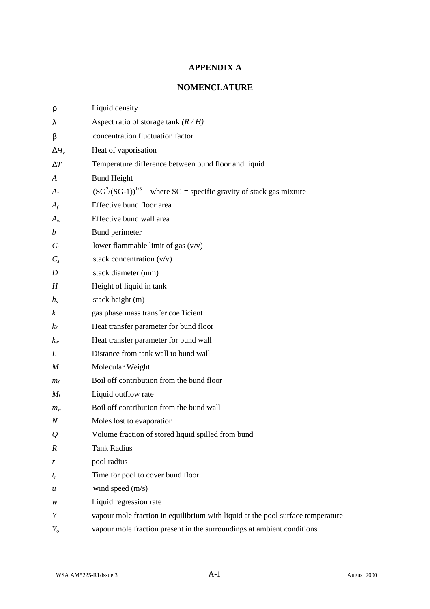## **APPENDIX A**

## **NOMENCLATURE**

| r                 | Liquid density                                                                  |  |
|-------------------|---------------------------------------------------------------------------------|--|
| 1                 | Aspect ratio of storage tank $(R/H)$                                            |  |
| b                 | concentration fluctuation factor                                                |  |
| $\mathbf{D}H_{v}$ | Heat of vaporisation                                                            |  |
| DT                | Temperature difference between bund floor and liquid                            |  |
| A                 | <b>Bund Height</b>                                                              |  |
| $A_I$             | $(SG^2/(SG-1))^{1/3}$ where SG = specific gravity of stack gas mixture          |  |
| $A_f$             | Effective bund floor area                                                       |  |
| $A_w$             | Effective bund wall area                                                        |  |
| $\boldsymbol{b}$  | Bund perimeter                                                                  |  |
| $C_l$             | lower flammable limit of gas $(v/v)$                                            |  |
| $C_{s}$           | stack concentration $(v/v)$                                                     |  |
| D                 | stack diameter (mm)                                                             |  |
| H                 | Height of liquid in tank                                                        |  |
| $h_{s}$           | stack height (m)                                                                |  |
| k                 | gas phase mass transfer coefficient                                             |  |
| $k_f$             | Heat transfer parameter for bund floor                                          |  |
| $k_{w}$           | Heat transfer parameter for bund wall                                           |  |
| L                 | Distance from tank wall to bund wall                                            |  |
| M                 | Molecular Weight                                                                |  |
| $m_f$             | Boil off contribution from the bund floor                                       |  |
| $M_l$             | Liquid outflow rate                                                             |  |
| $m_{w}$           | Boil off contribution from the bund wall                                        |  |
| $\boldsymbol{N}$  | Moles lost to evaporation                                                       |  |
| $\mathcal{Q}$     | Volume fraction of stored liquid spilled from bund                              |  |
| $\boldsymbol{R}$  | <b>Tank Radius</b>                                                              |  |
| r                 | pool radius                                                                     |  |
| $t_r$             | Time for pool to cover bund floor                                               |  |
| u                 | wind speed $(m/s)$                                                              |  |
| w                 | Liquid regression rate                                                          |  |
| Y                 | vapour mole fraction in equilibrium with liquid at the pool surface temperature |  |
| $Y_{o}$           | vapour mole fraction present in the surroundings at ambient conditions          |  |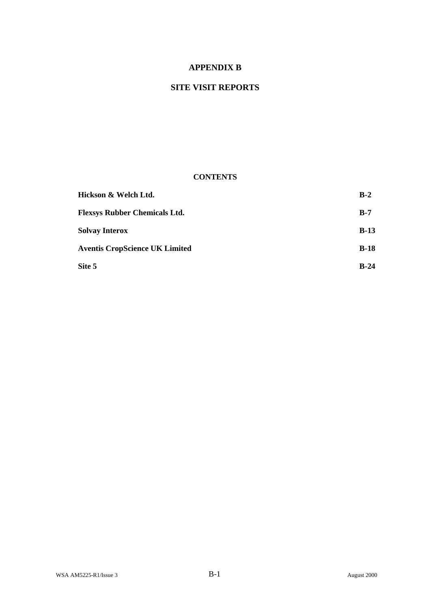## **APPENDIX B**

## **SITE VISIT REPORTS**

### **CONTENTS**

| Hickson & Welch Ltd.                  | $B-2$  |
|---------------------------------------|--------|
| <b>Flexsys Rubber Chemicals Ltd.</b>  | $B-7$  |
| <b>Solvay Interox</b>                 | $B-13$ |
| <b>Aventis CropScience UK Limited</b> | $B-18$ |
| Site 5                                | $B-24$ |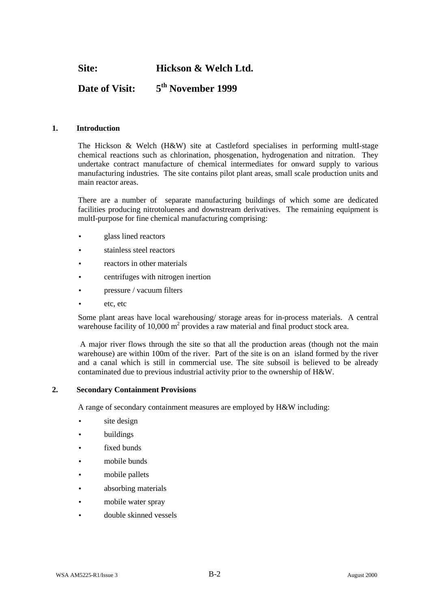## **Site: Hickson & Welch Ltd.**

#### **Date of Visit: 5 th November 1999**

#### **1. Introduction**

The Hickson & Welch (H&W) site at Castleford specialises in performing multI-stage chemical reactions such as chlorination, phosgenation, hydrogenation and nitration. They undertake contract manufacture of chemical intermediates for onward supply to various manufacturing industries. The site contains pilot plant areas, small scale production units and main reactor areas.

There are a number of separate manufacturing buildings of which some are dedicated facilities producing nitrotoluenes and downstream derivatives. The remaining equipment is multI-purpose for fine chemical manufacturing comprising:

- glass lined reactors
- stainless steel reactors
- reactors in other materials
- centrifuges with nitrogen inertion
- pressure / vacuum filters
- etc, etc

Some plant areas have local warehousing/ storage areas for in-process materials. A central warehouse facility of 10,000  $m^2$  provides a raw material and final product stock area.

 A major river flows through the site so that all the production areas (though not the main warehouse) are within 100m of the river. Part of the site is on an island formed by the river and a canal which is still in commercial use. The site subsoil is believed to be already contaminated due to previous industrial activity prior to the ownership of H&W.

#### **2. Secondary Containment Provisions**

A range of secondary containment measures are employed by H&W including:

- site design
- buildings
- fixed bunds
- mobile bunds
- mobile pallets
- absorbing materials
- mobile water spray
- double skinned vessels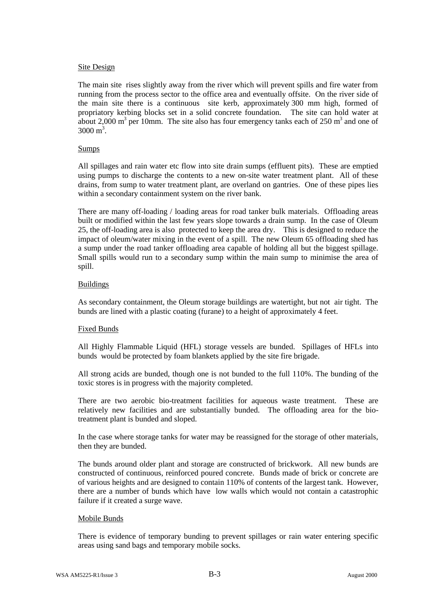#### Site Design

The main site rises slightly away from the river which will prevent spills and fire water from running from the process sector to the office area and eventually offsite. On the river side of the main site there is a continuous site kerb, approximately 300 mm high, formed of propriatory kerbing blocks set in a solid concrete foundation. The site can hold water at about 2,000 m<sup>3</sup> per 10mm. The site also has four emergency tanks each of 250 m<sup>3</sup> and one of  $3000 \text{ m}^3$ .

#### Sumps

All spillages and rain water etc flow into site drain sumps (effluent pits). These are emptied using pumps to discharge the contents to a new on-site water treatment plant. All of these drains, from sump to water treatment plant, are overland on gantries. One of these pipes lies within a secondary containment system on the river bank.

There are many off-loading / loading areas for road tanker bulk materials. Offloading areas built or modified within the last few years slope towards a drain sump. In the case of Oleum 25, the off-loading area is also protected to keep the area dry. This is designed to reduce the impact of oleum/water mixing in the event of a spill. The new Oleum 65 offloading shed has a sump under the road tanker offloading area capable of holding all but the biggest spillage. Small spills would run to a secondary sump within the main sump to minimise the area of spill.

#### **Buildings**

As secondary containment, the Oleum storage buildings are watertight, but not air tight. The bunds are lined with a plastic coating (furane) to a height of approximately 4 feet.

#### Fixed Bunds

All Highly Flammable Liquid (HFL) storage vessels are bunded. Spillages of HFLs into bunds would be protected by foam blankets applied by the site fire brigade.

All strong acids are bunded, though one is not bunded to the full 110%. The bunding of the toxic stores is in progress with the majority completed.

There are two aerobic bio-treatment facilities for aqueous waste treatment. These are relatively new facilities and are substantially bunded. The offloading area for the biotreatment plant is bunded and sloped.

In the case where storage tanks for water may be reassigned for the storage of other materials, then they are bunded.

The bunds around older plant and storage are constructed of brickwork. All new bunds are constructed of continuous, reinforced poured concrete. Bunds made of brick or concrete are of various heights and are designed to contain 110% of contents of the largest tank. However, there are a number of bunds which have low walls which would not contain a catastrophic failure if it created a surge wave.

#### Mobile Bunds

There is evidence of temporary bunding to prevent spillages or rain water entering specific areas using sand bags and temporary mobile socks.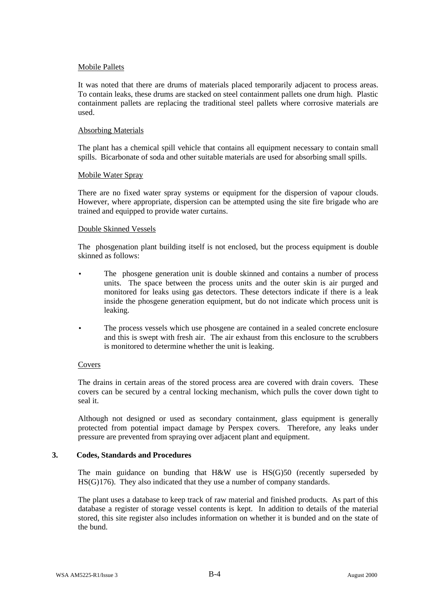#### Mobile Pallets

It was noted that there are drums of materials placed temporarily adjacent to process areas. To contain leaks, these drums are stacked on steel containment pallets one drum high. Plastic containment pallets are replacing the traditional steel pallets where corrosive materials are used.

#### Absorbing Materials

The plant has a chemical spill vehicle that contains all equipment necessary to contain small spills. Bicarbonate of soda and other suitable materials are used for absorbing small spills.

#### Mobile Water Spray

There are no fixed water spray systems or equipment for the dispersion of vapour clouds. However, where appropriate, dispersion can be attempted using the site fire brigade who are trained and equipped to provide water curtains.

#### Double Skinned Vessels

The phosgenation plant building itself is not enclosed, but the process equipment is double skinned as follows:

- The phosgene generation unit is double skinned and contains a number of process units. The space between the process units and the outer skin is air purged and monitored for leaks using gas detectors. These detectors indicate if there is a leak inside the phosgene generation equipment, but do not indicate which process unit is leaking.
- The process vessels which use phosgene are contained in a sealed concrete enclosure and this is swept with fresh air. The air exhaust from this enclosure to the scrubbers is monitored to determine whether the unit is leaking.

#### Covers

The drains in certain areas of the stored process area are covered with drain covers. These covers can be secured by a central locking mechanism, which pulls the cover down tight to seal it.

Although not designed or used as secondary containment, glass equipment is generally protected from potential impact damage by Perspex covers. Therefore, any leaks under pressure are prevented from spraying over adjacent plant and equipment.

#### **3. Codes, Standards and Procedures**

The main guidance on bunding that H&W use is HS(G)50 (recently superseded by HS(G)176). They also indicated that they use a number of company standards.

The plant uses a database to keep track of raw material and finished products. As part of this database a register of storage vessel contents is kept. In addition to details of the material stored, this site register also includes information on whether it is bunded and on the state of the bund.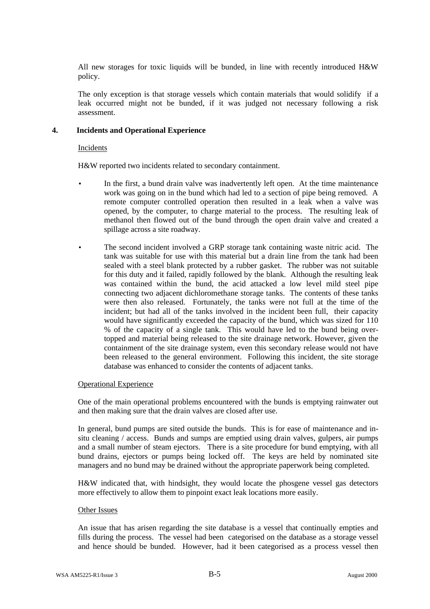All new storages for toxic liquids will be bunded, in line with recently introduced H&W policy.

The only exception is that storage vessels which contain materials that would solidify if a leak occurred might not be bunded, if it was judged not necessary following a risk assessment.

#### **4. Incidents and Operational Experience**

#### Incidents

H&W reported two incidents related to secondary containment.

- In the first, a bund drain valve was inadvertently left open. At the time maintenance work was going on in the bund which had led to a section of pipe being removed. A remote computer controlled operation then resulted in a leak when a valve was opened, by the computer, to charge material to the process. The resulting leak of methanol then flowed out of the bund through the open drain valve and created a spillage across a site roadway.
- The second incident involved a GRP storage tank containing waste nitric acid. The tank was suitable for use with this material but a drain line from the tank had been sealed with a steel blank protected by a rubber gasket. The rubber was not suitable for this duty and it failed, rapidly followed by the blank. Although the resulting leak was contained within the bund, the acid attacked a low level mild steel pipe connecting two adjacent dichloromethane storage tanks. The contents of these tanks were then also released. Fortunately, the tanks were not full at the time of the incident; but had all of the tanks involved in the incident been full, their capacity would have significantly exceeded the capacity of the bund, which was sized for 110 % of the capacity of a single tank. This would have led to the bund being overtopped and material being released to the site drainage network. However, given the containment of the site drainage system, even this secondary release would not have been released to the general environment. Following this incident, the site storage database was enhanced to consider the contents of adjacent tanks.

#### Operational Experience

One of the main operational problems encountered with the bunds is emptying rainwater out and then making sure that the drain valves are closed after use.

In general, bund pumps are sited outside the bunds. This is for ease of maintenance and insitu cleaning / access. Bunds and sumps are emptied using drain valves, gulpers, air pumps and a small number of steam ejectors. There is a site procedure for bund emptying, with all bund drains, ejectors or pumps being locked off. The keys are held by nominated site managers and no bund may be drained without the appropriate paperwork being completed.

H&W indicated that, with hindsight, they would locate the phosgene vessel gas detectors more effectively to allow them to pinpoint exact leak locations more easily.

#### Other Issues

An issue that has arisen regarding the site database is a vessel that continually empties and fills during the process. The vessel had been categorised on the database as a storage vessel and hence should be bunded. However, had it been categorised as a process vessel then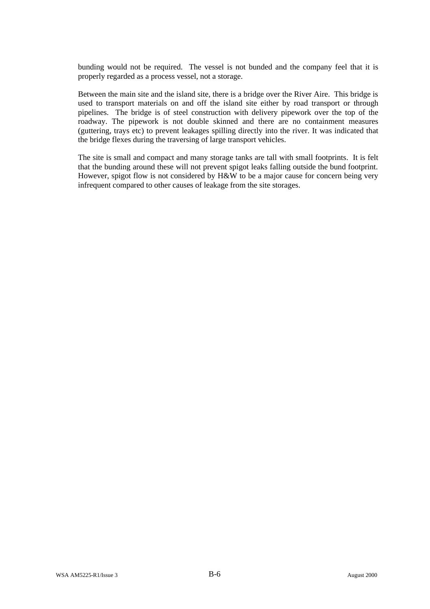bunding would not be required. The vessel is not bunded and the company feel that it is properly regarded as a process vessel, not a storage.

Between the main site and the island site, there is a bridge over the River Aire. This bridge is used to transport materials on and off the island site either by road transport or through pipelines. The bridge is of steel construction with delivery pipework over the top of the roadway. The pipework is not double skinned and there are no containment measures (guttering, trays etc) to prevent leakages spilling directly into the river. It was indicated that the bridge flexes during the traversing of large transport vehicles.

The site is small and compact and many storage tanks are tall with small footprints. It is felt that the bunding around these will not prevent spigot leaks falling outside the bund footprint. However, spigot flow is not considered by H&W to be a major cause for concern being very infrequent compared to other causes of leakage from the site storages.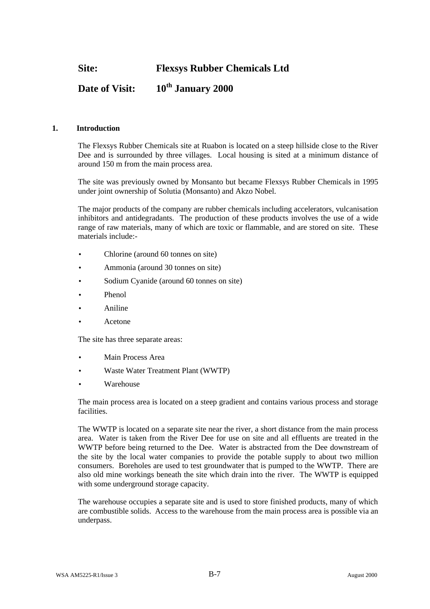**Site: Flexsys Rubber Chemicals Ltd**

## **Date of Visit: 10th January 2000**

#### **1. Introduction**

The Flexsys Rubber Chemicals site at Ruabon is located on a steep hillside close to the River Dee and is surrounded by three villages. Local housing is sited at a minimum distance of around 150 m from the main process area.

The site was previously owned by Monsanto but became Flexsys Rubber Chemicals in 1995 under joint ownership of Solutia (Monsanto) and Akzo Nobel.

The major products of the company are rubber chemicals including accelerators, vulcanisation inhibitors and antidegradants. The production of these products involves the use of a wide range of raw materials, many of which are toxic or flammable, and are stored on site. These materials include:-

- Chlorine (around 60 tonnes on site)
- Ammonia (around 30 tonnes on site)
- Sodium Cyanide (around 60 tonnes on site)
- Phenol
- Aniline
- Acetone

The site has three separate areas:

- Main Process Area
- Waste Water Treatment Plant (WWTP)
- Warehouse

The main process area is located on a steep gradient and contains various process and storage facilities.

The WWTP is located on a separate site near the river, a short distance from the main process area. Water is taken from the River Dee for use on site and all effluents are treated in the WWTP before being returned to the Dee. Water is abstracted from the Dee downstream of the site by the local water companies to provide the potable supply to about two million consumers. Boreholes are used to test groundwater that is pumped to the WWTP. There are also old mine workings beneath the site which drain into the river. The WWTP is equipped with some underground storage capacity.

The warehouse occupies a separate site and is used to store finished products, many of which are combustible solids. Access to the warehouse from the main process area is possible via an underpass.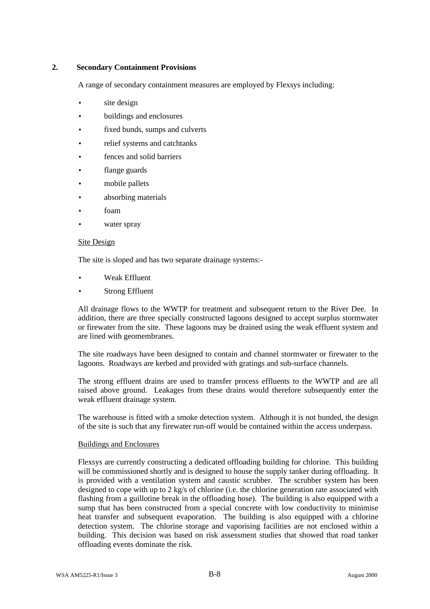#### **2. Secondary Containment Provisions**

A range of secondary containment measures are employed by Flexsys including:

- site design
- buildings and enclosures
- fixed bunds, sumps and culverts
- relief systems and catchtanks
- fences and solid barriers
- flange guards
- mobile pallets
- absorbing materials
- foam
- water spray

#### Site Design

The site is sloped and has two separate drainage systems:-

- Weak Effluent
- **Strong Effluent**

All drainage flows to the WWTP for treatment and subsequent return to the River Dee. In addition, there are three specially constructed lagoons designed to accept surplus stormwater or firewater from the site. These lagoons may be drained using the weak effluent system and are lined with geomembranes.

The site roadways have been designed to contain and channel stormwater or firewater to the lagoons. Roadways are kerbed and provided with gratings and sub-surface channels.

The strong effluent drains are used to transfer process effluents to the WWTP and are all raised above ground. Leakages from these drains would therefore subsequently enter the weak effluent drainage system.

The warehouse is fitted with a smoke detection system. Although it is not bunded, the design of the site is such that any firewater run-off would be contained within the access underpass.

#### Buildings and Enclosures

Flexsys are currently constructing a dedicated offloading building for chlorine. This building will be commissioned shortly and is designed to house the supply tanker during offloading. It is provided with a ventilation system and caustic scrubber. The scrubber system has been designed to cope with up to 2 kg/s of chlorine (i.e. the chlorine generation rate associated with flashing from a guillotine break in the offloading hose). The building is also equipped with a sump that has been constructed from a special concrete with low conductivity to minimise heat transfer and subsequent evaporation. The building is also equipped with a chlorine detection system. The chlorine storage and vaporising facilities are not enclosed within a building. This decision was based on risk assessment studies that showed that road tanker offloading events dominate the risk.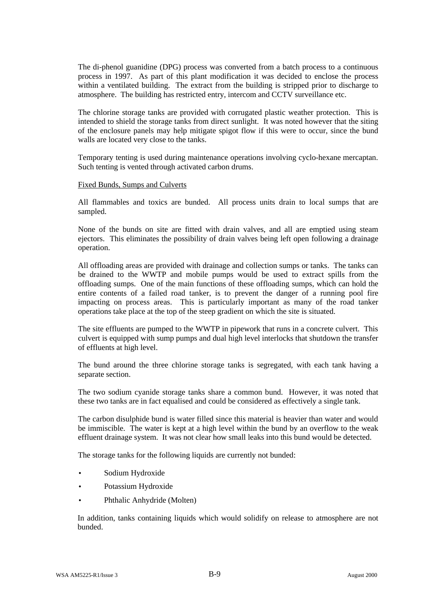The di-phenol guanidine (DPG) process was converted from a batch process to a continuous process in 1997. As part of this plant modification it was decided to enclose the process within a ventilated building. The extract from the building is stripped prior to discharge to atmosphere. The building has restricted entry, intercom and CCTV surveillance etc.

The chlorine storage tanks are provided with corrugated plastic weather protection. This is intended to shield the storage tanks from direct sunlight. It was noted however that the siting of the enclosure panels may help mitigate spigot flow if this were to occur, since the bund walls are located very close to the tanks.

Temporary tenting is used during maintenance operations involving cyclo-hexane mercaptan. Such tenting is vented through activated carbon drums.

#### Fixed Bunds, Sumps and Culverts

All flammables and toxics are bunded. All process units drain to local sumps that are sampled.

None of the bunds on site are fitted with drain valves, and all are emptied using steam ejectors. This eliminates the possibility of drain valves being left open following a drainage operation.

All offloading areas are provided with drainage and collection sumps or tanks. The tanks can be drained to the WWTP and mobile pumps would be used to extract spills from the offloading sumps. One of the main functions of these offloading sumps, which can hold the entire contents of a failed road tanker, is to prevent the danger of a running pool fire impacting on process areas. This is particularly important as many of the road tanker operations take place at the top of the steep gradient on which the site is situated.

The site effluents are pumped to the WWTP in pipework that runs in a concrete culvert. This culvert is equipped with sump pumps and dual high level interlocks that shutdown the transfer of effluents at high level.

The bund around the three chlorine storage tanks is segregated, with each tank having a separate section.

The two sodium cyanide storage tanks share a common bund. However, it was noted that these two tanks are in fact equalised and could be considered as effectively a single tank.

The carbon disulphide bund is water filled since this material is heavier than water and would be immiscible. The water is kept at a high level within the bund by an overflow to the weak effluent drainage system. It was not clear how small leaks into this bund would be detected.

The storage tanks for the following liquids are currently not bunded:

- Sodium Hydroxide
- Potassium Hydroxide
- Phthalic Anhydride (Molten)

In addition, tanks containing liquids which would solidify on release to atmosphere are not bunded.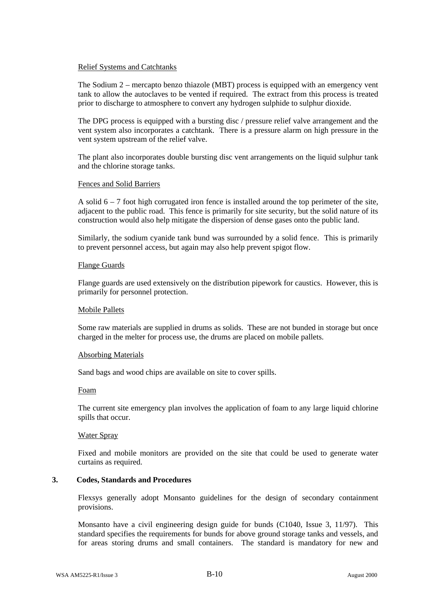#### Relief Systems and Catchtanks

The Sodium 2 – mercapto benzo thiazole (MBT) process is equipped with an emergency vent tank to allow the autoclaves to be vented if required. The extract from this process is treated prior to discharge to atmosphere to convert any hydrogen sulphide to sulphur dioxide.

The DPG process is equipped with a bursting disc / pressure relief valve arrangement and the vent system also incorporates a catchtank. There is a pressure alarm on high pressure in the vent system upstream of the relief valve.

The plant also incorporates double bursting disc vent arrangements on the liquid sulphur tank and the chlorine storage tanks.

#### Fences and Solid Barriers

A solid 6 – 7 foot high corrugated iron fence is installed around the top perimeter of the site, adjacent to the public road. This fence is primarily for site security, but the solid nature of its construction would also help mitigate the dispersion of dense gases onto the public land.

Similarly, the sodium cyanide tank bund was surrounded by a solid fence. This is primarily to prevent personnel access, but again may also help prevent spigot flow.

#### Flange Guards

Flange guards are used extensively on the distribution pipework for caustics. However, this is primarily for personnel protection.

#### Mobile Pallets

Some raw materials are supplied in drums as solids. These are not bunded in storage but once charged in the melter for process use, the drums are placed on mobile pallets.

#### Absorbing Materials

Sand bags and wood chips are available on site to cover spills.

#### Foam

The current site emergency plan involves the application of foam to any large liquid chlorine spills that occur.

#### Water Spray

Fixed and mobile monitors are provided on the site that could be used to generate water curtains as required.

#### **3. Codes, Standards and Procedures**

Flexsys generally adopt Monsanto guidelines for the design of secondary containment provisions.

Monsanto have a civil engineering design guide for bunds (C1040, Issue 3, 11/97). This standard specifies the requirements for bunds for above ground storage tanks and vessels, and for areas storing drums and small containers. The standard is mandatory for new and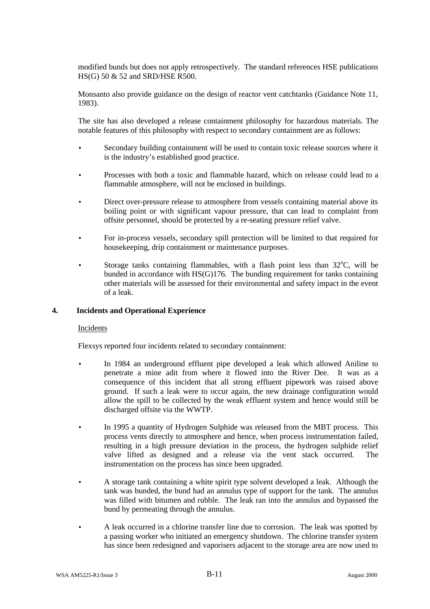modified bunds but does not apply retrospectively. The standard references HSE publications HS(G) 50 & 52 and SRD/HSE R500.

Monsanto also provide guidance on the design of reactor vent catchtanks (Guidance Note 11, 1983).

The site has also developed a release containment philosophy for hazardous materials. The notable features of this philosophy with respect to secondary containment are as follows:

- Secondary building containment will be used to contain toxic release sources where it is the industry's established good practice.
- Processes with both a toxic and flammable hazard, which on release could lead to a flammable atmosphere, will not be enclosed in buildings.
- Direct over-pressure release to atmosphere from vessels containing material above its boiling point or with significant vapour pressure, that can lead to complaint from offsite personnel, should be protected by a re-seating pressure relief valve.
- For in-process vessels, secondary spill protection will be limited to that required for housekeeping, drip containment or maintenance purposes.
- Storage tanks containing flammables, with a flash point less than  $32^{\circ}$ C, will be bunded in accordance with HS(G)176. The bunding requirement for tanks containing other materials will be assessed for their environmental and safety impact in the event of a leak.

#### **4. Incidents and Operational Experience**

#### Incidents

Flexsys reported four incidents related to secondary containment:

- In 1984 an underground effluent pipe developed a leak which allowed Aniline to penetrate a mine adit from where it flowed into the River Dee. It was as a consequence of this incident that all strong effluent pipework was raised above ground. If such a leak were to occur again, the new drainage configuration would allow the spill to be collected by the weak effluent system and hence would still be discharged offsite via the WWTP.
- In 1995 a quantity of Hydrogen Sulphide was released from the MBT process. This process vents directly to atmosphere and hence, when process instrumentation failed, resulting in a high pressure deviation in the process, the hydrogen sulphide relief valve lifted as designed and a release via the vent stack occurred. The instrumentation on the process has since been upgraded.
- A storage tank containing a white spirit type solvent developed a leak. Although the tank was bunded, the bund had an annulus type of support for the tank. The annulus was filled with bitumen and rubble. The leak ran into the annulus and bypassed the bund by permeating through the annulus.
- A leak occurred in a chlorine transfer line due to corrosion. The leak was spotted by a passing worker who initiated an emergency shutdown. The chlorine transfer system has since been redesigned and vaporisers adjacent to the storage area are now used to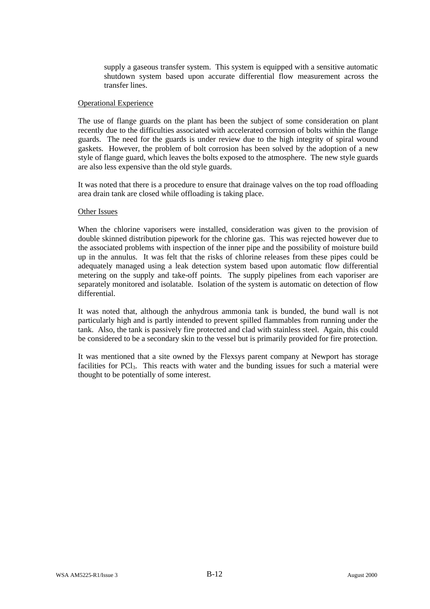supply a gaseous transfer system. This system is equipped with a sensitive automatic shutdown system based upon accurate differential flow measurement across the transfer lines.

#### Operational Experience

The use of flange guards on the plant has been the subject of some consideration on plant recently due to the difficulties associated with accelerated corrosion of bolts within the flange guards. The need for the guards is under review due to the high integrity of spiral wound gaskets. However, the problem of bolt corrosion has been solved by the adoption of a new style of flange guard, which leaves the bolts exposed to the atmosphere. The new style guards are also less expensive than the old style guards.

It was noted that there is a procedure to ensure that drainage valves on the top road offloading area drain tank are closed while offloading is taking place.

#### Other Issues

When the chlorine vaporisers were installed, consideration was given to the provision of double skinned distribution pipework for the chlorine gas. This was rejected however due to the associated problems with inspection of the inner pipe and the possibility of moisture build up in the annulus. It was felt that the risks of chlorine releases from these pipes could be adequately managed using a leak detection system based upon automatic flow differential metering on the supply and take-off points. The supply pipelines from each vaporiser are separately monitored and isolatable. Isolation of the system is automatic on detection of flow differential.

It was noted that, although the anhydrous ammonia tank is bunded, the bund wall is not particularly high and is partly intended to prevent spilled flammables from running under the tank. Also, the tank is passively fire protected and clad with stainless steel. Again, this could be considered to be a secondary skin to the vessel but is primarily provided for fire protection.

It was mentioned that a site owned by the Flexsys parent company at Newport has storage facilities for PCl<sub>3</sub>. This reacts with water and the bunding issues for such a material were thought to be potentially of some interest.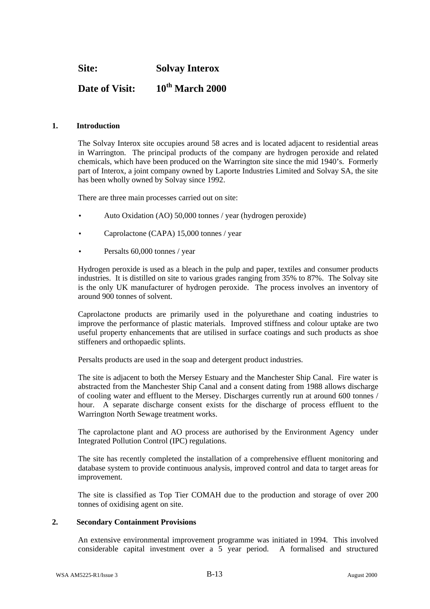**Site: Solvay Interox**

## **Date of Visit: 10th March 2000**

#### **1. Introduction**

The Solvay Interox site occupies around 58 acres and is located adjacent to residential areas in Warrington. The principal products of the company are hydrogen peroxide and related chemicals, which have been produced on the Warrington site since the mid 1940's. Formerly part of Interox, a joint company owned by Laporte Industries Limited and Solvay SA, the site has been wholly owned by Solvay since 1992.

There are three main processes carried out on site:

- Auto Oxidation (AO) 50,000 tonnes / year (hydrogen peroxide)
- Caprolactone (CAPA) 15,000 tonnes / year
- Persalts 60,000 tonnes / year

Hydrogen peroxide is used as a bleach in the pulp and paper, textiles and consumer products industries. It is distilled on site to various grades ranging from 35% to 87%. The Solvay site is the only UK manufacturer of hydrogen peroxide. The process involves an inventory of around 900 tonnes of solvent.

Caprolactone products are primarily used in the polyurethane and coating industries to improve the performance of plastic materials. Improved stiffness and colour uptake are two useful property enhancements that are utilised in surface coatings and such products as shoe stiffeners and orthopaedic splints.

Persalts products are used in the soap and detergent product industries.

The site is adjacent to both the Mersey Estuary and the Manchester Ship Canal. Fire water is abstracted from the Manchester Ship Canal and a consent dating from 1988 allows discharge of cooling water and effluent to the Mersey. Discharges currently run at around 600 tonnes / hour. A separate discharge consent exists for the discharge of process effluent to the Warrington North Sewage treatment works.

The caprolactone plant and AO process are authorised by the Environment Agency under Integrated Pollution Control (IPC) regulations.

The site has recently completed the installation of a comprehensive effluent monitoring and database system to provide continuous analysis, improved control and data to target areas for improvement.

The site is classified as Top Tier COMAH due to the production and storage of over 200 tonnes of oxidising agent on site.

#### **2. Secondary Containment Provisions**

An extensive environmental improvement programme was initiated in 1994. This involved considerable capital investment over a 5 year period. A formalised and structured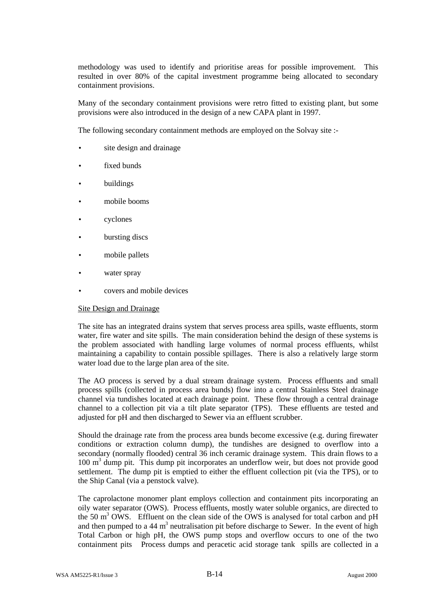methodology was used to identify and prioritise areas for possible improvement. This resulted in over 80% of the capital investment programme being allocated to secondary containment provisions.

Many of the secondary containment provisions were retro fitted to existing plant, but some provisions were also introduced in the design of a new CAPA plant in 1997.

The following secondary containment methods are employed on the Solvay site :-

- site design and drainage
- fixed bunds
- **buildings**
- mobile booms
- cyclones
- bursting discs
- mobile pallets
- water spray
- covers and mobile devices

#### Site Design and Drainage

The site has an integrated drains system that serves process area spills, waste effluents, storm water, fire water and site spills. The main consideration behind the design of these systems is the problem associated with handling large volumes of normal process effluents, whilst maintaining a capability to contain possible spillages. There is also a relatively large storm water load due to the large plan area of the site.

The AO process is served by a dual stream drainage system. Process effluents and small process spills (collected in process area bunds) flow into a central Stainless Steel drainage channel via tundishes located at each drainage point. These flow through a central drainage channel to a collection pit via a tilt plate separator (TPS). These effluents are tested and adjusted for pH and then discharged to Sewer via an effluent scrubber.

Should the drainage rate from the process area bunds become excessive (e.g. during firewater conditions or extraction column dump), the tundishes are designed to overflow into a secondary (normally flooded) central 36 inch ceramic drainage system. This drain flows to a 100 m<sup>3</sup> dump pit. This dump pit incorporates an underflow weir, but does not provide good settlement. The dump pit is emptied to either the effluent collection pit (via the TPS), or to the Ship Canal (via a penstock valve).

The caprolactone monomer plant employs collection and containment pits incorporating an oily water separator (OWS). Process effluents, mostly water soluble organics, are directed to the 50  $\text{m}^3$  OWS. Effluent on the clean side of the OWS is analysed for total carbon and pH and then pumped to a 44  $m<sup>3</sup>$  neutralisation pit before discharge to Sewer. In the event of high Total Carbon or high pH, the OWS pump stops and overflow occurs to one of the two containment pits Process dumps and peracetic acid storage tank spills are collected in a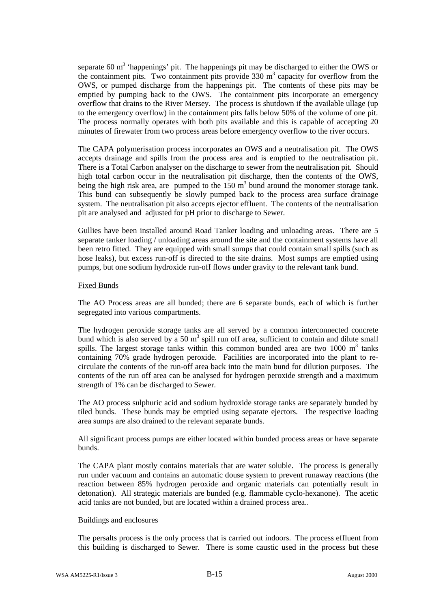separate 60  $m<sup>3</sup>$  'happenings' pit. The happenings pit may be discharged to either the OWS or the containment pits. Two containment pits provide  $330 \text{ m}^3$  capacity for overflow from the OWS, or pumped discharge from the happenings pit. The contents of these pits may be emptied by pumping back to the OWS. The containment pits incorporate an emergency overflow that drains to the River Mersey. The process is shutdown if the available ullage (up to the emergency overflow) in the containment pits falls below 50% of the volume of one pit. The process normally operates with both pits available and this is capable of accepting 20 minutes of firewater from two process areas before emergency overflow to the river occurs.

The CAPA polymerisation process incorporates an OWS and a neutralisation pit. The OWS accepts drainage and spills from the process area and is emptied to the neutralisation pit. There is a Total Carbon analyser on the discharge to sewer from the neutralisation pit. Should high total carbon occur in the neutralisation pit discharge, then the contents of the OWS, being the high risk area, are pumped to the  $150 \text{ m}^3$  bund around the monomer storage tank. This bund can subsequently be slowly pumped back to the process area surface drainage system. The neutralisation pit also accepts ejector effluent. The contents of the neutralisation pit are analysed and adjusted for pH prior to discharge to Sewer.

Gullies have been installed around Road Tanker loading and unloading areas. There are 5 separate tanker loading / unloading areas around the site and the containment systems have all been retro fitted. They are equipped with small sumps that could contain small spills (such as hose leaks), but excess run-off is directed to the site drains. Most sumps are emptied using pumps, but one sodium hydroxide run-off flows under gravity to the relevant tank bund.

#### Fixed Bunds

The AO Process areas are all bunded; there are 6 separate bunds, each of which is further segregated into various compartments.

The hydrogen peroxide storage tanks are all served by a common interconnected concrete bund which is also served by a 50  $m<sup>3</sup>$  spill run off area, sufficient to contain and dilute small spills. The largest storage tanks within this common bunded area are two 1000  $m<sup>3</sup>$  tanks containing 70% grade hydrogen peroxide. Facilities are incorporated into the plant to recirculate the contents of the run-off area back into the main bund for dilution purposes. The contents of the run off area can be analysed for hydrogen peroxide strength and a maximum strength of 1% can be discharged to Sewer.

The AO process sulphuric acid and sodium hydroxide storage tanks are separately bunded by tiled bunds. These bunds may be emptied using separate ejectors. The respective loading area sumps are also drained to the relevant separate bunds.

All significant process pumps are either located within bunded process areas or have separate bunds.

The CAPA plant mostly contains materials that are water soluble. The process is generally run under vacuum and contains an automatic douse system to prevent runaway reactions (the reaction between 85% hydrogen peroxide and organic materials can potentially result in detonation). All strategic materials are bunded (e.g. flammable cyclo-hexanone). The acetic acid tanks are not bunded, but are located within a drained process area..

#### Buildings and enclosures

The persalts process is the only process that is carried out indoors. The process effluent from this building is discharged to Sewer. There is some caustic used in the process but these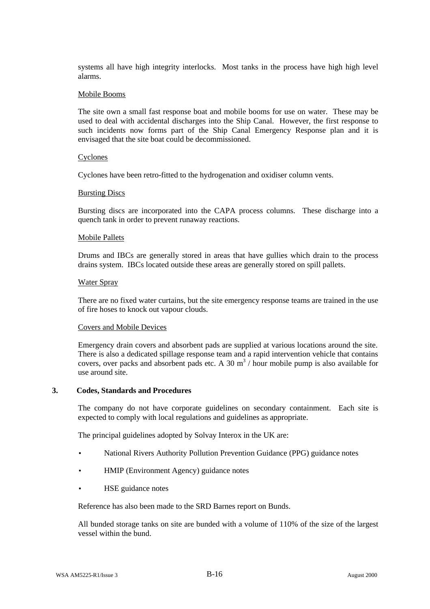systems all have high integrity interlocks. Most tanks in the process have high high level alarms.

#### Mobile Booms

The site own a small fast response boat and mobile booms for use on water. These may be used to deal with accidental discharges into the Ship Canal. However, the first response to such incidents now forms part of the Ship Canal Emergency Response plan and it is envisaged that the site boat could be decommissioned.

#### Cyclones

Cyclones have been retro-fitted to the hydrogenation and oxidiser column vents.

#### Bursting Discs

Bursting discs are incorporated into the CAPA process columns. These discharge into a quench tank in order to prevent runaway reactions.

#### Mobile Pallets

Drums and IBCs are generally stored in areas that have gullies which drain to the process drains system. IBCs located outside these areas are generally stored on spill pallets.

#### Water Spray

There are no fixed water curtains, but the site emergency response teams are trained in the use of fire hoses to knock out vapour clouds.

#### Covers and Mobile Devices

Emergency drain covers and absorbent pads are supplied at various locations around the site. There is also a dedicated spillage response team and a rapid intervention vehicle that contains covers, over packs and absorbent pads etc. A 30  $m<sup>3</sup>$  / hour mobile pump is also available for use around site.

#### **3. Codes, Standards and Procedures**

The company do not have corporate guidelines on secondary containment. Each site is expected to comply with local regulations and guidelines as appropriate.

The principal guidelines adopted by Solvay Interox in the UK are:

- National Rivers Authority Pollution Prevention Guidance (PPG) guidance notes
- HMIP (Environment Agency) guidance notes
- HSE guidance notes

Reference has also been made to the SRD Barnes report on Bunds.

All bunded storage tanks on site are bunded with a volume of 110% of the size of the largest vessel within the bund.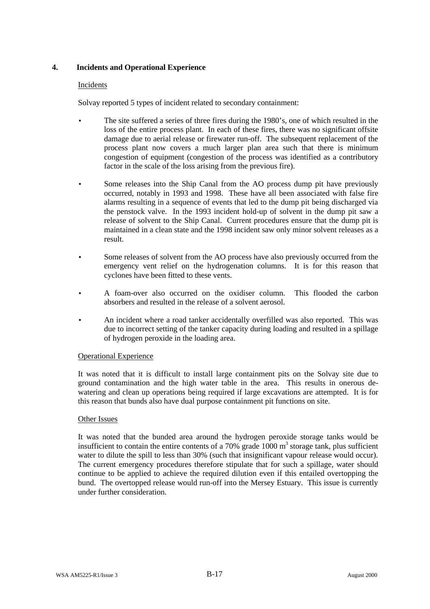#### **4. Incidents and Operational Experience**

#### Incidents

Solvay reported 5 types of incident related to secondary containment:

- The site suffered a series of three fires during the 1980's, one of which resulted in the loss of the entire process plant. In each of these fires, there was no significant offsite damage due to aerial release or firewater run-off. The subsequent replacement of the process plant now covers a much larger plan area such that there is minimum congestion of equipment (congestion of the process was identified as a contributory factor in the scale of the loss arising from the previous fire).
- Some releases into the Ship Canal from the AO process dump pit have previously occurred, notably in 1993 and 1998. These have all been associated with false fire alarms resulting in a sequence of events that led to the dump pit being discharged via the penstock valve. In the 1993 incident hold-up of solvent in the dump pit saw a release of solvent to the Ship Canal. Current procedures ensure that the dump pit is maintained in a clean state and the 1998 incident saw only minor solvent releases as a result.
- Some releases of solvent from the AO process have also previously occurred from the emergency vent relief on the hydrogenation columns. It is for this reason that cyclones have been fitted to these vents.
- A foam-over also occurred on the oxidiser column. This flooded the carbon absorbers and resulted in the release of a solvent aerosol.
- An incident where a road tanker accidentally overfilled was also reported. This was due to incorrect setting of the tanker capacity during loading and resulted in a spillage of hydrogen peroxide in the loading area.

#### Operational Experience

It was noted that it is difficult to install large containment pits on the Solvay site due to ground contamination and the high water table in the area. This results in onerous dewatering and clean up operations being required if large excavations are attempted. It is for this reason that bunds also have dual purpose containment pit functions on site.

#### Other Issues

It was noted that the bunded area around the hydrogen peroxide storage tanks would be insufficient to contain the entire contents of a 70% grade  $1000 \text{ m}^3$  storage tank, plus sufficient water to dilute the spill to less than 30% (such that insignificant vapour release would occur). The current emergency procedures therefore stipulate that for such a spillage, water should continue to be applied to achieve the required dilution even if this entailed overtopping the bund. The overtopped release would run-off into the Mersey Estuary. This issue is currently under further consideration.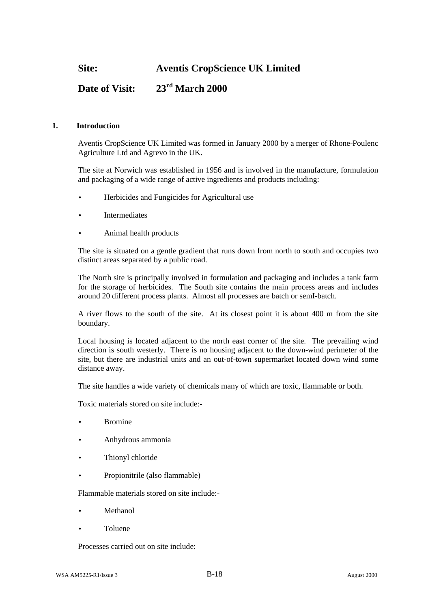**Site: Aventis CropScience UK Limited**

## **Date of Visit: 23rd March 2000**

#### **1. Introduction**

Aventis CropScience UK Limited was formed in January 2000 by a merger of Rhone-Poulenc Agriculture Ltd and Agrevo in the UK.

The site at Norwich was established in 1956 and is involved in the manufacture, formulation and packaging of a wide range of active ingredients and products including:

- Herbicides and Fungicides for Agricultural use
- **Intermediates**
- Animal health products

The site is situated on a gentle gradient that runs down from north to south and occupies two distinct areas separated by a public road.

The North site is principally involved in formulation and packaging and includes a tank farm for the storage of herbicides. The South site contains the main process areas and includes around 20 different process plants. Almost all processes are batch or semI-batch.

A river flows to the south of the site. At its closest point it is about 400 m from the site boundary.

Local housing is located adjacent to the north east corner of the site. The prevailing wind direction is south westerly. There is no housing adjacent to the down-wind perimeter of the site, but there are industrial units and an out-of-town supermarket located down wind some distance away.

The site handles a wide variety of chemicals many of which are toxic, flammable or both.

Toxic materials stored on site include:-

- **Bromine**
- Anhydrous ammonia
- Thionyl chloride
- Propionitrile (also flammable)

Flammable materials stored on site include:-

- Methanol
- Toluene

Processes carried out on site include: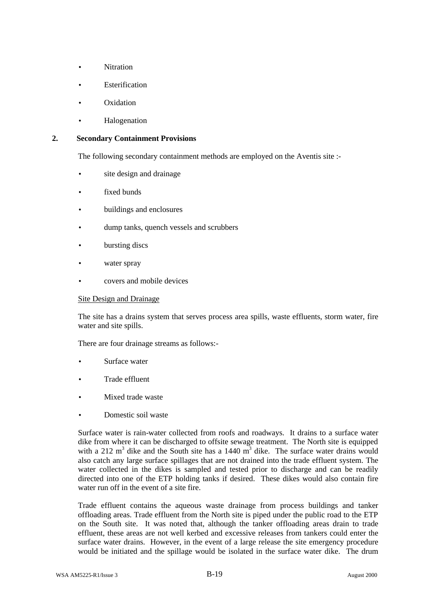- **Nitration**
- **Esterification**
- **Oxidation**
- **Halogenation**

#### **2. Secondary Containment Provisions**

The following secondary containment methods are employed on the Aventis site :-

- site design and drainage
- fixed bunds
- buildings and enclosures
- dump tanks, quench vessels and scrubbers
- bursting discs
- water spray
- covers and mobile devices

#### Site Design and Drainage

The site has a drains system that serves process area spills, waste effluents, storm water, fire water and site spills.

There are four drainage streams as follows:-

- Surface water
- Trade effluent
- Mixed trade waste
- Domestic soil waste

Surface water is rain-water collected from roofs and roadways. It drains to a surface water dike from where it can be discharged to offsite sewage treatment. The North site is equipped with a 212  $m^3$  dike and the South site has a 1440  $m^3$  dike. The surface water drains would also catch any large surface spillages that are not drained into the trade effluent system. The water collected in the dikes is sampled and tested prior to discharge and can be readily directed into one of the ETP holding tanks if desired. These dikes would also contain fire water run off in the event of a site fire.

Trade effluent contains the aqueous waste drainage from process buildings and tanker offloading areas. Trade effluent from the North site is piped under the public road to the ETP on the South site. It was noted that, although the tanker offloading areas drain to trade effluent, these areas are not well kerbed and excessive releases from tankers could enter the surface water drains. However, in the event of a large release the site emergency procedure would be initiated and the spillage would be isolated in the surface water dike. The drum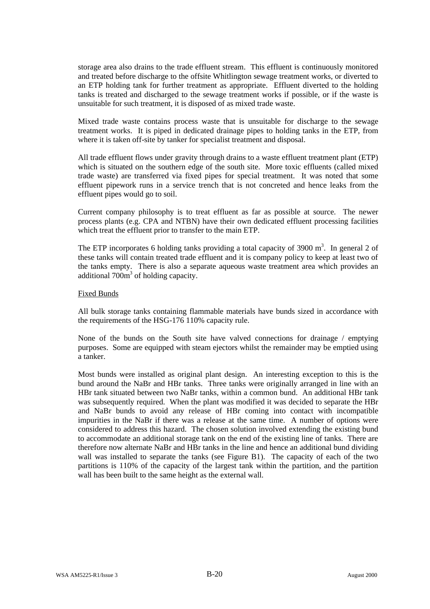storage area also drains to the trade effluent stream. This effluent is continuously monitored and treated before discharge to the offsite Whitlington sewage treatment works, or diverted to an ETP holding tank for further treatment as appropriate. Effluent diverted to the holding tanks is treated and discharged to the sewage treatment works if possible, or if the waste is unsuitable for such treatment, it is disposed of as mixed trade waste.

Mixed trade waste contains process waste that is unsuitable for discharge to the sewage treatment works. It is piped in dedicated drainage pipes to holding tanks in the ETP, from where it is taken off-site by tanker for specialist treatment and disposal.

All trade effluent flows under gravity through drains to a waste effluent treatment plant (ETP) which is situated on the southern edge of the south site. More toxic effluents (called mixed trade waste) are transferred via fixed pipes for special treatment. It was noted that some effluent pipework runs in a service trench that is not concreted and hence leaks from the effluent pipes would go to soil.

Current company philosophy is to treat effluent as far as possible at source. The newer process plants (e.g. CPA and NTBN) have their own dedicated effluent processing facilities which treat the effluent prior to transfer to the main ETP.

The ETP incorporates 6 holding tanks providing a total capacity of 3900  $m<sup>3</sup>$ . In general 2 of these tanks will contain treated trade effluent and it is company policy to keep at least two of the tanks empty. There is also a separate aqueous waste treatment area which provides an additional  $700m<sup>3</sup>$  of holding capacity.

#### Fixed Bunds

All bulk storage tanks containing flammable materials have bunds sized in accordance with the requirements of the HSG-176 110% capacity rule.

None of the bunds on the South site have valved connections for drainage / emptying purposes. Some are equipped with steam ejectors whilst the remainder may be emptied using a tanker.

Most bunds were installed as original plant design. An interesting exception to this is the bund around the NaBr and HBr tanks. Three tanks were originally arranged in line with an HBr tank situated between two NaBr tanks, within a common bund. An additional HBr tank was subsequently required. When the plant was modified it was decided to separate the HBr and NaBr bunds to avoid any release of HBr coming into contact with incompatible impurities in the NaBr if there was a release at the same time. A number of options were considered to address this hazard. The chosen solution involved extending the existing bund to accommodate an additional storage tank on the end of the existing line of tanks. There are therefore now alternate NaBr and HBr tanks in the line and hence an additional bund dividing wall was installed to separate the tanks (see Figure B1). The capacity of each of the two partitions is 110% of the capacity of the largest tank within the partition, and the partition wall has been built to the same height as the external wall.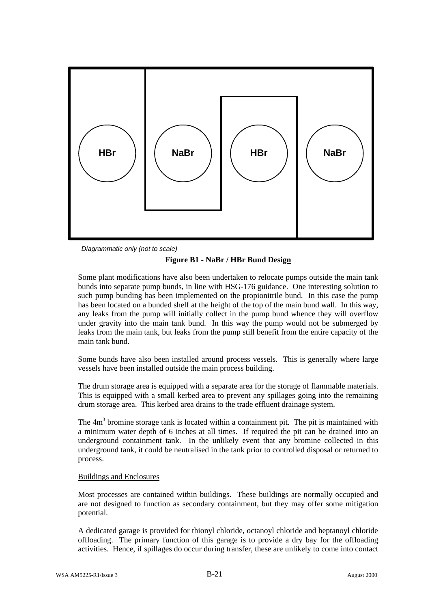



#### **Figure B1 - NaBr / HBr Bund Design**

Some plant modifications have also been undertaken to relocate pumps outside the main tank bunds into separate pump bunds, in line with HSG-176 guidance. One interesting solution to such pump bunding has been implemented on the propionitrile bund. In this case the pump has been located on a bunded shelf at the height of the top of the main bund wall. In this way, any leaks from the pump will initially collect in the pump bund whence they will overflow under gravity into the main tank bund. In this way the pump would not be submerged by leaks from the main tank, but leaks from the pump still benefit from the entire capacity of the main tank bund.

Some bunds have also been installed around process vessels. This is generally where large vessels have been installed outside the main process building.

The drum storage area is equipped with a separate area for the storage of flammable materials. This is equipped with a small kerbed area to prevent any spillages going into the remaining drum storage area. This kerbed area drains to the trade effluent drainage system.

The 4m<sup>3</sup> bromine storage tank is located within a containment pit. The pit is maintained with a minimum water depth of 6 inches at all times. If required the pit can be drained into an underground containment tank. In the unlikely event that any bromine collected in this underground tank, it could be neutralised in the tank prior to controlled disposal or returned to process.

#### Buildings and Enclosures

Most processes are contained within buildings. These buildings are normally occupied and are not designed to function as secondary containment, but they may offer some mitigation potential.

A dedicated garage is provided for thionyl chloride, octanoyl chloride and heptanoyl chloride offloading. The primary function of this garage is to provide a dry bay for the offloading activities. Hence, if spillages do occur during transfer, these are unlikely to come into contact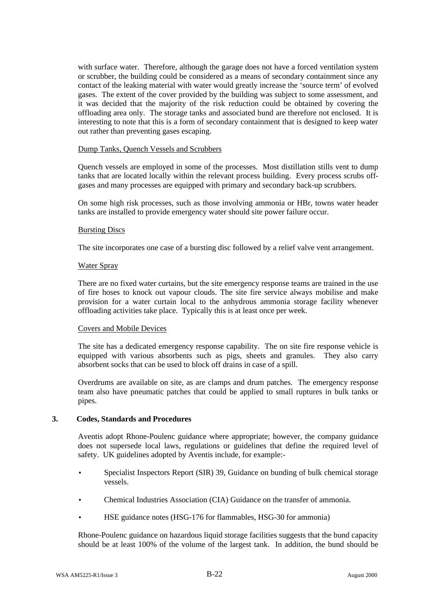with surface water. Therefore, although the garage does not have a forced ventilation system or scrubber, the building could be considered as a means of secondary containment since any contact of the leaking material with water would greatly increase the 'source term' of evolved gases. The extent of the cover provided by the building was subject to some assessment, and it was decided that the majority of the risk reduction could be obtained by covering the offloading area only. The storage tanks and associated bund are therefore not enclosed. It is interesting to note that this is a form of secondary containment that is designed to keep water out rather than preventing gases escaping.

#### Dump Tanks, Quench Vessels and Scrubbers

Quench vessels are employed in some of the processes. Most distillation stills vent to dump tanks that are located locally within the relevant process building. Every process scrubs offgases and many processes are equipped with primary and secondary back-up scrubbers.

On some high risk processes, such as those involving ammonia or HBr, towns water header tanks are installed to provide emergency water should site power failure occur.

#### Bursting Discs

The site incorporates one case of a bursting disc followed by a relief valve vent arrangement.

#### Water Spray

There are no fixed water curtains, but the site emergency response teams are trained in the use of fire hoses to knock out vapour clouds. The site fire service always mobilise and make provision for a water curtain local to the anhydrous ammonia storage facility whenever offloading activities take place. Typically this is at least once per week.

#### Covers and Mobile Devices

The site has a dedicated emergency response capability. The on site fire response vehicle is equipped with various absorbents such as pigs, sheets and granules. They also carry absorbent socks that can be used to block off drains in case of a spill.

Overdrums are available on site, as are clamps and drum patches. The emergency response team also have pneumatic patches that could be applied to small ruptures in bulk tanks or pipes.

#### **3. Codes, Standards and Procedures**

Aventis adopt Rhone-Poulenc guidance where appropriate; however, the company guidance does not supersede local laws, regulations or guidelines that define the required level of safety. UK guidelines adopted by Aventis include, for example:-

- Specialist Inspectors Report (SIR) 39, Guidance on bunding of bulk chemical storage vessels.
- Chemical Industries Association (CIA) Guidance on the transfer of ammonia.
- HSE guidance notes (HSG-176 for flammables, HSG-30 for ammonia)

Rhone-Poulenc guidance on hazardous liquid storage facilities suggests that the bund capacity should be at least 100% of the volume of the largest tank. In addition, the bund should be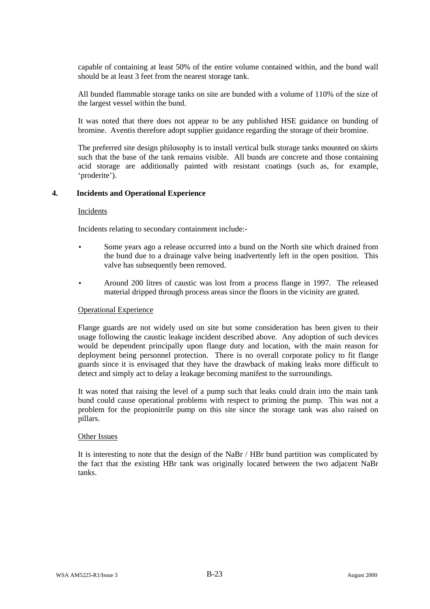capable of containing at least 50% of the entire volume contained within, and the bund wall should be at least 3 feet from the nearest storage tank.

All bunded flammable storage tanks on site are bunded with a volume of 110% of the size of the largest vessel within the bund.

It was noted that there does not appear to be any published HSE guidance on bunding of bromine. Aventis therefore adopt supplier guidance regarding the storage of their bromine.

The preferred site design philosophy is to install vertical bulk storage tanks mounted on skirts such that the base of the tank remains visible. All bunds are concrete and those containing acid storage are additionally painted with resistant coatings (such as, for example, 'proderite').

#### **4. Incidents and Operational Experience**

#### Incidents

Incidents relating to secondary containment include:-

- Some years ago a release occurred into a bund on the North site which drained from the bund due to a drainage valve being inadvertently left in the open position. This valve has subsequently been removed.
- Around 200 litres of caustic was lost from a process flange in 1997. The released material dripped through process areas since the floors in the vicinity are grated.

#### Operational Experience

Flange guards are not widely used on site but some consideration has been given to their usage following the caustic leakage incident described above. Any adoption of such devices would be dependent principally upon flange duty and location, with the main reason for deployment being personnel protection. There is no overall corporate policy to fit flange guards since it is envisaged that they have the drawback of making leaks more difficult to detect and simply act to delay a leakage becoming manifest to the surroundings.

It was noted that raising the level of a pump such that leaks could drain into the main tank bund could cause operational problems with respect to priming the pump. This was not a problem for the propionitrile pump on this site since the storage tank was also raised on pillars.

#### Other Issues

It is interesting to note that the design of the NaBr / HBr bund partition was complicated by the fact that the existing HBr tank was originally located between the two adjacent NaBr tanks.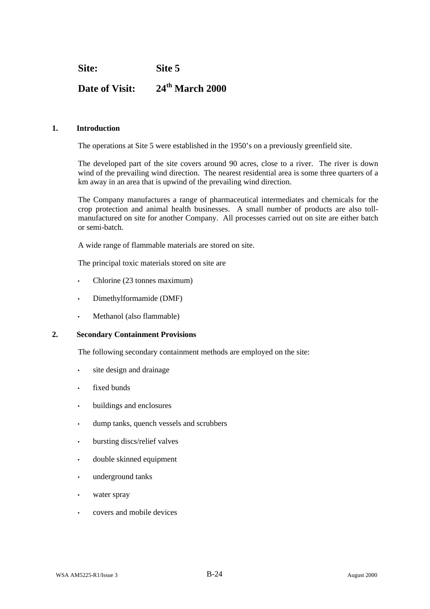**Site: Site 5**

# **Date of Visit: 24th March 2000**

#### **1. Introduction**

The operations at Site 5 were established in the 1950's on a previously greenfield site.

The developed part of the site covers around 90 acres, close to a river. The river is down wind of the prevailing wind direction. The nearest residential area is some three quarters of a km away in an area that is upwind of the prevailing wind direction.

The Company manufactures a range of pharmaceutical intermediates and chemicals for the crop protection and animal health businesses. A small number of products are also tollmanufactured on site for another Company. All processes carried out on site are either batch or semi-batch.

A wide range of flammable materials are stored on site.

The principal toxic materials stored on site are

- Chlorine (23 tonnes maximum)
- Dimethylformamide (DMF)
- Methanol (also flammable)

#### **2. Secondary Containment Provisions**

The following secondary containment methods are employed on the site:

- site design and drainage
- fixed bunds
- buildings and enclosures
- dump tanks, quench vessels and scrubbers
- bursting discs/relief valves
- double skinned equipment
- underground tanks
- water spray
- covers and mobile devices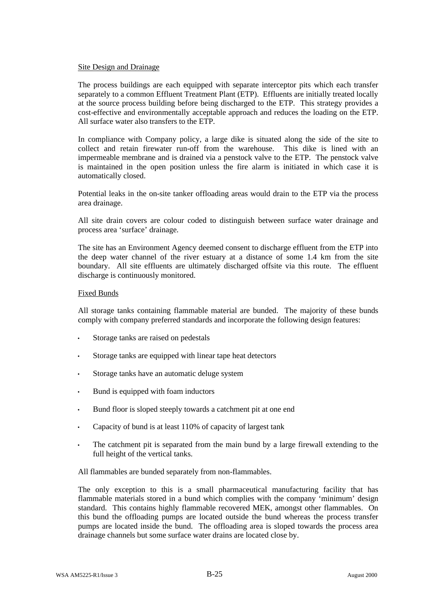#### Site Design and Drainage

The process buildings are each equipped with separate interceptor pits which each transfer separately to a common Effluent Treatment Plant (ETP). Effluents are initially treated locally at the source process building before being discharged to the ETP. This strategy provides a cost-effective and environmentally acceptable approach and reduces the loading on the ETP. All surface water also transfers to the ETP.

In compliance with Company policy, a large dike is situated along the side of the site to collect and retain firewater run-off from the warehouse. This dike is lined with an impermeable membrane and is drained via a penstock valve to the ETP. The penstock valve is maintained in the open position unless the fire alarm is initiated in which case it is automatically closed.

Potential leaks in the on-site tanker offloading areas would drain to the ETP via the process area drainage.

All site drain covers are colour coded to distinguish between surface water drainage and process area 'surface' drainage.

The site has an Environment Agency deemed consent to discharge effluent from the ETP into the deep water channel of the river estuary at a distance of some 1.4 km from the site boundary. All site effluents are ultimately discharged offsite via this route. The effluent discharge is continuously monitored.

#### Fixed Bunds

All storage tanks containing flammable material are bunded. The majority of these bunds comply with company preferred standards and incorporate the following design features:

- Storage tanks are raised on pedestals
- Storage tanks are equipped with linear tape heat detectors
- Storage tanks have an automatic deluge system
- Bund is equipped with foam inductors
- Bund floor is sloped steeply towards a catchment pit at one end
- Capacity of bund is at least 110% of capacity of largest tank
- The catchment pit is separated from the main bund by a large firewall extending to the full height of the vertical tanks.

All flammables are bunded separately from non-flammables.

The only exception to this is a small pharmaceutical manufacturing facility that has flammable materials stored in a bund which complies with the company 'minimum' design standard. This contains highly flammable recovered MEK, amongst other flammables. On this bund the offloading pumps are located outside the bund whereas the process transfer pumps are located inside the bund. The offloading area is sloped towards the process area drainage channels but some surface water drains are located close by.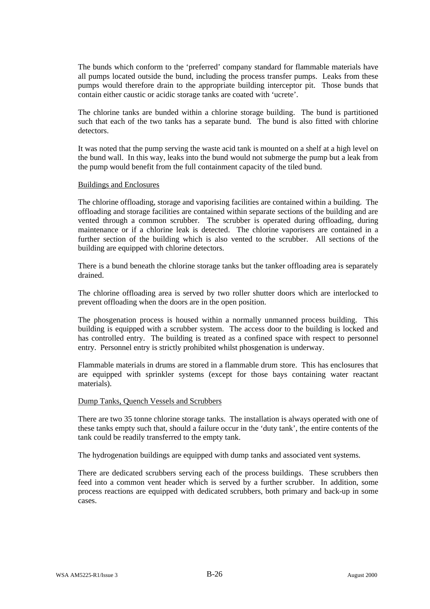The bunds which conform to the 'preferred' company standard for flammable materials have all pumps located outside the bund, including the process transfer pumps. Leaks from these pumps would therefore drain to the appropriate building interceptor pit. Those bunds that contain either caustic or acidic storage tanks are coated with 'ucrete'.

The chlorine tanks are bunded within a chlorine storage building. The bund is partitioned such that each of the two tanks has a separate bund. The bund is also fitted with chlorine detectors.

It was noted that the pump serving the waste acid tank is mounted on a shelf at a high level on the bund wall. In this way, leaks into the bund would not submerge the pump but a leak from the pump would benefit from the full containment capacity of the tiled bund.

#### Buildings and Enclosures

The chlorine offloading, storage and vaporising facilities are contained within a building. The offloading and storage facilities are contained within separate sections of the building and are vented through a common scrubber. The scrubber is operated during offloading, during maintenance or if a chlorine leak is detected. The chlorine vaporisers are contained in a further section of the building which is also vented to the scrubber. All sections of the building are equipped with chlorine detectors.

There is a bund beneath the chlorine storage tanks but the tanker offloading area is separately drained.

The chlorine offloading area is served by two roller shutter doors which are interlocked to prevent offloading when the doors are in the open position.

The phosgenation process is housed within a normally unmanned process building. This building is equipped with a scrubber system. The access door to the building is locked and has controlled entry. The building is treated as a confined space with respect to personnel entry. Personnel entry is strictly prohibited whilst phosgenation is underway.

Flammable materials in drums are stored in a flammable drum store. This has enclosures that are equipped with sprinkler systems (except for those bays containing water reactant materials).

#### Dump Tanks, Quench Vessels and Scrubbers

There are two 35 tonne chlorine storage tanks. The installation is always operated with one of these tanks empty such that, should a failure occur in the 'duty tank', the entire contents of the tank could be readily transferred to the empty tank.

The hydrogenation buildings are equipped with dump tanks and associated vent systems.

There are dedicated scrubbers serving each of the process buildings. These scrubbers then feed into a common vent header which is served by a further scrubber. In addition, some process reactions are equipped with dedicated scrubbers, both primary and back-up in some cases.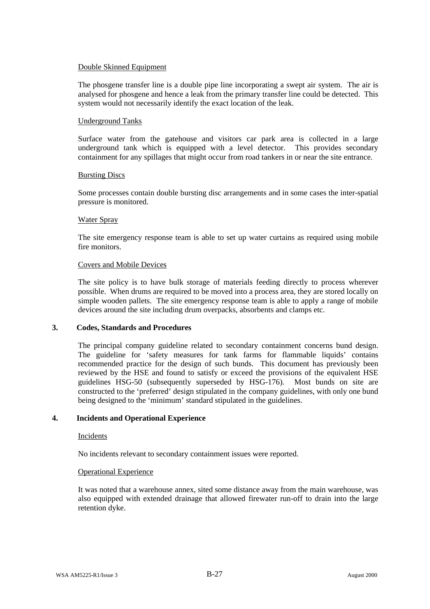#### Double Skinned Equipment

The phosgene transfer line is a double pipe line incorporating a swept air system. The air is analysed for phosgene and hence a leak from the primary transfer line could be detected. This system would not necessarily identify the exact location of the leak.

#### Underground Tanks

Surface water from the gatehouse and visitors car park area is collected in a large underground tank which is equipped with a level detector. This provides secondary containment for any spillages that might occur from road tankers in or near the site entrance.

#### Bursting Discs

Some processes contain double bursting disc arrangements and in some cases the inter-spatial pressure is monitored.

#### Water Spray

The site emergency response team is able to set up water curtains as required using mobile fire monitors.

#### Covers and Mobile Devices

The site policy is to have bulk storage of materials feeding directly to process wherever possible. When drums are required to be moved into a process area, they are stored locally on simple wooden pallets. The site emergency response team is able to apply a range of mobile devices around the site including drum overpacks, absorbents and clamps etc.

#### **3. Codes, Standards and Procedures**

The principal company guideline related to secondary containment concerns bund design. The guideline for 'safety measures for tank farms for flammable liquids' contains recommended practice for the design of such bunds. This document has previously been reviewed by the HSE and found to satisfy or exceed the provisions of the equivalent HSE guidelines HSG-50 (subsequently superseded by HSG-176). Most bunds on site are constructed to the 'preferred' design stipulated in the company guidelines, with only one bund being designed to the 'minimum' standard stipulated in the guidelines.

#### **4. Incidents and Operational Experience**

#### Incidents

No incidents relevant to secondary containment issues were reported.

#### Operational Experience

It was noted that a warehouse annex, sited some distance away from the main warehouse, was also equipped with extended drainage that allowed firewater run-off to drain into the large retention dyke.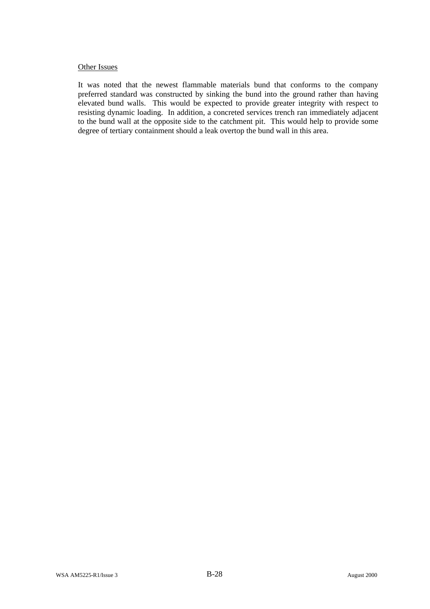#### Other Issues

It was noted that the newest flammable materials bund that conforms to the company preferred standard was constructed by sinking the bund into the ground rather than having elevated bund walls. This would be expected to provide greater integrity with respect to resisting dynamic loading. In addition, a concreted services trench ran immediately adjacent to the bund wall at the opposite side to the catchment pit. This would help to provide some degree of tertiary containment should a leak overtop the bund wall in this area.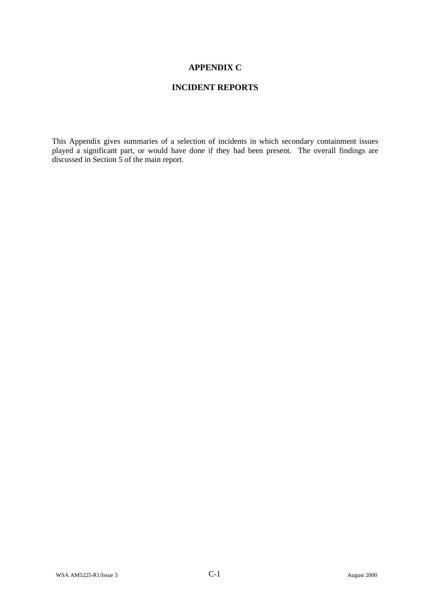### **APPENDIX C**

### **INCIDENT REPORTS**

This Appendix gives summaries of a selection of incidents in which secondary containment issues played a significant part, or would have done if they had been present. The overall findings are discussed in Section 5 of the main report.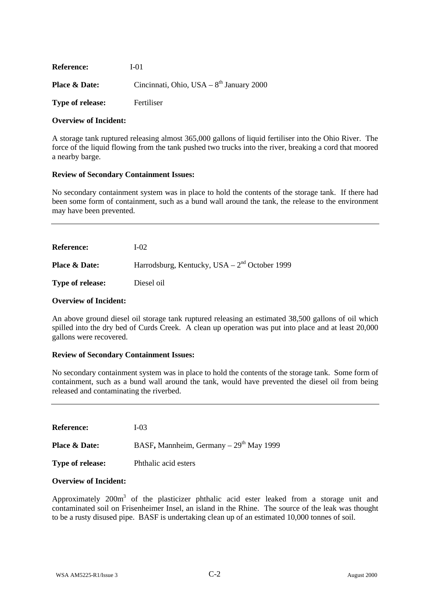| <b>Reference:</b>        | I-01                                       |
|--------------------------|--------------------------------------------|
| <b>Place &amp; Date:</b> | Cincinnati, Ohio, USA – $8th$ January 2000 |
| <b>Type of release:</b>  | <b>Fertiliser</b>                          |

#### **Overview of Incident:**

A storage tank ruptured releasing almost 365,000 gallons of liquid fertiliser into the Ohio River. The force of the liquid flowing from the tank pushed two trucks into the river, breaking a cord that moored a nearby barge.

#### **Review of Secondary Containment Issues:**

No secondary containment system was in place to hold the contents of the storage tank. If there had been some form of containment, such as a bund wall around the tank, the release to the environment may have been prevented.

| <b>Reference:</b>        | L <sub>0</sub>                                  |
|--------------------------|-------------------------------------------------|
| <b>Place &amp; Date:</b> | Harrodsburg, Kentucky, USA – $2nd$ October 1999 |
| <b>Type of release:</b>  | Diesel oil                                      |

#### **Overview of Incident:**

An above ground diesel oil storage tank ruptured releasing an estimated 38,500 gallons of oil which spilled into the dry bed of Curds Creek. A clean up operation was put into place and at least 20,000 gallons were recovered.

#### **Review of Secondary Containment Issues:**

No secondary containment system was in place to hold the contents of the storage tank. Some form of containment, such as a bund wall around the tank, would have prevented the diesel oil from being released and contaminating the riverbed.

**Reference:** I-03 **Place & Date:** BASF, Mannheim, Germany – 29<sup>th</sup> May 1999 **Type of release:** Phthalic acid esters

#### **Overview of Incident:**

Approximately 200 $m<sup>3</sup>$  of the plasticizer phthalic acid ester leaked from a storage unit and contaminated soil on Frisenheimer Insel, an island in the Rhine. The source of the leak was thought to be a rusty disused pipe. BASF is undertaking clean up of an estimated 10,000 tonnes of soil.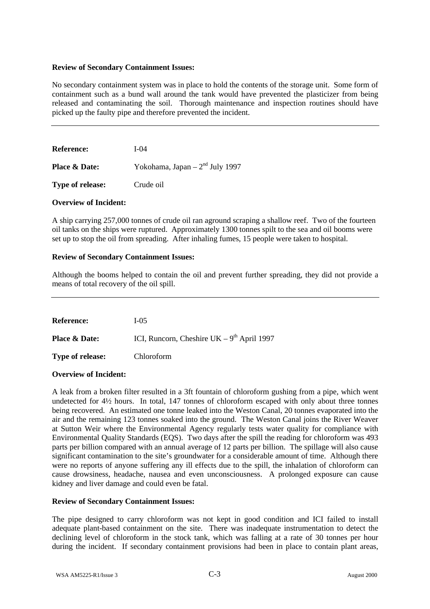No secondary containment system was in place to hold the contents of the storage unit. Some form of containment such as a bund wall around the tank would have prevented the plasticizer from being released and contaminating the soil. Thorough maintenance and inspection routines should have picked up the faulty pipe and therefore prevented the incident.

| <b>Reference:</b>        | L <sub>04</sub>                  |
|--------------------------|----------------------------------|
| <b>Place &amp; Date:</b> | Yokohama, Japan $-2nd$ July 1997 |

**Type of release:** Crude oil

## **Overview of Incident:**

A ship carrying 257,000 tonnes of crude oil ran aground scraping a shallow reef. Two of the fourteen oil tanks on the ships were ruptured. Approximately 1300 tonnes spilt to the sea and oil booms were set up to stop the oil from spreading. After inhaling fumes, 15 people were taken to hospital.

## **Review of Secondary Containment Issues:**

Although the booms helped to contain the oil and prevent further spreading, they did not provide a means of total recovery of the oil spill.

**Reference:** I-05 **Place & Date:** ICI, Runcorn, Cheshire UK – 9<sup>th</sup> April 1997 **Type of release:** Chloroform

# **Overview of Incident:**

A leak from a broken filter resulted in a 3ft fountain of chloroform gushing from a pipe, which went undetected for 4½ hours. In total, 147 tonnes of chloroform escaped with only about three tonnes being recovered. An estimated one tonne leaked into the Weston Canal, 20 tonnes evaporated into the air and the remaining 123 tonnes soaked into the ground. The Weston Canal joins the River Weaver at Sutton Weir where the Environmental Agency regularly tests water quality for compliance with Environmental Quality Standards (EQS). Two days after the spill the reading for chloroform was 493 parts per billion compared with an annual average of 12 parts per billion. The spillage will also cause significant contamination to the site's groundwater for a considerable amount of time. Although there were no reports of anyone suffering any ill effects due to the spill, the inhalation of chloroform can cause drowsiness, headache, nausea and even unconsciousness. A prolonged exposure can cause kidney and liver damage and could even be fatal.

# **Review of Secondary Containment Issues:**

The pipe designed to carry chloroform was not kept in good condition and ICI failed to install adequate plant-based containment on the site. There was inadequate instrumentation to detect the declining level of chloroform in the stock tank, which was falling at a rate of 30 tonnes per hour during the incident. If secondary containment provisions had been in place to contain plant areas,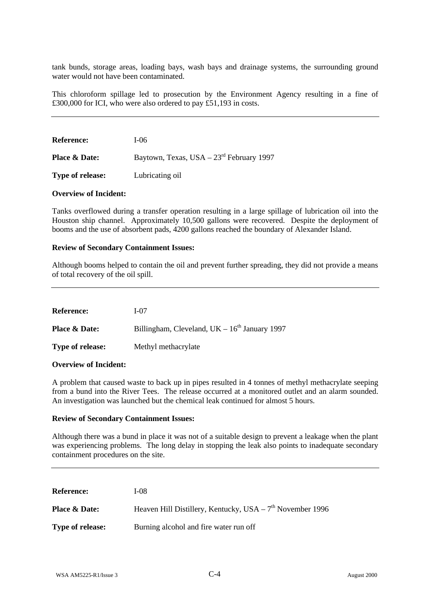tank bunds, storage areas, loading bays, wash bays and drainage systems, the surrounding ground water would not have been contaminated.

This chloroform spillage led to prosecution by the Environment Agency resulting in a fine of £300,000 for ICI, who were also ordered to pay £51,193 in costs.

| <b>Reference:</b>        | I-06                                      |
|--------------------------|-------------------------------------------|
| <b>Place &amp; Date:</b> | Baytown, Texas, USA $-23rd$ February 1997 |

**Type of release:** Lubricating oil

# **Overview of Incident:**

Tanks overflowed during a transfer operation resulting in a large spillage of lubrication oil into the Houston ship channel. Approximately 10,500 gallons were recovered. Despite the deployment of booms and the use of absorbent pads, 4200 gallons reached the boundary of Alexander Island.

## **Review of Secondary Containment Issues:**

Although booms helped to contain the oil and prevent further spreading, they did not provide a means of total recovery of the oil spill.

| <b>Reference:</b>        | $I-07$                                            |
|--------------------------|---------------------------------------------------|
| <b>Place &amp; Date:</b> | Billingham, Cleveland, UK $-16^{th}$ January 1997 |
| <b>Type of release:</b>  | Methyl methacrylate                               |

## **Overview of Incident:**

A problem that caused waste to back up in pipes resulted in 4 tonnes of methyl methacrylate seeping from a bund into the River Tees. The release occurred at a monitored outlet and an alarm sounded. An investigation was launched but the chemical leak continued for almost 5 hours.

### **Review of Secondary Containment Issues:**

Although there was a bund in place it was not of a suitable design to prevent a leakage when the plant was experiencing problems. The long delay in stopping the leak also points to inadequate secondary containment procedures on the site.

| <b>Reference:</b>        | <b>I-08</b>                                                 |
|--------------------------|-------------------------------------------------------------|
| <b>Place &amp; Date:</b> | Heaven Hill Distillery, Kentucky, USA – $7th$ November 1996 |
| <b>Type of release:</b>  | Burning alcohol and fire water run off                      |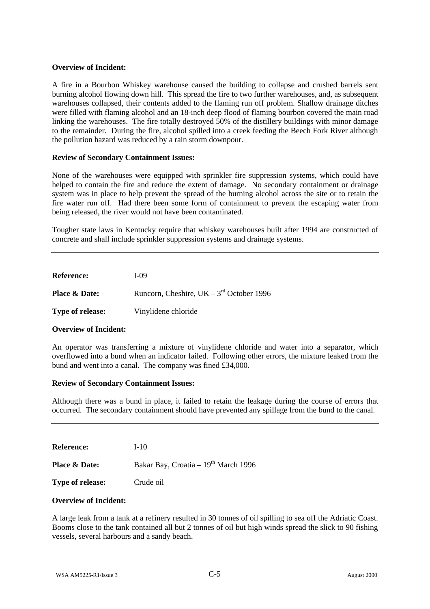A fire in a Bourbon Whiskey warehouse caused the building to collapse and crushed barrels sent burning alcohol flowing down hill. This spread the fire to two further warehouses, and, as subsequent warehouses collapsed, their contents added to the flaming run off problem. Shallow drainage ditches were filled with flaming alcohol and an 18-inch deep flood of flaming bourbon covered the main road linking the warehouses. The fire totally destroyed 50% of the distillery buildings with minor damage to the remainder. During the fire, alcohol spilled into a creek feeding the Beech Fork River although the pollution hazard was reduced by a rain storm downpour.

## **Review of Secondary Containment Issues:**

None of the warehouses were equipped with sprinkler fire suppression systems, which could have helped to contain the fire and reduce the extent of damage. No secondary containment or drainage system was in place to help prevent the spread of the burning alcohol across the site or to retain the fire water run off. Had there been some form of containment to prevent the escaping water from being released, the river would not have been contaminated.

Tougher state laws in Kentucky require that whiskey warehouses built after 1994 are constructed of concrete and shall include sprinkler suppression systems and drainage systems.

| <b>Reference:</b>        | <b>I-09</b>                                |
|--------------------------|--------------------------------------------|
| <b>Place &amp; Date:</b> | Runcorn, Cheshire, UK – $3rd$ October 1996 |
| <b>Type of release:</b>  | Vinylidene chloride                        |

## **Overview of Incident:**

An operator was transferring a mixture of vinylidene chloride and water into a separator, which overflowed into a bund when an indicator failed. Following other errors, the mixture leaked from the bund and went into a canal. The company was fined £34,000.

### **Review of Secondary Containment Issues:**

Although there was a bund in place, it failed to retain the leakage during the course of errors that occurred. The secondary containment should have prevented any spillage from the bund to the canal.

**Reference:** I-10

**Place & Date:** Bakar Bay, Croatia – 19<sup>th</sup> March 1996

**Type of release:** Crude oil

### **Overview of Incident:**

A large leak from a tank at a refinery resulted in 30 tonnes of oil spilling to sea off the Adriatic Coast. Booms close to the tank contained all but 2 tonnes of oil but high winds spread the slick to 90 fishing vessels, several harbours and a sandy beach.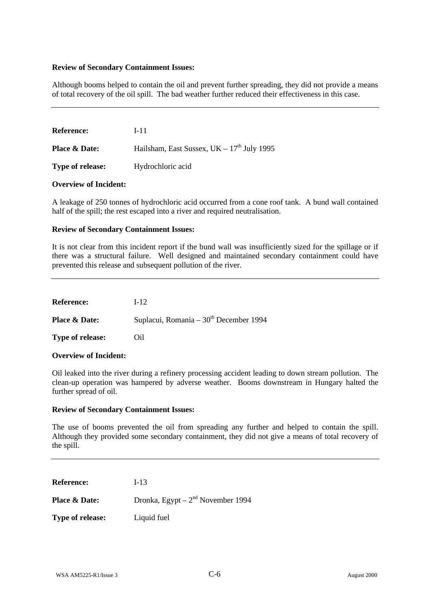Although booms helped to contain the oil and prevent further spreading, they did not provide a means of total recovery of the oil spill. The bad weather further reduced their effectiveness in this case.

| <b>Reference:</b>        | I-11                                         |
|--------------------------|----------------------------------------------|
| <b>Place &amp; Date:</b> | Hailsham, East Sussex, $UK - 17th$ July 1995 |
| <b>Type of release:</b>  | Hydrochloric acid                            |

### **Overview of Incident:**

A leakage of 250 tonnes of hydrochloric acid occurred from a cone roof tank. A bund wall contained half of the spill; the rest escaped into a river and required neutralisation.

## **Review of Secondary Containment Issues:**

It is not clear from this incident report if the bund wall was insufficiently sized for the spillage or if there was a structural failure. Well designed and maintained secondary containment could have prevented this release and subsequent pollution of the river.

| <b>Reference:</b>        | $I-12.$                                  |
|--------------------------|------------------------------------------|
| <b>Place &amp; Date:</b> | Suplacui, Romania – $30th$ December 1994 |
| <b>Type of release:</b>  | Oil                                      |

# **Overview of Incident:**

Oil leaked into the river during a refinery processing accident leading to down stream pollution. The clean-up operation was hampered by adverse weather. Booms downstream in Hungary halted the further spread of oil.

### **Review of Secondary Containment Issues:**

The use of booms prevented the oil from spreading any further and helped to contain the spill. Although they provided some secondary containment, they did not give a means of total recovery of the spill.

**Reference:** I-13

**Place & Date:** Dronka, Egypt – 2<sup>nd</sup> November 1994

**Type of release:** Liquid fuel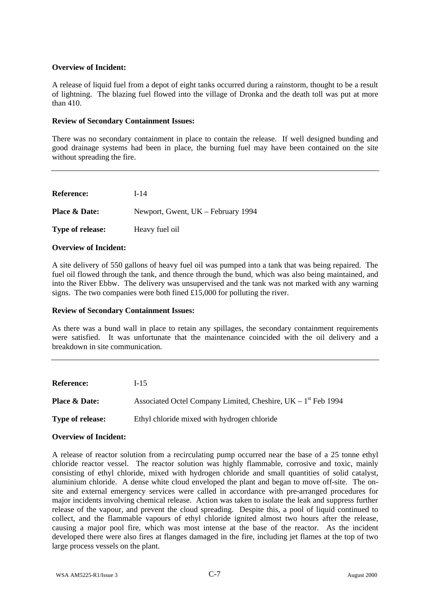A release of liquid fuel from a depot of eight tanks occurred during a rainstorm, thought to be a result of lightning. The blazing fuel flowed into the village of Dronka and the death toll was put at more than 410.

# **Review of Secondary Containment Issues:**

There was no secondary containment in place to contain the release. If well designed bunding and good drainage systems had been in place, the burning fuel may have been contained on the site without spreading the fire.

**Reference:** I-14 **Place & Date:** Newport, Gwent, UK – February 1994 **Type of release:** Heavy fuel oil

# **Overview of Incident:**

A site delivery of 550 gallons of heavy fuel oil was pumped into a tank that was being repaired. The fuel oil flowed through the tank, and thence through the bund, which was also being maintained, and into the River Ebbw. The delivery was unsupervised and the tank was not marked with any warning signs. The two companies were both fined £15,000 for polluting the river.

# **Review of Secondary Containment Issues:**

As there was a bund wall in place to retain any spillages, the secondary containment requirements were satisfied. It was unfortunate that the maintenance coincided with the oil delivery and a breakdown in site communication.

| <b>Reference:</b>        | $I-15$                                                          |
|--------------------------|-----------------------------------------------------------------|
| <b>Place &amp; Date:</b> | Associated Octel Company Limited, Cheshire, $UK - 1st$ Feb 1994 |
| <b>Type of release:</b>  | Ethyl chloride mixed with hydrogen chloride                     |

# **Overview of Incident:**

A release of reactor solution from a recirculating pump occurred near the base of a 25 tonne ethyl chloride reactor vessel. The reactor solution was highly flammable, corrosive and toxic, mainly consisting of ethyl chloride, mixed with hydrogen chloride and small quantities of solid catalyst, aluminium chloride. A dense white cloud enveloped the plant and began to move off-site. The onsite and external emergency services were called in accordance with pre-arranged procedures for major incidents involving chemical release. Action was taken to isolate the leak and suppress further release of the vapour, and prevent the cloud spreading. Despite this, a pool of liquid continued to collect, and the flammable vapours of ethyl chloride ignited almost two hours after the release, causing a major pool fire, which was most intense at the base of the reactor. As the incident developed there were also fires at flanges damaged in the fire, including jet flames at the top of two large process vessels on the plant.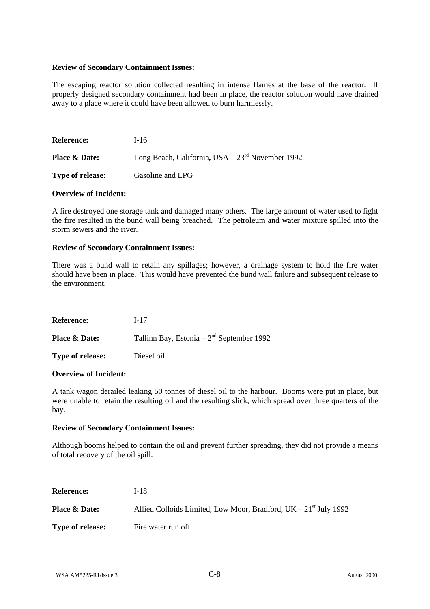The escaping reactor solution collected resulting in intense flames at the base of the reactor. If properly designed secondary containment had been in place, the reactor solution would have drained away to a place where it could have been allowed to burn harmlessly.

| <b>Reference:</b>        | $I-16$                                            |
|--------------------------|---------------------------------------------------|
| <b>Place &amp; Date:</b> | Long Beach, California, USA $-23rd$ November 1992 |
| <b>Type of release:</b>  | Gasoline and LPG                                  |

## **Overview of Incident:**

A fire destroyed one storage tank and damaged many others. The large amount of water used to fight the fire resulted in the bund wall being breached. The petroleum and water mixture spilled into the storm sewers and the river.

## **Review of Secondary Containment Issues:**

There was a bund wall to retain any spillages; however, a drainage system to hold the fire water should have been in place. This would have prevented the bund wall failure and subsequent release to the environment.

**Reference:** I-17 **Place & Date:** Tallinn Bay, Estonia – 2<sup>nd</sup> September 1992 **Type of release:** Diesel oil

# **Overview of Incident:**

A tank wagon derailed leaking 50 tonnes of diesel oil to the harbour. Booms were put in place, but were unable to retain the resulting oil and the resulting slick, which spread over three quarters of the bay.

### **Review of Secondary Containment Issues:**

Although booms helped to contain the oil and prevent further spreading, they did not provide a means of total recovery of the oil spill.

| <b>Reference:</b>        | I-18                                                               |
|--------------------------|--------------------------------------------------------------------|
| <b>Place &amp; Date:</b> | Allied Colloids Limited, Low Moor, Bradford, $UK - 21st$ July 1992 |
| <b>Type of release:</b>  | Fire water run off                                                 |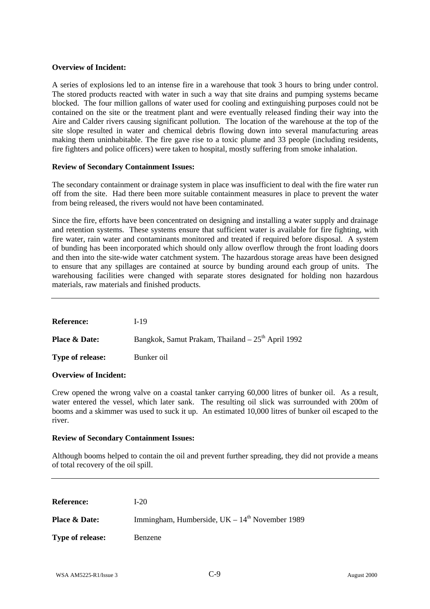A series of explosions led to an intense fire in a warehouse that took 3 hours to bring under control. The stored products reacted with water in such a way that site drains and pumping systems became blocked. The four million gallons of water used for cooling and extinguishing purposes could not be contained on the site or the treatment plant and were eventually released finding their way into the Aire and Calder rivers causing significant pollution. The location of the warehouse at the top of the site slope resulted in water and chemical debris flowing down into several manufacturing areas making them uninhabitable. The fire gave rise to a toxic plume and 33 people (including residents, fire fighters and police officers) were taken to hospital, mostly suffering from smoke inhalation.

## **Review of Secondary Containment Issues:**

The secondary containment or drainage system in place was insufficient to deal with the fire water run off from the site. Had there been more suitable containment measures in place to prevent the water from being released, the rivers would not have been contaminated.

Since the fire, efforts have been concentrated on designing and installing a water supply and drainage and retention systems. These systems ensure that sufficient water is available for fire fighting, with fire water, rain water and contaminants monitored and treated if required before disposal. A system of bunding has been incorporated which should only allow overflow through the front loading doors and then into the site-wide water catchment system. The hazardous storage areas have been designed to ensure that any spillages are contained at source by bunding around each group of units. The warehousing facilities were changed with separate stores designated for holding non hazardous materials, raw materials and finished products.

**Reference:** I-19

**Place & Date:** Bangkok, Samut Prakam, Thailand – 25<sup>th</sup> April 1992 **Type of release:** Bunker oil

# **Overview of Incident:**

Crew opened the wrong valve on a coastal tanker carrying 60,000 litres of bunker oil. As a result, water entered the vessel, which later sank. The resulting oil slick was surrounded with 200m of booms and a skimmer was used to suck it up. An estimated 10,000 litres of bunker oil escaped to the river.

### **Review of Secondary Containment Issues:**

Although booms helped to contain the oil and prevent further spreading, they did not provide a means of total recovery of the oil spill.

| <b>Reference:</b>        | $I-20$                                           |
|--------------------------|--------------------------------------------------|
| <b>Place &amp; Date:</b> | Immingham, Humberside, $UK - 14th$ November 1989 |
| <b>Type of release:</b>  | Benzene                                          |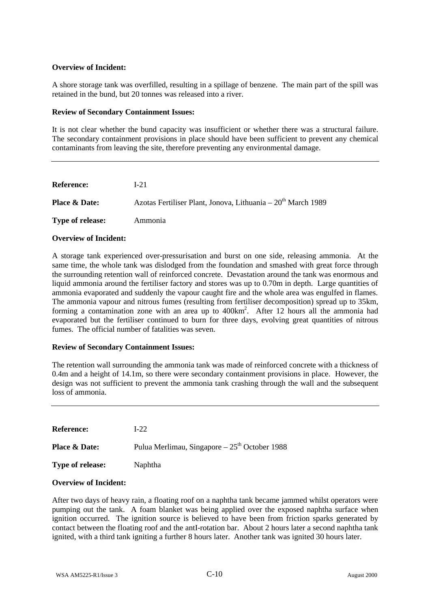A shore storage tank was overfilled, resulting in a spillage of benzene. The main part of the spill was retained in the bund, but 20 tonnes was released into a river.

# **Review of Secondary Containment Issues:**

It is not clear whether the bund capacity was insufficient or whether there was a structural failure. The secondary containment provisions in place should have been sufficient to prevent any chemical contaminants from leaving the site, therefore preventing any environmental damage.

| <b>Reference:</b>        | L21                                                                      |
|--------------------------|--------------------------------------------------------------------------|
| <b>Place &amp; Date:</b> | Azotas Fertiliser Plant, Jonova, Lithuania – 20 <sup>th</sup> March 1989 |
| Type of release:         | Ammonia                                                                  |

## **Overview of Incident:**

A storage tank experienced over-pressurisation and burst on one side, releasing ammonia. At the same time, the whole tank was dislodged from the foundation and smashed with great force through the surrounding retention wall of reinforced concrete. Devastation around the tank was enormous and liquid ammonia around the fertiliser factory and stores was up to 0.70m in depth. Large quantities of ammonia evaporated and suddenly the vapour caught fire and the whole area was engulfed in flames. The ammonia vapour and nitrous fumes (resulting from fertiliser decomposition) spread up to 35km, forming a contamination zone with an area up to 400km<sup>2</sup>. After 12 hours all the ammonia had evaporated but the fertiliser continued to burn for three days, evolving great quantities of nitrous fumes. The official number of fatalities was seven.

# **Review of Secondary Containment Issues:**

The retention wall surrounding the ammonia tank was made of reinforced concrete with a thickness of 0.4m and a height of 14.1m, so there were secondary containment provisions in place. However, the design was not sufficient to prevent the ammonia tank crashing through the wall and the subsequent loss of ammonia.

| <b>Reference:</b>        | $1-22.$                                         |
|--------------------------|-------------------------------------------------|
| <b>Place &amp; Date:</b> | Pulua Merlimau, Singapore – $25th$ October 1988 |
| <b>Type of release:</b>  | <b>Naphtha</b>                                  |

# **Overview of Incident:**

After two days of heavy rain, a floating roof on a naphtha tank became jammed whilst operators were pumping out the tank. A foam blanket was being applied over the exposed naphtha surface when ignition occurred. The ignition source is believed to have been from friction sparks generated by contact between the floating roof and the antI-rotation bar. About 2 hours later a second naphtha tank ignited, with a third tank igniting a further 8 hours later. Another tank was ignited 30 hours later.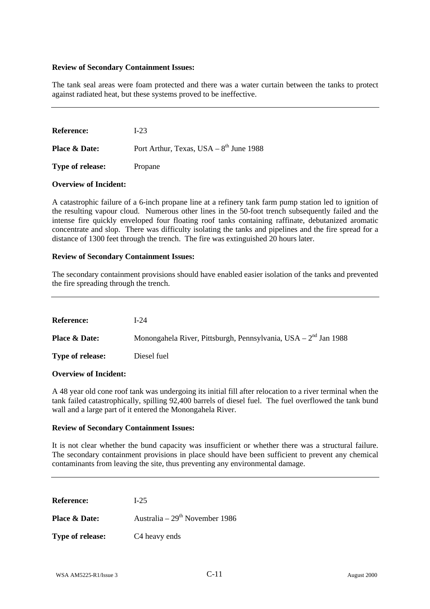The tank seal areas were foam protected and there was a water curtain between the tanks to protect against radiated heat, but these systems proved to be ineffective.

| <b>Reference:</b>        | L23                                         |
|--------------------------|---------------------------------------------|
| <b>Place &amp; Date:</b> | Port Arthur, Texas, USA $-8^{th}$ June 1988 |
| <b>Type of release:</b>  | Propane                                     |

## **Overview of Incident:**

A catastrophic failure of a 6-inch propane line at a refinery tank farm pump station led to ignition of the resulting vapour cloud. Numerous other lines in the 50-foot trench subsequently failed and the intense fire quickly enveloped four floating roof tanks containing raffinate, debutanized aromatic concentrate and slop. There was difficulty isolating the tanks and pipelines and the fire spread for a distance of 1300 feet through the trench. The fire was extinguished 20 hours later.

## **Review of Secondary Containment Issues:**

The secondary containment provisions should have enabled easier isolation of the tanks and prevented the fire spreading through the trench.

| <b>Reference:</b>        | I-24                                                             |
|--------------------------|------------------------------------------------------------------|
| <b>Place &amp; Date:</b> | Monongahela River, Pittsburgh, Pennsylvania, USA $-2nd$ Jan 1988 |
| <b>Type of release:</b>  | Diesel fuel                                                      |

### **Overview of Incident:**

A 48 year old cone roof tank was undergoing its initial fill after relocation to a river terminal when the tank failed catastrophically, spilling 92,400 barrels of diesel fuel. The fuel overflowed the tank bund wall and a large part of it entered the Monongahela River.

### **Review of Secondary Containment Issues:**

It is not clear whether the bund capacity was insufficient or whether there was a structural failure. The secondary containment provisions in place should have been sufficient to prevent any chemical contaminants from leaving the site, thus preventing any environmental damage.

**Reference:** I-25

**Place & Date:** Australia – 29<sup>th</sup> November 1986

**Type of release:** C4 heavy ends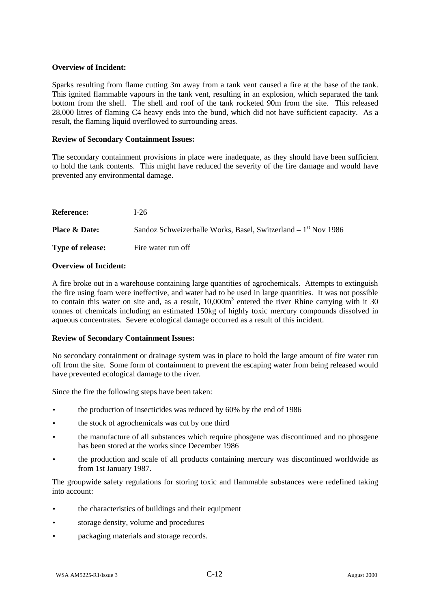Sparks resulting from flame cutting 3m away from a tank vent caused a fire at the base of the tank. This ignited flammable vapours in the tank vent, resulting in an explosion, which separated the tank bottom from the shell. The shell and roof of the tank rocketed 90m from the site. This released 28,000 litres of flaming C4 heavy ends into the bund, which did not have sufficient capacity. As a result, the flaming liquid overflowed to surrounding areas.

# **Review of Secondary Containment Issues:**

The secondary containment provisions in place were inadequate, as they should have been sufficient to hold the tank contents. This might have reduced the severity of the fire damage and would have prevented any environmental damage.

| <b>Reference:</b>        | $1-26$                                                          |
|--------------------------|-----------------------------------------------------------------|
| <b>Place &amp; Date:</b> | Sandoz Schweizerhalle Works, Basel, Switzerland $-1st$ Nov 1986 |
| <b>Type of release:</b>  | Fire water run off                                              |

# **Overview of Incident:**

A fire broke out in a warehouse containing large quantities of agrochemicals. Attempts to extinguish the fire using foam were ineffective, and water had to be used in large quantities. It was not possible to contain this water on site and, as a result, 10,000m<sup>3</sup> entered the river Rhine carrying with it 30 tonnes of chemicals including an estimated 150kg of highly toxic mercury compounds dissolved in aqueous concentrates. Severe ecological damage occurred as a result of this incident.

# **Review of Secondary Containment Issues:**

No secondary containment or drainage system was in place to hold the large amount of fire water run off from the site. Some form of containment to prevent the escaping water from being released would have prevented ecological damage to the river.

Since the fire the following steps have been taken:

- the production of insecticides was reduced by 60% by the end of 1986
- the stock of agrochemicals was cut by one third
- the manufacture of all substances which require phosgene was discontinued and no phosgene has been stored at the works since December 1986
- the production and scale of all products containing mercury was discontinued worldwide as from 1st January 1987.

The groupwide safety regulations for storing toxic and flammable substances were redefined taking into account:

- the characteristics of buildings and their equipment
- storage density, volume and procedures
- packaging materials and storage records.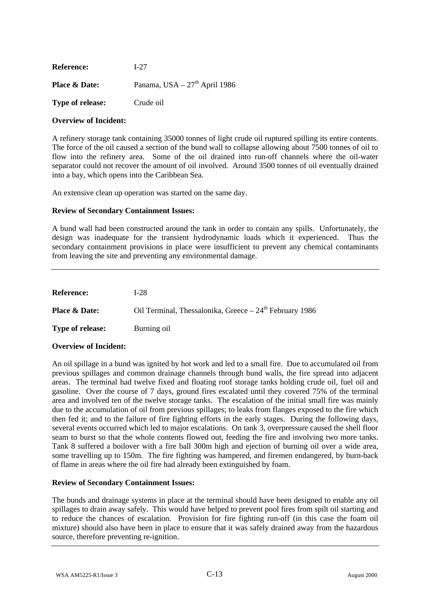| <b>Reference:</b>       | L27                                       |
|-------------------------|-------------------------------------------|
| Place & Date:           | Panama, USA - 27 <sup>th</sup> April 1986 |
| <b>Type of release:</b> | Crude oil                                 |

A refinery storage tank containing 35000 tonnes of light crude oil ruptured spilling its entire contents. The force of the oil caused a section of the bund wall to collapse allowing about 7500 tonnes of oil to flow into the refinery area. Some of the oil drained into run-off channels where the oil-water separator could not recover the amount of oil involved. Around 3500 tonnes of oil eventually drained into a bay, which opens into the Caribbean Sea.

An extensive clean up operation was started on the same day.

# **Review of Secondary Containment Issues:**

A bund wall had been constructed around the tank in order to contain any spills. Unfortunately, the design was inadequate for the transient hydrodynamic loads which it experienced. Thus the secondary containment provisions in place were insufficient to prevent any chemical contaminants from leaving the site and preventing any environmental damage.

| <b>Reference:</b>        | L28                                                      |
|--------------------------|----------------------------------------------------------|
| <b>Place &amp; Date:</b> | Oil Terminal, Thessalonika, Greece $-24th$ February 1986 |
| <b>Type of release:</b>  | Burning oil                                              |

# **Overview of Incident:**

An oil spillage in a bund was ignited by hot work and led to a small fire. Due to accumulated oil from previous spillages and common drainage channels through bund walls, the fire spread into adjacent areas. The terminal had twelve fixed and floating roof storage tanks holding crude oil, fuel oil and gasoline. Over the course of 7 days, ground fires escalated until they covered 75% of the terminal area and involved ten of the twelve storage tanks. The escalation of the initial small fire was mainly due to the accumulation of oil from previous spillages; to leaks from flanges exposed to the fire which then fed it; and to the failure of fire fighting efforts in the early stages. During the following days, several events occurred which led to major escalations. On tank 3, overpressure caused the shell floor seam to burst so that the whole contents flowed out, feeding the fire and involving two more tanks. Tank 8 suffered a boilover with a fire ball 300m high and ejection of burning oil over a wide area, some travelling up to 150m. The fire fighting was hampered, and firemen endangered, by burn-back of flame in areas where the oil fire had already been extinguished by foam.

# **Review of Secondary Containment Issues:**

The bunds and drainage systems in place at the terminal should have been designed to enable any oil spillages to drain away safely. This would have helped to prevent pool fires from spilt oil starting and to reduce the chances of escalation. Provision for fire fighting run-off (in this case the foam oil mixture) should also have been in place to ensure that it was safely drained away from the hazardous source, therefore preventing re-ignition.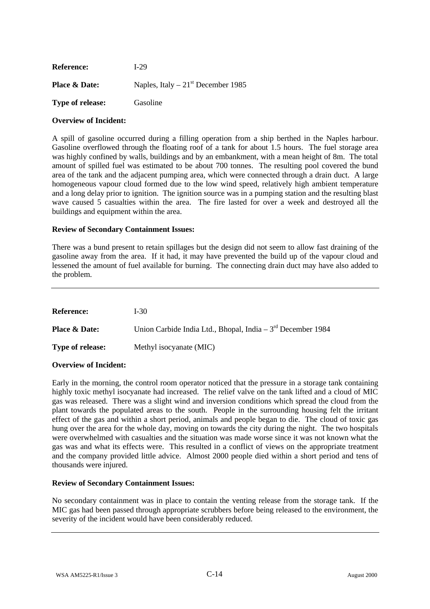| <b>Reference:</b>        | L29                                 |
|--------------------------|-------------------------------------|
| <b>Place &amp; Date:</b> | Naples, Italy $-21st$ December 1985 |
| <b>Type of release:</b>  | Gasoline                            |

A spill of gasoline occurred during a filling operation from a ship berthed in the Naples harbour. Gasoline overflowed through the floating roof of a tank for about 1.5 hours. The fuel storage area was highly confined by walls, buildings and by an embankment, with a mean height of 8m. The total amount of spilled fuel was estimated to be about 700 tonnes. The resulting pool covered the bund area of the tank and the adjacent pumping area, which were connected through a drain duct. A large homogeneous vapour cloud formed due to the low wind speed, relatively high ambient temperature and a long delay prior to ignition. The ignition source was in a pumping station and the resulting blast wave caused 5 casualties within the area. The fire lasted for over a week and destroyed all the buildings and equipment within the area.

# **Review of Secondary Containment Issues:**

There was a bund present to retain spillages but the design did not seem to allow fast draining of the gasoline away from the area. If it had, it may have prevented the build up of the vapour cloud and lessened the amount of fuel available for burning. The connecting drain duct may have also added to the problem.

| <b>Reference:</b>        | $I-30$                                                       |
|--------------------------|--------------------------------------------------------------|
| <b>Place &amp; Date:</b> | Union Carbide India Ltd., Bhopal, India $-3rd$ December 1984 |
| <b>Type of release:</b>  | Methyl isocyanate (MIC)                                      |

# **Overview of Incident:**

Early in the morning, the control room operator noticed that the pressure in a storage tank containing highly toxic methyl isocyanate had increased. The relief valve on the tank lifted and a cloud of MIC gas was released. There was a slight wind and inversion conditions which spread the cloud from the plant towards the populated areas to the south. People in the surrounding housing felt the irritant effect of the gas and within a short period, animals and people began to die. The cloud of toxic gas hung over the area for the whole day, moving on towards the city during the night. The two hospitals were overwhelmed with casualties and the situation was made worse since it was not known what the gas was and what its effects were. This resulted in a conflict of views on the appropriate treatment and the company provided little advice. Almost 2000 people died within a short period and tens of thousands were injured.

# **Review of Secondary Containment Issues:**

No secondary containment was in place to contain the venting release from the storage tank. If the MIC gas had been passed through appropriate scrubbers before being released to the environment, the severity of the incident would have been considerably reduced.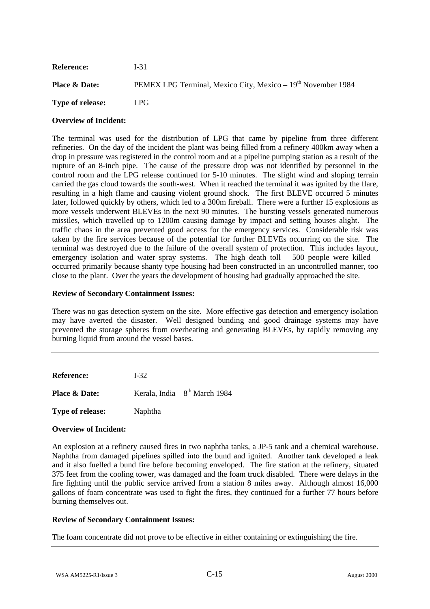| <b>Reference:</b>        | $1-31$                                                                   |
|--------------------------|--------------------------------------------------------------------------|
| <b>Place &amp; Date:</b> | PEMEX LPG Terminal, Mexico City, Mexico – 19 <sup>th</sup> November 1984 |
| <b>Type of release:</b>  | LPG.                                                                     |

The terminal was used for the distribution of LPG that came by pipeline from three different refineries. On the day of the incident the plant was being filled from a refinery 400km away when a drop in pressure was registered in the control room and at a pipeline pumping station as a result of the rupture of an 8-inch pipe. The cause of the pressure drop was not identified by personnel in the control room and the LPG release continued for 5-10 minutes. The slight wind and sloping terrain carried the gas cloud towards the south-west. When it reached the terminal it was ignited by the flare, resulting in a high flame and causing violent ground shock. The first BLEVE occurred 5 minutes later, followed quickly by others, which led to a 300m fireball. There were a further 15 explosions as more vessels underwent BLEVEs in the next 90 minutes. The bursting vessels generated numerous missiles, which travelled up to 1200m causing damage by impact and setting houses alight. The traffic chaos in the area prevented good access for the emergency services. Considerable risk was taken by the fire services because of the potential for further BLEVEs occurring on the site. The terminal was destroyed due to the failure of the overall system of protection. This includes layout, emergency isolation and water spray systems. The high death toll – 500 people were killed – occurred primarily because shanty type housing had been constructed in an uncontrolled manner, too close to the plant. Over the years the development of housing had gradually approached the site.

## **Review of Secondary Containment Issues:**

There was no gas detection system on the site. More effective gas detection and emergency isolation may have averted the disaster. Well designed bunding and good drainage systems may have prevented the storage spheres from overheating and generating BLEVEs, by rapidly removing any burning liquid from around the vessel bases.

| <b>Reference:</b>       | $I-32.$                          |
|-------------------------|----------------------------------|
| Place & Date:           | Kerala, India - $8th$ March 1984 |
| <b>Type of release:</b> | Naphtha                          |

### **Overview of Incident:**

An explosion at a refinery caused fires in two naphtha tanks, a JP-5 tank and a chemical warehouse. Naphtha from damaged pipelines spilled into the bund and ignited. Another tank developed a leak and it also fuelled a bund fire before becoming enveloped. The fire station at the refinery, situated 375 feet from the cooling tower, was damaged and the foam truck disabled. There were delays in the fire fighting until the public service arrived from a station 8 miles away. Although almost 16,000 gallons of foam concentrate was used to fight the fires, they continued for a further 77 hours before burning themselves out.

# **Review of Secondary Containment Issues:**

The foam concentrate did not prove to be effective in either containing or extinguishing the fire.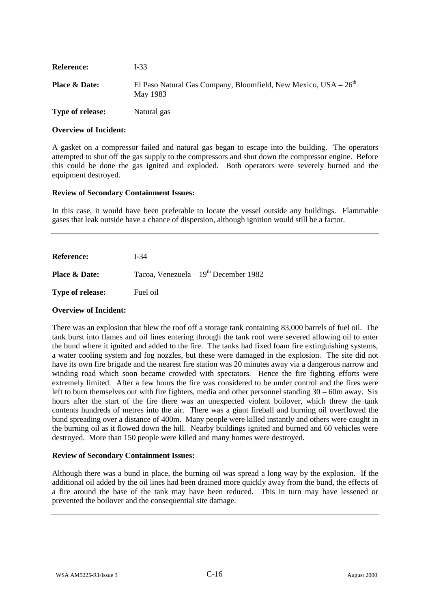| <b>Reference:</b>        | $I-33$                                                                        |
|--------------------------|-------------------------------------------------------------------------------|
| <b>Place &amp; Date:</b> | El Paso Natural Gas Company, Bloomfield, New Mexico, $USA - 26th$<br>May 1983 |
| <b>Type of release:</b>  | Natural gas                                                                   |

A gasket on a compressor failed and natural gas began to escape into the building. The operators attempted to shut off the gas supply to the compressors and shut down the compressor engine. Before this could be done the gas ignited and exploded. Both operators were severely burned and the equipment destroyed.

## **Review of Secondary Containment Issues:**

In this case, it would have been preferable to locate the vessel outside any buildings. Flammable gases that leak outside have a chance of dispersion, although ignition would still be a factor.

| <b>Reference:</b>        | $I-34$                                  |
|--------------------------|-----------------------------------------|
| <b>Place &amp; Date:</b> | Tacoa, Venezuela - $19th$ December 1982 |
| <b>Type of release:</b>  | Fuel oil                                |

### **Overview of Incident:**

There was an explosion that blew the roof off a storage tank containing 83,000 barrels of fuel oil. The tank burst into flames and oil lines entering through the tank roof were severed allowing oil to enter the bund where it ignited and added to the fire. The tanks had fixed foam fire extinguishing systems, a water cooling system and fog nozzles, but these were damaged in the explosion. The site did not have its own fire brigade and the nearest fire station was 20 minutes away via a dangerous narrow and winding road which soon became crowded with spectators. Hence the fire fighting efforts were extremely limited. After a few hours the fire was considered to be under control and the fires were left to burn themselves out with fire fighters, media and other personnel standing 30 – 60m away. Six hours after the start of the fire there was an unexpected violent boilover, which threw the tank contents hundreds of metres into the air. There was a giant fireball and burning oil overflowed the bund spreading over a distance of 400m. Many people were killed instantly and others were caught in the burning oil as it flowed down the hill. Nearby buildings ignited and burned and 60 vehicles were destroyed. More than 150 people were killed and many homes were destroyed.

# **Review of Secondary Containment Issues:**

Although there was a bund in place, the burning oil was spread a long way by the explosion. If the additional oil added by the oil lines had been drained more quickly away from the bund, the effects of a fire around the base of the tank may have been reduced. This in turn may have lessened or prevented the boilover and the consequential site damage.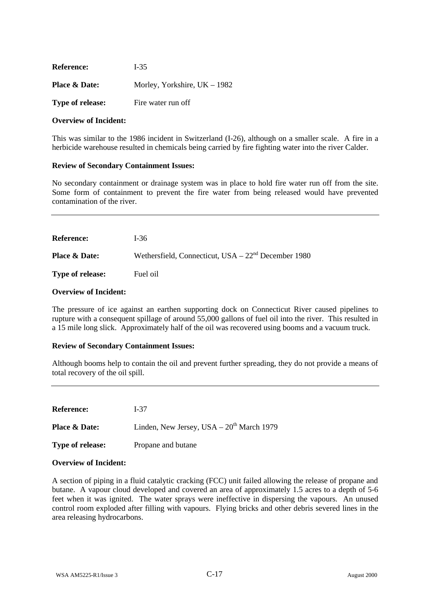| <b>Reference:</b>       | $I-35$                         |
|-------------------------|--------------------------------|
| Place & Date:           | Morley, Yorkshire, $UK - 1982$ |
| <b>Type of release:</b> | Fire water run off             |

This was similar to the 1986 incident in Switzerland (I-26), although on a smaller scale. A fire in a herbicide warehouse resulted in chemicals being carried by fire fighting water into the river Calder.

## **Review of Secondary Containment Issues:**

No secondary containment or drainage system was in place to hold fire water run off from the site. Some form of containment to prevent the fire water from being released would have prevented contamination of the river.

| <b>Reference:</b>        | I-36                                                  |
|--------------------------|-------------------------------------------------------|
| <b>Place &amp; Date:</b> | Wethersfield, Connecticut, $USA - 22nd December 1980$ |
| <b>Type of release:</b>  | Fuel oil                                              |

## **Overview of Incident:**

The pressure of ice against an earthen supporting dock on Connecticut River caused pipelines to rupture with a consequent spillage of around 55,000 gallons of fuel oil into the river. This resulted in a 15 mile long slick. Approximately half of the oil was recovered using booms and a vacuum truck.

# **Review of Secondary Containment Issues:**

Although booms help to contain the oil and prevent further spreading, they do not provide a means of total recovery of the oil spill.

| <b>Reference:</b>        | $I-37$                                     |
|--------------------------|--------------------------------------------|
| <b>Place &amp; Date:</b> | Linden, New Jersey, USA $-20th$ March 1979 |
| <b>Type of release:</b>  | Propane and butane                         |

### **Overview of Incident:**

A section of piping in a fluid catalytic cracking (FCC) unit failed allowing the release of propane and butane. A vapour cloud developed and covered an area of approximately 1.5 acres to a depth of 5-6 feet when it was ignited. The water sprays were ineffective in dispersing the vapours. An unused control room exploded after filling with vapours. Flying bricks and other debris severed lines in the area releasing hydrocarbons.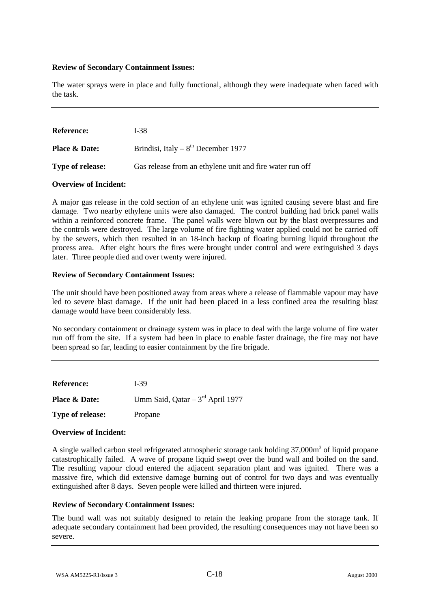The water sprays were in place and fully functional, although they were inadequate when faced with the task.

| <b>Reference:</b>        | I-38                                                     |
|--------------------------|----------------------------------------------------------|
| <b>Place &amp; Date:</b> | Brindisi, Italy – $8^{th}$ December 1977                 |
| <b>Type of release:</b>  | Gas release from an ethylene unit and fire water run off |

## **Overview of Incident:**

A major gas release in the cold section of an ethylene unit was ignited causing severe blast and fire damage. Two nearby ethylene units were also damaged. The control building had brick panel walls within a reinforced concrete frame. The panel walls were blown out by the blast overpressures and the controls were destroyed. The large volume of fire fighting water applied could not be carried off by the sewers, which then resulted in an 18-inch backup of floating burning liquid throughout the process area. After eight hours the fires were brought under control and were extinguished 3 days later. Three people died and over twenty were injured.

## **Review of Secondary Containment Issues:**

The unit should have been positioned away from areas where a release of flammable vapour may have led to severe blast damage. If the unit had been placed in a less confined area the resulting blast damage would have been considerably less.

No secondary containment or drainage system was in place to deal with the large volume of fire water run off from the site. If a system had been in place to enable faster drainage, the fire may not have been spread so far, leading to easier containment by the fire brigade.

| <b>Reference:</b>        | $I-39$                               |
|--------------------------|--------------------------------------|
| <b>Place &amp; Date:</b> | Umm Said, Qatar $-3^{rd}$ April 1977 |
| Type of release:         | Propane                              |

# **Overview of Incident:**

A single walled carbon steel refrigerated atmospheric storage tank holding 37,000m<sup>3</sup> of liquid propane catastrophically failed. A wave of propane liquid swept over the bund wall and boiled on the sand. The resulting vapour cloud entered the adjacent separation plant and was ignited. There was a massive fire, which did extensive damage burning out of control for two days and was eventually extinguished after 8 days. Seven people were killed and thirteen were injured.

### **Review of Secondary Containment Issues:**

The bund wall was not suitably designed to retain the leaking propane from the storage tank. If adequate secondary containment had been provided, the resulting consequences may not have been so severe.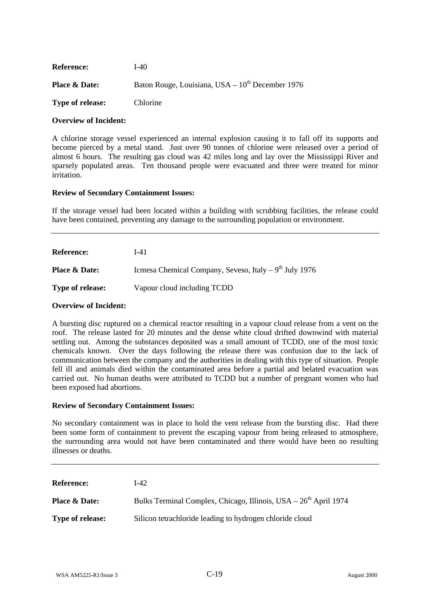| <b>Reference:</b>        | I-40                                                 |
|--------------------------|------------------------------------------------------|
| <b>Place &amp; Date:</b> | Baton Rouge, Louisiana, USA $-10^{th}$ December 1976 |
| <b>Type of release:</b>  | <b>Chlorine</b>                                      |

A chlorine storage vessel experienced an internal explosion causing it to fall off its supports and become pierced by a metal stand. Just over 90 tonnes of chlorine were released over a period of almost 6 hours. The resulting gas cloud was 42 miles long and lay over the Mississippi River and sparsely populated areas. Ten thousand people were evacuated and three were treated for minor irritation.

## **Review of Secondary Containment Issues:**

If the storage vessel had been located within a building with scrubbing facilities, the release could have been contained, preventing any damage to the surrounding population or environment.

| <b>Reference:</b>        | I-41                                                    |
|--------------------------|---------------------------------------------------------|
| <b>Place &amp; Date:</b> | Icmesa Chemical Company, Seveso, Italy $-9th$ July 1976 |
| <b>Type of release:</b>  | Vapour cloud including TCDD                             |

### **Overview of Incident:**

A bursting disc ruptured on a chemical reactor resulting in a vapour cloud release from a vent on the roof. The release lasted for 20 minutes and the dense white cloud drifted downwind with material settling out. Among the substances deposited was a small amount of TCDD, one of the most toxic chemicals known. Over the days following the release there was confusion due to the lack of communication between the company and the authorities in dealing with this type of situation. People fell ill and animals died within the contaminated area before a partial and belated evacuation was carried out. No human deaths were attributed to TCDD but a number of pregnant women who had been exposed had abortions.

### **Review of Secondary Containment Issues:**

No secondary containment was in place to hold the vent release from the bursting disc. Had there been some form of containment to prevent the escaping vapour from being released to atmosphere, the surrounding area would not have been contaminated and there would have been no resulting illnesses or deaths.

| <b>Reference:</b>        | I-42.                                                                        |
|--------------------------|------------------------------------------------------------------------------|
| <b>Place &amp; Date:</b> | Bulks Terminal Complex, Chicago, Illinois, USA – 26 <sup>th</sup> April 1974 |
| <b>Type of release:</b>  | Silicon tetrachloride leading to hydrogen chloride cloud                     |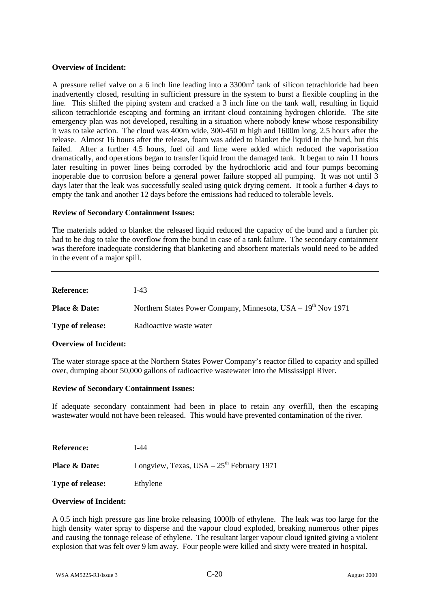A pressure relief valve on a 6 inch line leading into a  $3300m<sup>3</sup>$  tank of silicon tetrachloride had been inadvertently closed, resulting in sufficient pressure in the system to burst a flexible coupling in the line. This shifted the piping system and cracked a 3 inch line on the tank wall, resulting in liquid silicon tetrachloride escaping and forming an irritant cloud containing hydrogen chloride. The site emergency plan was not developed, resulting in a situation where nobody knew whose responsibility it was to take action. The cloud was 400m wide, 300-450 m high and 1600m long, 2.5 hours after the release. Almost 16 hours after the release, foam was added to blanket the liquid in the bund, but this failed. After a further 4.5 hours, fuel oil and lime were added which reduced the vaporisation dramatically, and operations began to transfer liquid from the damaged tank. It began to rain 11 hours later resulting in power lines being corroded by the hydrochloric acid and four pumps becoming inoperable due to corrosion before a general power failure stopped all pumping. It was not until 3 days later that the leak was successfully sealed using quick drying cement. It took a further 4 days to empty the tank and another 12 days before the emissions had reduced to tolerable levels.

## **Review of Secondary Containment Issues:**

The materials added to blanket the released liquid reduced the capacity of the bund and a further pit had to be dug to take the overflow from the bund in case of a tank failure. The secondary containment was therefore inadequate considering that blanketing and absorbent materials would need to be added in the event of a major spill.

| <b>Reference:</b>        | I-43                                                              |
|--------------------------|-------------------------------------------------------------------|
| <b>Place &amp; Date:</b> | Northern States Power Company, Minnesota, USA $-19^{th}$ Nov 1971 |
| <b>Type of release:</b>  | Radioactive waste water                                           |

# **Overview of Incident:**

The water storage space at the Northern States Power Company's reactor filled to capacity and spilled over, dumping about 50,000 gallons of radioactive wastewater into the Mississippi River.

### **Review of Secondary Containment Issues:**

If adequate secondary containment had been in place to retain any overfill, then the escaping wastewater would not have been released. This would have prevented contamination of the river.

**Reference:** I-44

**Place & Date:** Longview, Texas, USA – 25<sup>th</sup> February 1971

**Type of release:** Ethylene

# **Overview of Incident:**

A 0.5 inch high pressure gas line broke releasing 1000lb of ethylene. The leak was too large for the high density water spray to disperse and the vapour cloud exploded, breaking numerous other pipes and causing the tonnage release of ethylene. The resultant larger vapour cloud ignited giving a violent explosion that was felt over 9 km away. Four people were killed and sixty were treated in hospital.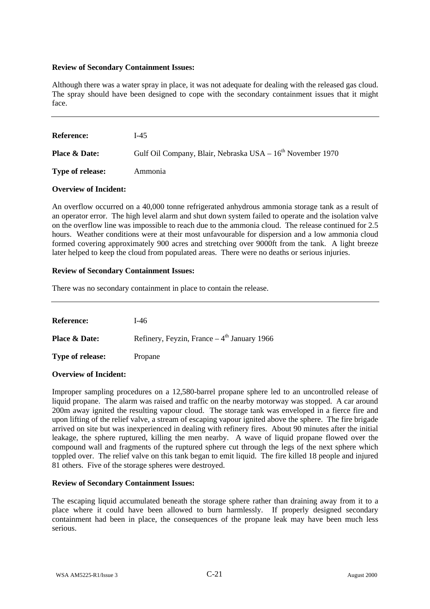Although there was a water spray in place, it was not adequate for dealing with the released gas cloud. The spray should have been designed to cope with the secondary containment issues that it might face.

| <b>Reference:</b>        | $1-45$                                                                 |
|--------------------------|------------------------------------------------------------------------|
| <b>Place &amp; Date:</b> | Gulf Oil Company, Blair, Nebraska USA – 16 <sup>th</sup> November 1970 |
| <b>Type of release:</b>  | Ammonia                                                                |

## **Overview of Incident:**

An overflow occurred on a 40,000 tonne refrigerated anhydrous ammonia storage tank as a result of an operator error. The high level alarm and shut down system failed to operate and the isolation valve on the overflow line was impossible to reach due to the ammonia cloud. The release continued for 2.5 hours. Weather conditions were at their most unfavourable for dispersion and a low ammonia cloud formed covering approximately 900 acres and stretching over 9000ft from the tank. A light breeze later helped to keep the cloud from populated areas. There were no deaths or serious injuries.

## **Review of Secondary Containment Issues:**

There was no secondary containment in place to contain the release.

| <b>Reference:</b>        | $1-46$                                       |
|--------------------------|----------------------------------------------|
| <b>Place &amp; Date:</b> | Refinery, Feyzin, France $-4th$ January 1966 |
| <b>Type of release:</b>  | Propane                                      |

# **Overview of Incident:**

Improper sampling procedures on a 12,580-barrel propane sphere led to an uncontrolled release of liquid propane. The alarm was raised and traffic on the nearby motorway was stopped. A car around 200m away ignited the resulting vapour cloud. The storage tank was enveloped in a fierce fire and upon lifting of the relief valve, a stream of escaping vapour ignited above the sphere. The fire brigade arrived on site but was inexperienced in dealing with refinery fires. About 90 minutes after the initial leakage, the sphere ruptured, killing the men nearby. A wave of liquid propane flowed over the compound wall and fragments of the ruptured sphere cut through the legs of the next sphere which toppled over. The relief valve on this tank began to emit liquid. The fire killed 18 people and injured 81 others. Five of the storage spheres were destroyed.

# **Review of Secondary Containment Issues:**

The escaping liquid accumulated beneath the storage sphere rather than draining away from it to a place where it could have been allowed to burn harmlessly. If properly designed secondary containment had been in place, the consequences of the propane leak may have been much less serious.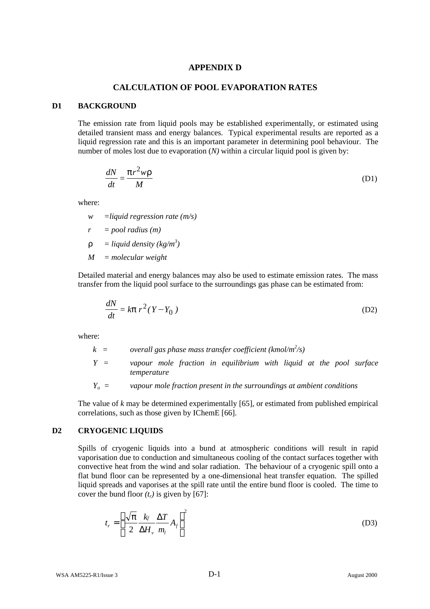# **APPENDIX D**

## **CALCULATION OF POOL EVAPORATION RATES**

#### **D1 BACKGROUND**

The emission rate from liquid pools may be established experimentally, or estimated using detailed transient mass and energy balances. Typical experimental results are reported as a liquid regression rate and this is an important parameter in determining pool behaviour. The number of moles lost due to evaporation (*N*) within a circular liquid pool is given by:

$$
\frac{dN}{dt} = \frac{pr^2 wr}{M}
$$
 (D1)

where:

*w =liquid regression rate (m/s)*

*r = pool radius (m)*

 $\mathbf{r}$  = *liquid density* (*kg/m<sup>3</sup>*)

*M = molecular weight*

Detailed material and energy balances may also be used to estimate emission rates. The mass transfer from the liquid pool surface to the surroundings gas phase can be estimated from:

$$
\frac{dN}{dt} = k\mathbf{p} \, r^2 (Y - Y_0) \tag{D2}
$$

where:

*k = overall gas phase mass transfer coefficient (kmol/m<sup>2</sup> /s)*

- *Y = vapour mole fraction in equilibrium with liquid at the pool surface temperature*
- *Yo = vapour mole fraction present in the surroundings at ambient conditions*

The value of *k* may be determined experimentally [65], or estimated from published empirical correlations, such as those given by IChemE [66].

## **D2 CRYOGENIC LIQUIDS**

Spills of cryogenic liquids into a bund at atmospheric conditions will result in rapid vaporisation due to conduction and simultaneous cooling of the contact surfaces together with convective heat from the wind and solar radiation. The behaviour of a cryogenic spill onto a flat bund floor can be represented by a one-dimensional heat transfer equation. The spilled liquid spreads and vaporises at the spill rate until the entire bund floor is cooled. The time to cover the bund floor  $(t_r)$  is given by [67]:

$$
t_r = \left\{ \frac{\sqrt{\pi}}{2} \frac{k_f}{\Delta H_v} \frac{\Delta T}{m_l} A_f \right\}^2
$$
 (D3)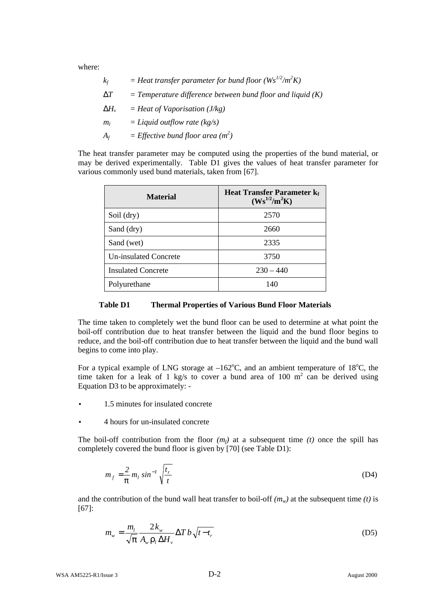where:

| $k_f$          | = Heat transfer parameter for bund floor ( $Ws^{1/2}/m^2K$ ) |
|----------------|--------------------------------------------------------------|
| DT             | $=$ Temperature difference between bund floor and liquid (K) |
| $\bm{D}H_{v}$  | $=$ Heat of Vaporisation (J/kg)                              |
| m <sub>l</sub> | $=$ Liquid outflow rate (kg/s)                               |
| $A_f$          | = Effective bund floor area $(m^2)$                          |

The heat transfer parameter may be computed using the properties of the bund material, or may be derived experimentally. Table D1 gives the values of heat transfer parameter for various commonly used bund materials, taken from [67].

| <b>Material</b>           | <b>Heat Transfer Parameter k</b><br>$(Ws^{1/2}/m^2K)$ |
|---------------------------|-------------------------------------------------------|
| Soil (dry)                | 2570                                                  |
| Sand (dry)                | 2660                                                  |
| Sand (wet)                | 2335                                                  |
| Un-insulated Concrete     | 3750                                                  |
| <b>Insulated Concrete</b> | $230 - 440$                                           |
| Polyurethane              | 140                                                   |

### **Table D1 Thermal Properties of Various Bund Floor Materials**

The time taken to completely wet the bund floor can be used to determine at what point the boil-off contribution due to heat transfer between the liquid and the bund floor begins to reduce, and the boil-off contribution due to heat transfer between the liquid and the bund wall begins to come into play.

For a typical example of LNG storage at  $-162^{\circ}$ C, and an ambient temperature of 18<sup>o</sup>C, the time taken for a leak of 1 kg/s to cover a bund area of 100  $m^2$  can be derived using Equation D3 to be approximately: -

- 1.5 minutes for insulated concrete
- 4 hours for un-insulated concrete

The boil-off contribution from the floor  $(m_f)$  at a subsequent time  $(t)$  once the spill has completely covered the bund floor is given by [70] (see Table D1):

$$
m_f = \frac{2}{p} m_l \sin^{-1} \sqrt{\frac{t_r}{t}}
$$
 (D4)

and the contribution of the bund wall heat transfer to boil-off  $(m_w)$  at the subsequent time *(t)* is [67]:

$$
m_{w} = \frac{m_{l}}{\sqrt{\pi}} \frac{2k_{w}}{A_{w} \rho_{l} \Delta H_{v}} \Delta T b \sqrt{t - t_{r}}
$$
(D5)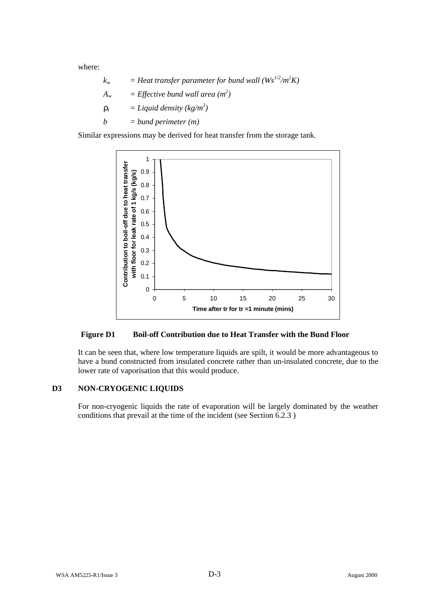where:

$$
k_w = Heat transfer parameter for bund wall (Ws^{1/2}/m^2K)
$$
  
\n
$$
A_w = Effective bund wall area (m^2)
$$
  
\n
$$
r_l = Liquid density (kg/m^3)
$$
  
\n
$$
b = bund perimeter (m)
$$

Similar expressions may be derived for heat transfer from the storage tank.



# **Figure D1 Boil-off Contribution due to Heat Transfer with the Bund Floor**

It can be seen that, where low temperature liquids are spilt, it would be more advantageous to have a bund constructed from insulated concrete rather than un-insulated concrete, due to the lower rate of vaporisation that this would produce.

# **D3 NON-CRYOGENIC LIQUIDS**

For non-cryogenic liquids the rate of evaporation will be largely dominated by the weather conditions that prevail at the time of the incident (see Section 6.2.3 )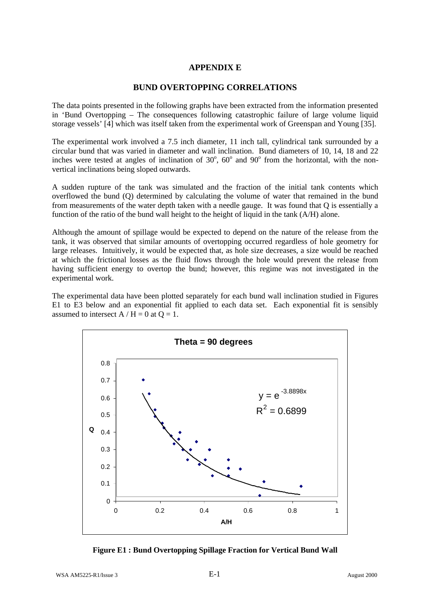# **APPENDIX E**

## **BUND OVERTOPPING CORRELATIONS**

The data points presented in the following graphs have been extracted from the information presented in 'Bund Overtopping – The consequences following catastrophic failure of large volume liquid storage vessels' [4] which was itself taken from the experimental work of Greenspan and Young [35].

The experimental work involved a 7.5 inch diameter, 11 inch tall, cylindrical tank surrounded by a circular bund that was varied in diameter and wall inclination. Bund diameters of 10, 14, 18 and 22 inches were tested at angles of inclination of  $30^{\circ}$ ,  $60^{\circ}$  and  $90^{\circ}$  from the horizontal, with the nonvertical inclinations being sloped outwards.

A sudden rupture of the tank was simulated and the fraction of the initial tank contents which overflowed the bund (Q) determined by calculating the volume of water that remained in the bund from measurements of the water depth taken with a needle gauge. It was found that Q is essentially a function of the ratio of the bund wall height to the height of liquid in the tank (A/H) alone.

Although the amount of spillage would be expected to depend on the nature of the release from the tank, it was observed that similar amounts of overtopping occurred regardless of hole geometry for large releases. Intuitively, it would be expected that, as hole size decreases, a size would be reached at which the frictional losses as the fluid flows through the hole would prevent the release from having sufficient energy to overtop the bund; however, this regime was not investigated in the experimental work.

The experimental data have been plotted separately for each bund wall inclination studied in Figures E1 to E3 below and an exponential fit applied to each data set. Each exponential fit is sensibly assumed to intersect  $A/H = 0$  at  $O = 1$ .



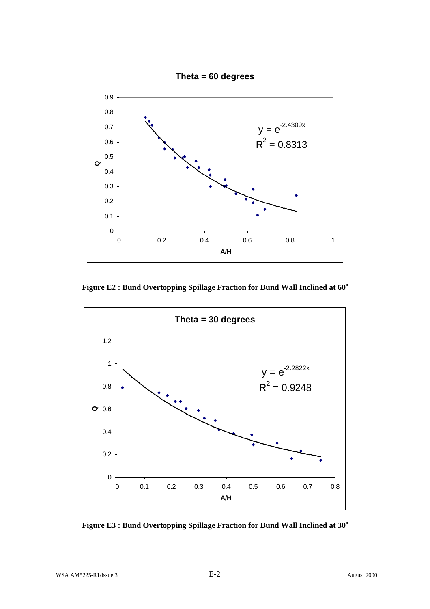

**Figure E2 : Bund Overtopping Spillage Fraction for Bund Wall Inclined at 60<sup>o</sup>**



**Figure E3 : Bund Overtopping Spillage Fraction for Bund Wall Inclined at 30<sup>o</sup>**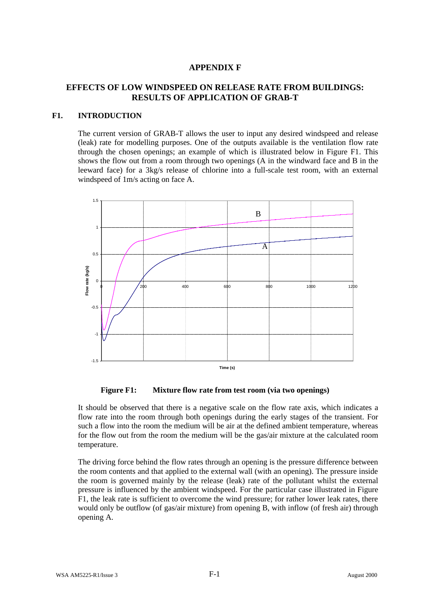# **APPENDIX F**

# **EFFECTS OF LOW WINDSPEED ON RELEASE RATE FROM BUILDINGS: RESULTS OF APPLICATION OF GRAB-T**

# **F1. INTRODUCTION**

The current version of GRAB-T allows the user to input any desired windspeed and release (leak) rate for modelling purposes. One of the outputs available is the ventilation flow rate through the chosen openings; an example of which is illustrated below in Figure F1. This shows the flow out from a room through two openings (A in the windward face and B in the leeward face) for a 3kg/s release of chlorine into a full-scale test room, with an external windspeed of 1m/s acting on face A.



**Figure F1: Mixture flow rate from test room (via two openings)**

It should be observed that there is a negative scale on the flow rate axis, which indicates a flow rate into the room through both openings during the early stages of the transient. For such a flow into the room the medium will be air at the defined ambient temperature, whereas for the flow out from the room the medium will be the gas/air mixture at the calculated room temperature.

The driving force behind the flow rates through an opening is the pressure difference between the room contents and that applied to the external wall (with an opening). The pressure inside the room is governed mainly by the release (leak) rate of the pollutant whilst the external pressure is influenced by the ambient windspeed. For the particular case illustrated in Figure F1, the leak rate is sufficient to overcome the wind pressure; for rather lower leak rates, there would only be outflow (of gas/air mixture) from opening B, with inflow (of fresh air) through opening A.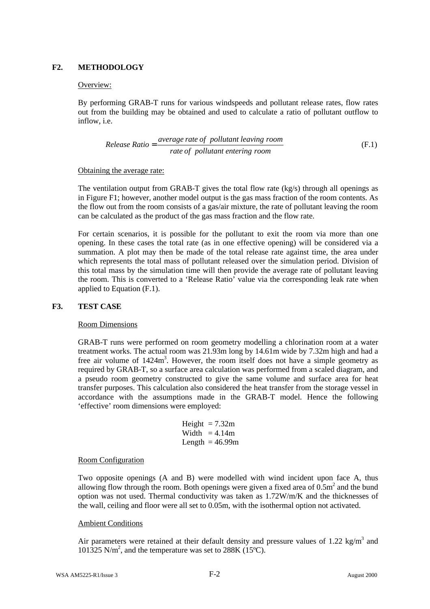# **F2. METHODOLOGY**

## Overview:

By performing GRAB-T runs for various windspeeds and pollutant release rates, flow rates out from the building may be obtained and used to calculate a ratio of pollutant outflow to inflow, i.e.

*Release Ratio* = 
$$
\frac{average\ rate\ of\ pollutant\ leaving\ room}{rate\ of\ pollutant\ entering\ room}
$$
 (F.1)

## Obtaining the average rate:

The ventilation output from GRAB-T gives the total flow rate (kg/s) through all openings as in Figure F1; however, another model output is the gas mass fraction of the room contents. As the flow out from the room consists of a gas/air mixture, the rate of pollutant leaving the room can be calculated as the product of the gas mass fraction and the flow rate.

For certain scenarios, it is possible for the pollutant to exit the room via more than one opening. In these cases the total rate (as in one effective opening) will be considered via a summation. A plot may then be made of the total release rate against time, the area under which represents the total mass of pollutant released over the simulation period. Division of this total mass by the simulation time will then provide the average rate of pollutant leaving the room. This is converted to a 'Release Ratio' value via the corresponding leak rate when applied to Equation (F.1).

# **F3. TEST CASE**

### Room Dimensions

GRAB-T runs were performed on room geometry modelling a chlorination room at a water treatment works. The actual room was 21.93m long by 14.61m wide by 7.32m high and had a free air volume of 1424m<sup>3</sup>. However, the room itself does not have a simple geometry as required by GRAB-T, so a surface area calculation was performed from a scaled diagram, and a pseudo room geometry constructed to give the same volume and surface area for heat transfer purposes. This calculation also considered the heat transfer from the storage vessel in accordance with the assumptions made in the GRAB-T model. Hence the following 'effective' room dimensions were employed:

Height = 
$$
7.32m
$$
  
Width =  $4.14m$   
Length =  $46.99m$ 

### Room Configuration

Two opposite openings (A and B) were modelled with wind incident upon face A, thus allowing flow through the room. Both openings were given a fixed area of  $0.5m<sup>2</sup>$  and the bund option was not used. Thermal conductivity was taken as 1.72W/m/K and the thicknesses of the wall, ceiling and floor were all set to 0.05m, with the isothermal option not activated.

### Ambient Conditions

Air parameters were retained at their default density and pressure values of 1.22 kg/m<sup>3</sup> and  $101\overline{3}25$  N/m<sup>2</sup>, and the temperature was set to 288K (15<sup>o</sup>C).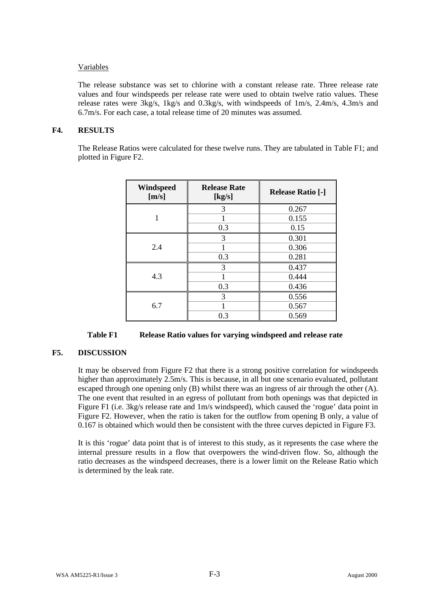# Variables

The release substance was set to chlorine with a constant release rate. Three release rate values and four windspeeds per release rate were used to obtain twelve ratio values. These release rates were 3kg/s, 1kg/s and 0.3kg/s, with windspeeds of 1m/s, 2.4m/s, 4.3m/s and 6.7m/s. For each case, a total release time of 20 minutes was assumed.

## **F4. RESULTS**

The Release Ratios were calculated for these twelve runs. They are tabulated in Table F1; and plotted in Figure F2.

| Windspeed<br>[m/s] | <b>Release Rate</b><br>[kg/s] | <b>Release Ratio [-]</b> |
|--------------------|-------------------------------|--------------------------|
|                    | 3                             | 0.267                    |
|                    |                               | 0.155                    |
|                    | 0.3                           | 0.15                     |
| 2.4                | 3                             | 0.301                    |
|                    |                               | 0.306                    |
|                    | 0.3                           | 0.281                    |
| 4.3                | 3                             | 0.437                    |
|                    |                               | 0.444                    |
|                    | 0.3                           | 0.436                    |
| 6.7                | 3                             | 0.556                    |
|                    |                               | 0.567                    |
|                    | 0.3                           | 0.569                    |

# **F5. DISCUSSION**

It may be observed from Figure F2 that there is a strong positive correlation for windspeeds higher than approximately 2.5m/s. This is because, in all but one scenario evaluated, pollutant escaped through one opening only (B) whilst there was an ingress of air through the other (A). The one event that resulted in an egress of pollutant from both openings was that depicted in Figure F1 (i.e. 3kg/s release rate and 1m/s windspeed), which caused the 'rogue' data point in Figure F2. However, when the ratio is taken for the outflow from opening B only, a value of 0.167 is obtained which would then be consistent with the three curves depicted in Figure F3.

It is this 'rogue' data point that is of interest to this study, as it represents the case where the internal pressure results in a flow that overpowers the wind-driven flow. So, although the ratio decreases as the windspeed decreases, there is a lower limit on the Release Ratio which is determined by the leak rate.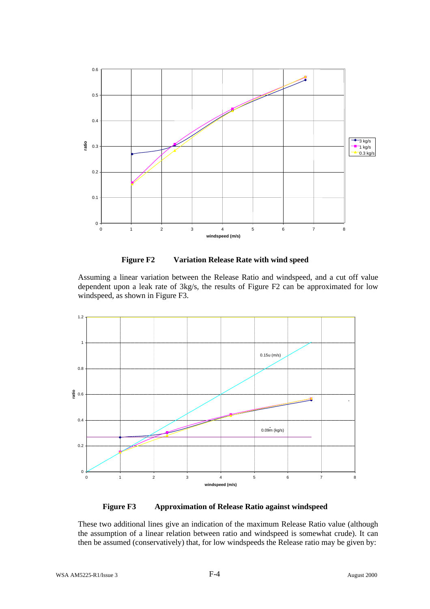

**Figure F2 Variation Release Rate with wind speed**

Assuming a linear variation between the Release Ratio and windspeed, and a cut off value dependent upon a leak rate of 3kg/s, the results of Figure F2 can be approximated for low windspeed, as shown in Figure F3.



**Figure F3 Approximation of Release Ratio against windspeed**

These two additional lines give an indication of the maximum Release Ratio value (although the assumption of a linear relation between ratio and windspeed is somewhat crude). It can then be assumed (conservatively) that, for low windspeeds the Release ratio may be given by: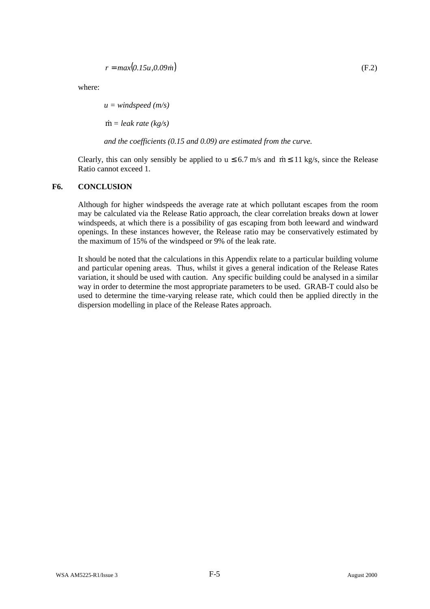$$
r = max(0.15u, 0.09m) \tag{F.2}
$$

where:

*u = windspeed (m/s)*

 $\dot{m}$  = *leak rate* (*kg/s*)

*and the coefficients (0.15 and 0.09) are estimated from the curve.*

Clearly, this can only sensibly be applied to  $u \le 6.7$  m/s and  $\dot{m} \le 11$  kg/s, since the Release Ratio cannot exceed 1.

# **F6. CONCLUSION**

Although for higher windspeeds the average rate at which pollutant escapes from the room may be calculated via the Release Ratio approach, the clear correlation breaks down at lower windspeeds, at which there is a possibility of gas escaping from both leeward and windward openings. In these instances however, the Release ratio may be conservatively estimated by the maximum of 15% of the windspeed or 9% of the leak rate.

It should be noted that the calculations in this Appendix relate to a particular building volume and particular opening areas. Thus, whilst it gives a general indication of the Release Rates variation, it should be used with caution. Any specific building could be analysed in a similar way in order to determine the most appropriate parameters to be used. GRAB-T could also be used to determine the time-varying release rate, which could then be applied directly in the dispersion modelling in place of the Release Rates approach.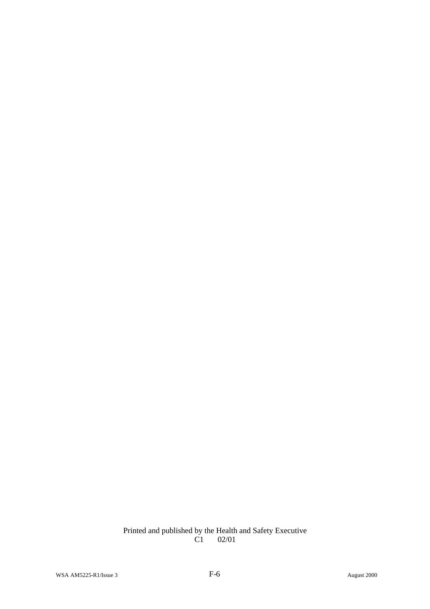## Printed and published by the Health and Safety Executive C1 02/01